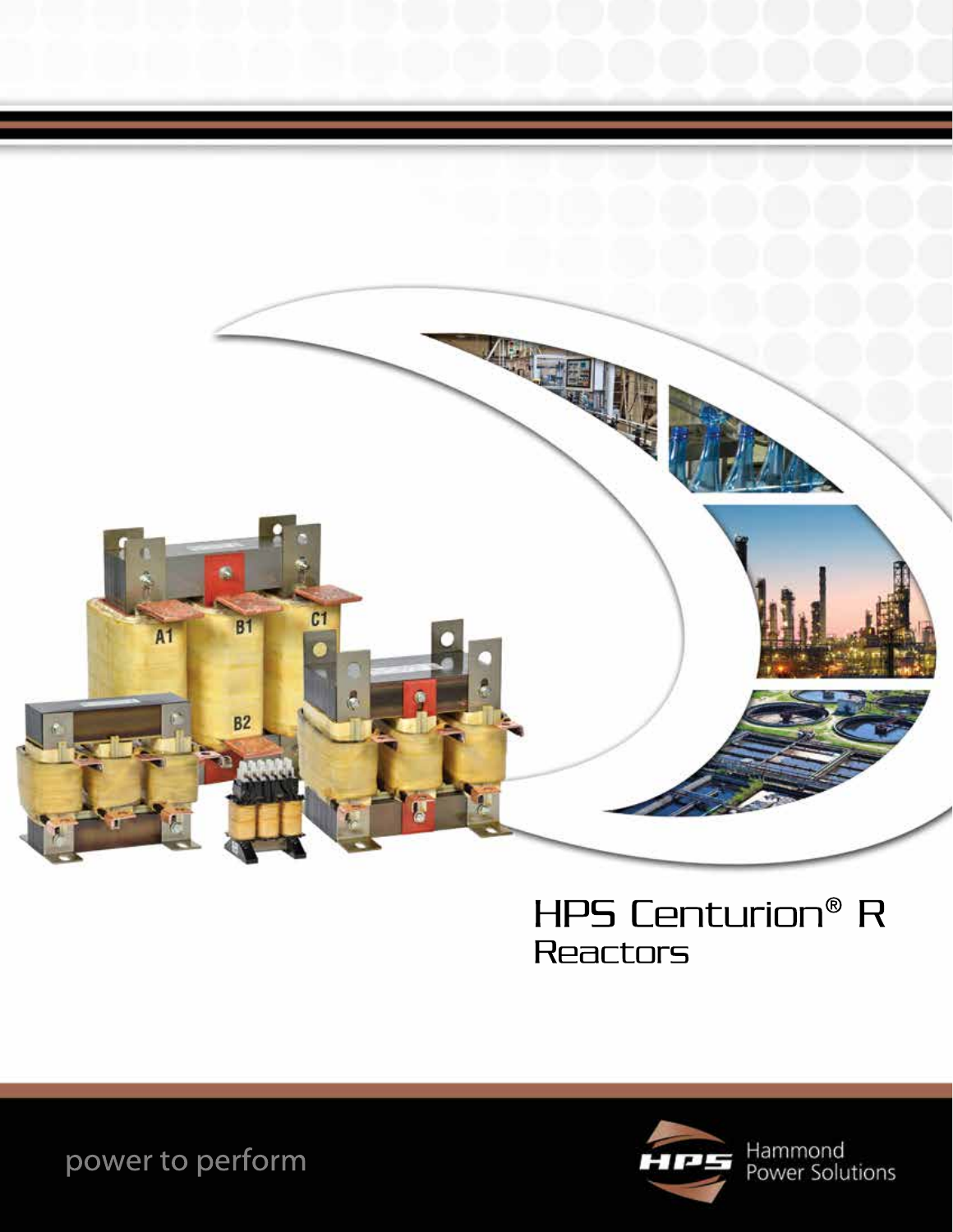

# HPS Centurion® R Reactors



Hammond<br>Power Solutions

power to perform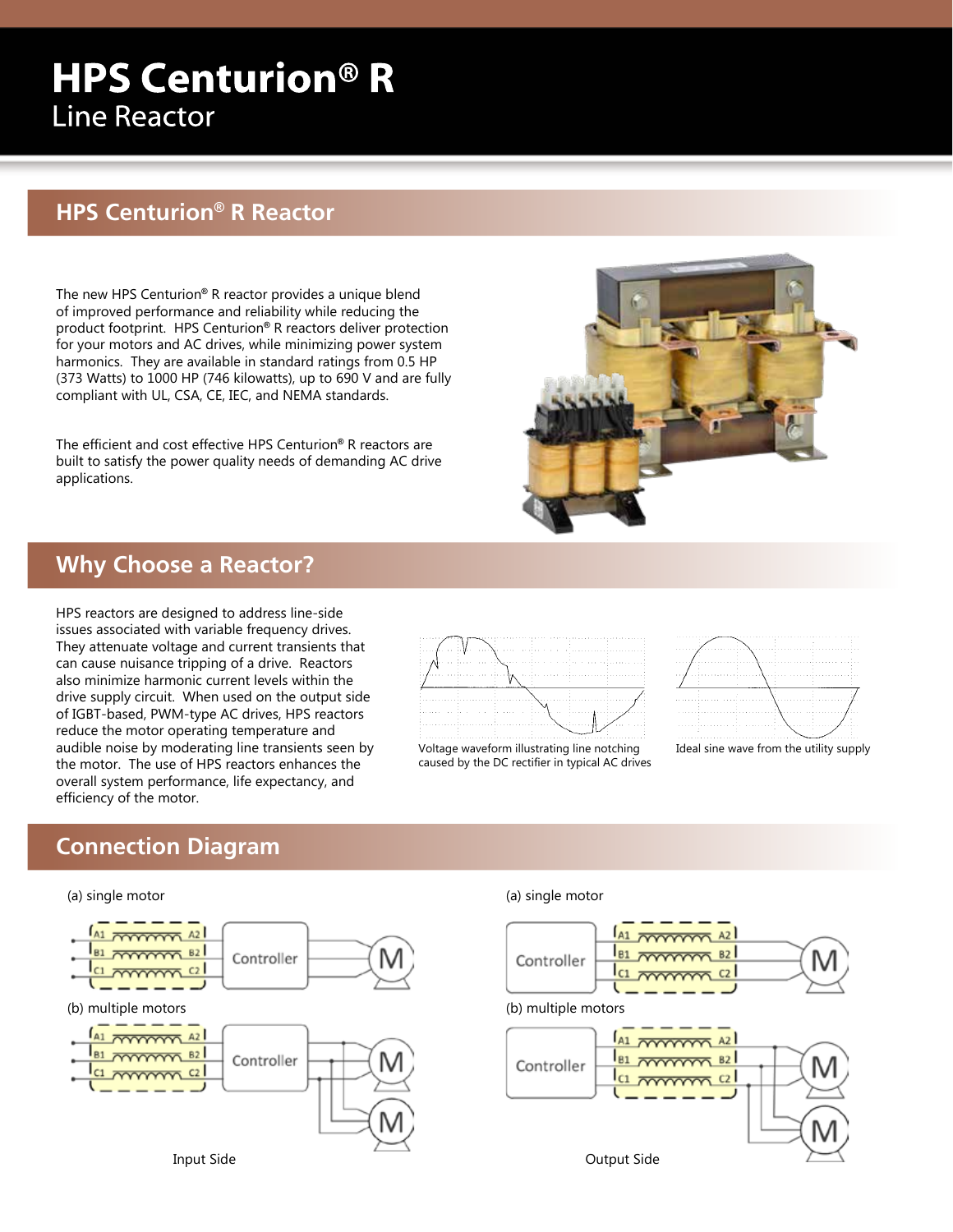# **HPS Centurion® R Line Reactor**

## **HPS Centurion® R Reactor**

The new HPS Centurion**®** R reactor provides a unique blend of improved performance and reliability while reducing the product footprint. HPS Centurion**®** R reactors deliver protection for your motors and AC drives, while minimizing power system harmonics. They are available in standard ratings from 0.5 HP (373 Watts) to 1000 HP (746 kilowatts), up to 690 V and are fully compliant with UL, CSA, CE, IEC, and NEMA standards.

The efficient and cost effective HPS Centurion**®** R reactors are built to satisfy the power quality needs of demanding AC drive applications.



### **Why Choose a Reactor?**

HPS reactors are designed to address line-side issues associated with variable frequency drives. They attenuate voltage and current transients that can cause nuisance tripping of a drive. Reactors also minimize harmonic current levels within the drive supply circuit. When used on the output side of IGBT-based, PWM-type AC drives, HPS reactors reduce the motor operating temperature and audible noise by moderating line transients seen by the motor. The use of HPS reactors enhances the overall system performance, life expectancy, and efficiency of the motor.



Voltage waveform illustrating line notching caused by the DC rectifier in typical AC drives



Ideal sine wave from the utility supply

## **Connection Diagram**

#### (a) single motor



#### (a) single motor



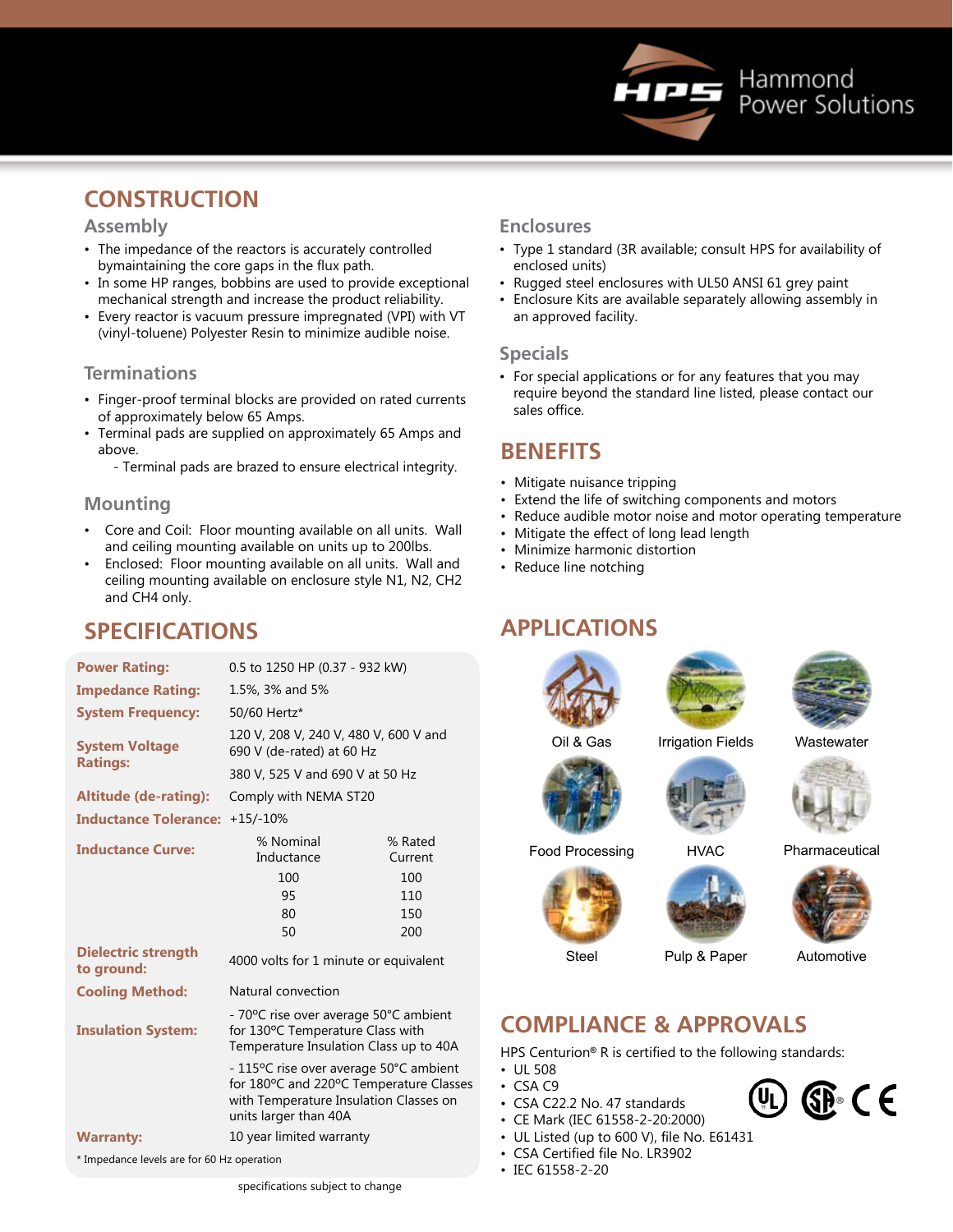

## **CONSTRUCTION**

### **Assembly**

- The impedance of the reactors is accurately controlled bymaintaining the core gaps in the flux path.
- In some HP ranges, bobbins are used to provide exceptional mechanical strength and increase the product reliability.
- Every reactor is vacuum pressure impregnated (VPI) with VT (vinyl-toluene) Polyester Resin to minimize audible noise.

### **Terminations**

- Finger-proof terminal blocks are provided on rated currents of approximately below 65 Amps.
- Terminal pads are supplied on approximately 65 Amps and above.
	- Terminal pads are brazed to ensure electrical integrity.

### **Mounting**

- Core and Coil: Floor mounting available on all units. Wall and ceiling mounting available on units up to 200lbs.
- Enclosed: Floor mounting available on all units. Wall and ceiling mounting available on enclosure style N1, N2, CH2 and CH4 only.

### **SPECIFICATIONS**

| <b>Power Rating:</b>                     | 0.5 to 1250 HP (0.37 - 932 kW)                                                                                                                     |                    |  |  |  |
|------------------------------------------|----------------------------------------------------------------------------------------------------------------------------------------------------|--------------------|--|--|--|
| <b>Impedance Rating:</b>                 | 1.5%, 3% and 5%                                                                                                                                    |                    |  |  |  |
| <b>System Frequency:</b>                 | 50/60 Hertz*                                                                                                                                       |                    |  |  |  |
| <b>System Voltage</b>                    | 120 V, 208 V, 240 V, 480 V, 600 V and<br>690 V (de-rated) at 60 Hz                                                                                 |                    |  |  |  |
| <b>Ratings:</b>                          | 380 V, 525 V and 690 V at 50 Hz                                                                                                                    |                    |  |  |  |
| <b>Altitude (de-rating):</b>             | Comply with NEMA ST20                                                                                                                              |                    |  |  |  |
| <b>Inductance Tolerance:</b>             | $+15/ -10%$                                                                                                                                        |                    |  |  |  |
| <b>Inductance Curve:</b>                 | % Nominal<br>Inductance                                                                                                                            | % Rated<br>Current |  |  |  |
|                                          | 100                                                                                                                                                | 100                |  |  |  |
|                                          | 95                                                                                                                                                 | 110                |  |  |  |
|                                          | 80                                                                                                                                                 | 150                |  |  |  |
|                                          | 50                                                                                                                                                 | 200                |  |  |  |
| <b>Dielectric strength</b><br>to ground: | 4000 volts for 1 minute or equivalent                                                                                                              |                    |  |  |  |
| <b>Cooling Method:</b>                   | Natural convection                                                                                                                                 |                    |  |  |  |
| <b>Insulation System:</b>                | - 70°C rise over average 50°C ambient<br>for 130°C Temperature Class with<br>Temperature Insulation Class up to 40A                                |                    |  |  |  |
|                                          | - 115°C rise over average 50°C ambient<br>for 180°C and 220°C Temperature Class<br>with Temperature Insulation Classes on<br>units larger than 40A |                    |  |  |  |
| <b>Warranty:</b>                         | 10 year limited warranty                                                                                                                           |                    |  |  |  |

for 180ºC and 220ºC Temperature Classes with Temperature Insulation Classes on

\* Impedance levels are for 60 Hz operation

- Type 1 standard (3R available; consult HPS for availability of enclosed units)
- Rugged steel enclosures with UL50 ANSI 61 grey paint
- Enclosure Kits are available separately allowing assembly in an approved facility.

### **Specials**

• For special applications or for any features that you may require beyond the standard line listed, please contact our sales office.

### **BENEFITS**

- Mitigate nuisance tripping
- Extend the life of switching components and motors
- Reduce audible motor noise and motor operating temperature
- Mitigate the effect of long lead length
- Minimize harmonic distortion
- Reduce line notching

### **APPLICATIONS**







Oil & Gas

Irrigation Fields Wastewater



Food Processing HVAC Pharmaceutical





Steel Pulp & Paper Automotive

 $\mathbb{G}$   $\in$   $\in$ 

U)

## **COMPLIANCE & APPROVALS**

HPS Centurion**®** R is certified to the following standards:

- UL 508  $-$  CSA C9
- 
- CSA C22.2 No. 47 standards
- CE Mark (IEC 61558-2-20:2000)
- UL Listed (up to 600 V), file No. E61431
- CSA Certified file No. LR3902
- IEC 61558-2-20

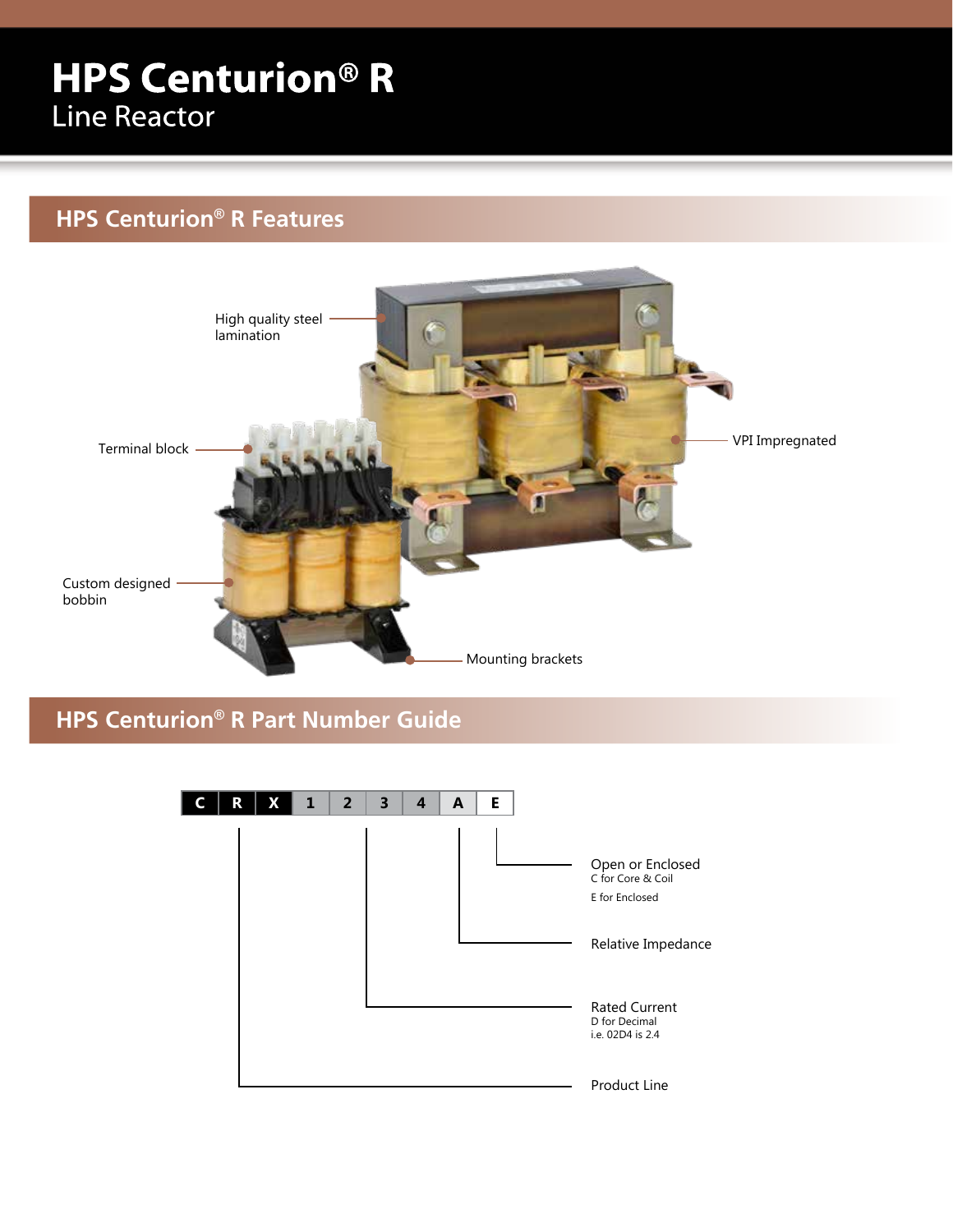# **HPS Centurion® R Line Reactor**

## **HPS Centurion® R Features**



**HPS Centurion® R Part Number Guide**

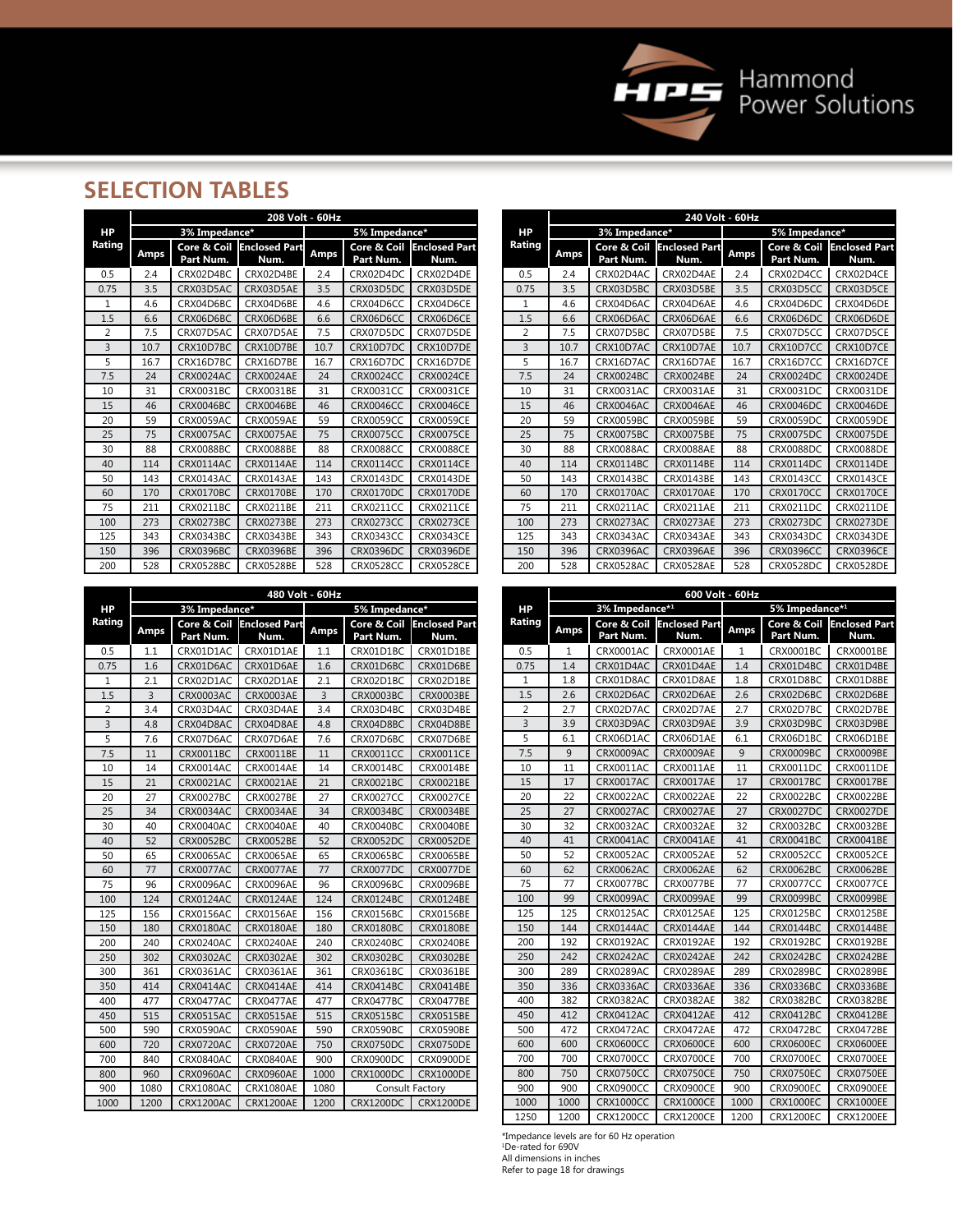

## **SELECTION TABLES**

|                | 208 Volt - 60Hz |                          |                       |             |                          |                              |  |  |  |  |  |  |  |
|----------------|-----------------|--------------------------|-----------------------|-------------|--------------------------|------------------------------|--|--|--|--|--|--|--|
| HP             |                 | 3% Impedance*            |                       |             | 5% Impedance*            |                              |  |  |  |  |  |  |  |
| Rating         | <b>Amps</b>     | Core & Coil<br>Part Num. | Enclosed Part<br>Num. | <b>Amps</b> | Core & Coil<br>Part Num. | <b>Enclosed Part</b><br>Num. |  |  |  |  |  |  |  |
| 0.5            | 2.4             | CRX02D4BC                | CRX02D4BE             | 2.4         | CRX02D4DC                | CRX02D4DE                    |  |  |  |  |  |  |  |
| 0.75           | 3.5             | CRX03D5AC                | CRX03D5AE             | 3.5         | CRX03D5DC                | CRX03D5DE                    |  |  |  |  |  |  |  |
| 1              | 4.6             | CRX04D6BC                | CRX04D6BE             | 4.6         | CRX04D6CC                | CRX04D6CE                    |  |  |  |  |  |  |  |
| 1.5            | 6.6             | CRX06D6BC                | CRX06D6BE             | 6.6         | CRX06D6CC                | CRX06D6CE                    |  |  |  |  |  |  |  |
| $\overline{2}$ | 7.5             | CRX07D5AC                | CRX07D5AE             | 7.5         | CRX07D5DC                | CRX07D5DE                    |  |  |  |  |  |  |  |
| 3              | 10.7            | CRX10D7BC                | CRX10D7BE             | 10.7        | CRX10D7DC                | CRX10D7DE                    |  |  |  |  |  |  |  |
| 5              | 16.7            | CRX16D7BC                | CRX16D7BE             | 16.7        | CRX16D7DC                | CRX16D7DE                    |  |  |  |  |  |  |  |
| 7.5            | 24              | CRX0024AC                | <b>CRX0024AE</b>      | 24          | <b>CRX0024CC</b>         | <b>CRX0024CE</b>             |  |  |  |  |  |  |  |
| 10             | 31              | CRX0031BC                | CRX0031BE             | 31          | <b>CRX0031CC</b>         | <b>CRX0031CE</b>             |  |  |  |  |  |  |  |
| 15             | 46              | <b>CRX0046BC</b>         | CRX0046BE             | 46          | CRX0046CC                | <b>CRX0046CE</b>             |  |  |  |  |  |  |  |
| 20             | 59              | CRX0059AC                | <b>CRX0059AE</b>      | 59          | <b>CRX0059CC</b>         | <b>CRX0059CE</b>             |  |  |  |  |  |  |  |
| 25             | 75              | CRX0075AC                | <b>CRX0075AE</b>      | 75          | <b>CRX0075CC</b>         | <b>CRX0075CE</b>             |  |  |  |  |  |  |  |
| 30             | 88              | CRX0088BC                | <b>CRX0088BE</b>      | 88          | <b>CRX0088CC</b>         | <b>CRX0088CE</b>             |  |  |  |  |  |  |  |
| 40             | 114             | CRX0114AC                | <b>CRX0114AE</b>      | 114         | CRX0114CC                | <b>CRX0114CE</b>             |  |  |  |  |  |  |  |
| 50             | 143             | CRX0143AC                | <b>CRX0143AE</b>      | 143         | CRX0143DC                | <b>CRX0143DE</b>             |  |  |  |  |  |  |  |
| 60             | 170             | CRX0170BC                | <b>CRX0170BE</b>      | 170         | CRX0170DC                | CRX0170DE                    |  |  |  |  |  |  |  |
| 75             | 211             | CRX0211BC                | CRX0211BE             | 211         | <b>CRX0211CC</b>         | <b>CRX0211CE</b>             |  |  |  |  |  |  |  |
| 100            | 273             | <b>CRX0273BC</b>         | <b>CRX0273BE</b>      | 273         | <b>CRX0273CC</b>         | <b>CRX0273CE</b>             |  |  |  |  |  |  |  |
| 125            | 343             | CRX0343BC                | CRX0343BE             | 343         | CRX0343CC                | <b>CRX0343CE</b>             |  |  |  |  |  |  |  |
| 150            | 396             | CRX0396BC                | CRX0396BE             | 396         | CRX0396DC                | <b>CRX0396DE</b>             |  |  |  |  |  |  |  |
| 200            | 528             | <b>CRX0528BC</b>         | <b>CRX0528BE</b>      | 528         | <b>CRX0528CC</b>         | <b>CRX0528CE</b>             |  |  |  |  |  |  |  |

|                |      |                          | 240 Volt - 60Hz              |             |                          |                              |
|----------------|------|--------------------------|------------------------------|-------------|--------------------------|------------------------------|
| HP             |      | 3% Impedance*            |                              |             | 5% Impedance*            |                              |
| Rating         | Amps | Core & Coil<br>Part Num. | <b>Enclosed Part</b><br>Num. | <b>Amps</b> | Core & Coil<br>Part Num. | <b>Enclosed Part</b><br>Num. |
| 0.5            | 2.4  | CRX02D4AC                | CRX02D4AE                    | 2.4         | CRX02D4CC                | CRX02D4CE                    |
| 0.75           | 3.5  | CRX03D5BC                | CRX03D5BE                    | 3.5         | CRX03D5CC                | CRX03D5CE                    |
| 1              | 4.6  | CRX04D6AC                | CRX04D6AE                    | 4.6         | CRX04D6DC                | CRX04D6DE                    |
| 1.5            | 6.6  | CRX06D6AC                | CRX06D6AE                    | 6.6         | CRX06D6DC                | CRX06D6DE                    |
| $\overline{2}$ | 7.5  | CRX07D5BC                | CRX07D5BE                    | 7.5         | CRX07D5CC                | CRX07D5CE                    |
| $\overline{3}$ | 10.7 | CRX10D7AC                | CRX10D7AE                    | 10.7        | CRX10D7CC                | CRX10D7CE                    |
| 5              | 16.7 | CRX16D7AC                | CRX16D7AE                    | 16.7        | CRX16D7CC                | CRX16D7CE                    |
| 7.5            | 24   | CRX0024BC                | <b>CRX0024BE</b>             | 24          | CRX0024DC                | <b>CRX0024DE</b>             |
| 10             | 31   | CRX0031AC                | CRX0031AE                    | 31          | CRX0031DC                | CRX0031DE                    |
| 15             | 46   | CRX0046AC                | <b>CRX0046AE</b>             | 46          | CRX0046DC                | <b>CRX0046DE</b>             |
| 20             | 59   | <b>CRX0059BC</b>         | <b>CRX0059BE</b>             | 59          | CRX0059DC                | <b>CRX0059DE</b>             |
| 25             | 75   | CRX0075BC                | CRX0075BE                    | 75          | CRX0075DC                | <b>CRX0075DE</b>             |
| 30             | 88   | CRX0088AC                | <b>CRX0088AE</b>             | 88          | CRX0088DC                | <b>CRX0088DE</b>             |
| 40             | 114  | CRX0114BC                | CRX0114BE                    | 114         | CRX0114DC                | <b>CRX0114DE</b>             |
| 50             | 143  | CRX0143BC                | CRX0143BE                    | 143         | CRX0143CC                | <b>CRX0143CE</b>             |
| 60             | 170  | CRX0170AC                | <b>CRX0170AE</b>             | 170         | CRX0170CC                | <b>CRX0170CE</b>             |
| 75             | 211  | CRX0211AC                | <b>CRX0211AE</b>             | 211         | CRX0211DC                | <b>CRX0211DE</b>             |
| 100            | 273  | CRX0273AC                | <b>CRX0273AE</b>             | 273         | CRX0273DC                | <b>CRX0273DE</b>             |
| 125            | 343  | CRX0343AC                | CRX0343AE                    | 343         | CRX0343DC                | CRX0343DE                    |
| 150            | 396  | CRX0396AC                | CRX0396AE                    | 396         | CRX0396CC                | <b>CRX0396CE</b>             |
| 200            | 528  | CRX0528AC                | <b>CRX0528AE</b>             | 528         | CRX0528DC                | <b>CRX0528DE</b>             |

|                |                |                          | 480 Volt - 60Hz              |                |                               |                              |  |  |  |
|----------------|----------------|--------------------------|------------------------------|----------------|-------------------------------|------------------------------|--|--|--|
| HP             |                | 3% Impedance*            |                              | 5% Impedance*  |                               |                              |  |  |  |
| Rating         | Amps           | Core & Coil<br>Part Num. | <b>Enclosed Part</b><br>Num. | <b>Amps</b>    | Core & Coil<br>Part Num.      | <b>Enclosed Part</b><br>Num. |  |  |  |
| 0.5            | 1.1            | CRX01D1AC                | CRX01D1AE                    | 1.1            | CRX01D1BC                     | CRX01D1BE                    |  |  |  |
| 0.75           | 1.6            | CRX01D6AC                | CRX01D6AE                    | 1.6            | CRX01D6BC                     | CRX01D6BE                    |  |  |  |
| 1              | 2.1            | CRX02D1AC                | CRX02D1AE                    | 2.1            | CRX02D1BC                     | CRX02D1BE                    |  |  |  |
| 1.5            | $\overline{3}$ | <b>CRX0003AC</b>         | <b>CRX0003AE</b>             | $\overline{3}$ | <b>CRX0003BC</b>              | <b>CRX0003BE</b>             |  |  |  |
| $\overline{2}$ | 3.4            | CRX03D4AC                | CRX03D4AE                    | 3.4            | CRX03D4BC                     | CRX03D4BE                    |  |  |  |
| $\overline{3}$ | 4.8            | CRX04D8AC                | CRX04D8AE                    | 4.8            | CRX04D8BC                     | CRX04D8BE                    |  |  |  |
| 5              | 7.6            | CRX07D6AC                | CRX07D6AE                    | 7.6            | CRX07D6BC                     | CRX07D6BE                    |  |  |  |
| 7.5            | 11             | CRX0011BC                | <b>CRX0011BE</b>             | 11             | <b>CRX0011CC</b>              | <b>CRX0011CE</b>             |  |  |  |
| 10             | 14             | CRX0014AC                | CRX0014AE                    | 14             | CRX0014BC                     | CRX0014BE                    |  |  |  |
| 15             | 21             | <b>CRX0021AC</b>         | <b>CRX0021AE</b>             | 21             | <b>CRX0021BC</b>              | <b>CRX0021BE</b>             |  |  |  |
| 20             | 27             | <b>CRX0027BC</b>         | <b>CRX0027BE</b>             | 27             | <b>CRX0027CC</b>              | <b>CRX0027CE</b>             |  |  |  |
| 25             | 34             | <b>CRX0034AC</b>         | <b>CRX0034AE</b>             | 34             | <b>CRX0034BC</b>              | <b>CRX0034BE</b>             |  |  |  |
| 30             | 40             | CRX0040AC                | CRX0040AE                    | 40             | CRX0040BC                     | <b>CRX0040BE</b>             |  |  |  |
| 40             | 52             | <b>CRX0052BC</b>         | <b>CRX0052BE</b>             | 52             | <b>CRX0052DC</b>              | <b>CRX0052DE</b>             |  |  |  |
| 50             | 65             | CRX0065AC                | <b>CRX0065AE</b>             | 65             | <b>CRX0065BC</b>              | <b>CRX0065BE</b>             |  |  |  |
| 60             | 77             | CRX0077AC                | CRX0077AE                    | 77             | CRX0077DC                     | <b>CRX0077DE</b>             |  |  |  |
| 75             | 96             | CRX0096AC                | CRX0096AE                    | 96             | <b>CRX0096BC</b>              | <b>CRX0096BE</b>             |  |  |  |
| 100            | 124            | <b>CRX0124AC</b>         | <b>CRX0124AE</b>             | 124            | <b>CRX0124BC</b>              | <b>CRX0124BE</b>             |  |  |  |
| 125            | 156            | CRX0156AC                | <b>CRX0156AE</b>             | 156            | CRX0156BC                     | <b>CRX0156BE</b>             |  |  |  |
| 150            | 180            | CRX0180AC                | CRX0180AE                    | 180            | CRX0180BC                     | <b>CRX0180BE</b>             |  |  |  |
| 200            | 240            | CRX0240AC                | <b>CRX0240AE</b>             | 240            | <b>CRX0240BC</b>              | <b>CRX0240BE</b>             |  |  |  |
| 250            | 302            | <b>CRX0302AC</b>         | <b>CRX0302AE</b>             | 302            | <b>CRX0302BC</b>              | <b>CRX0302BE</b>             |  |  |  |
| 300            | 361            | CRX0361AC                | CRX0361AE                    | 361            | CRX0361BC                     | CRX0361BE                    |  |  |  |
| 350            | 414            | CRX0414AC                | <b>CRX0414AE</b>             | 414            | CRX0414BC                     | CRX0414BE                    |  |  |  |
| 400            | 477            | CRX0477AC                | <b>CRX0477AE</b>             | 477            | CRX0477BC                     | <b>CRX0477BE</b>             |  |  |  |
| 450            | 515            | CRX0515AC                | <b>CRX0515AE</b>             | 515            | <b>CRX0515BC</b>              | <b>CRX0515BE</b>             |  |  |  |
| 500            | 590            | CRX0590AC                | CRX0590AE                    | 590            | <b>CRX0590BC</b>              | <b>CRX0590BE</b>             |  |  |  |
| 600            | 720            | CRX0720AC                | <b>CRX0720AE</b>             | 750            | CRX0750DC                     | <b>CRX0750DE</b>             |  |  |  |
| 700            | 840            | <b>CRX0840AC</b>         | <b>CRX0840AE</b>             | 900            | CRX0900DC                     | <b>CRX0900DE</b>             |  |  |  |
| 800            | 960            | CRX0960AC                | <b>CRX0960AE</b>             | 1000           | CRX1000DC<br><b>CRX1000DE</b> |                              |  |  |  |
| 900            | 1080           | <b>CRX1080AC</b>         | <b>CRX1080AE</b>             | 1080           |                               | Consult Factory              |  |  |  |
| 1000           | 1200           | CRX1200AC                | <b>CRX1200AE</b>             | 1200           | CRX1200DC                     | <b>CRX1200DE</b>             |  |  |  |

|           |      |                  | 600 Volt - 60Hz      |             |                  |                      |
|-----------|------|------------------|----------------------|-------------|------------------|----------------------|
| <b>HP</b> |      | 3% Impedance*1   |                      |             | 5% Impedance*1   |                      |
| Rating    | Amps | Core & Coil      | <b>Enclosed Part</b> | <b>Amps</b> | Core & Coil      | <b>Enclosed Part</b> |
|           |      | Part Num.        | Num.                 |             | Part Num.        | Num.                 |
| 0.5       | 1    | CRX0001AC        | <b>CRX0001AE</b>     | 1           | CRX0001BC        | CRX0001BE            |
| 0.75      | 1.4  | CRX01D4AC        | CRX01D4AE            | 1.4         | CRX01D4BC        | CRX01D4BE            |
| 1         | 1.8  | CRX01D8AC        | CRX01D8AE            | 1.8         | CRX01D8BC        | CRX01D8BE            |
| 1.5       | 2.6  | CRX02D6AC        | CRX02D6AE            | 2.6         | CRX02D6BC        | CRX02D6BE            |
| 2         | 2.7  | CRX02D7AC        | CRX02D7AE            | 2.7         | CRX02D7BC        | CRX02D7BE            |
| 3         | 3.9  | CRX03D9AC        | CRX03D9AE            | 3.9         | CRX03D9BC        | CRX03D9BE            |
| 5         | 6.1  | CRX06D1AC        | CRX06D1AE            | 6.1         | CRX06D1BC        | CRX06D1BE            |
| 7.5       | 9    | <b>CRX0009AC</b> | <b>CRX0009AE</b>     | 9           | <b>CRX0009BC</b> | <b>CRX0009BE</b>     |
| 10        | 11   | CRX0011AC        | CRX0011AE            | 11          | CRX0011DC        | CRX0011DE            |
| 15        | 17   | CRX0017AC        | CRX0017AE            | 17          | CRX0017BC        | CRX0017BE            |
| 20        | 22   | CRX0022AC        | <b>CRX0022AE</b>     | 22          | <b>CRX0022BC</b> | <b>CRX0022BE</b>     |
| 25        | 27   | CRX0027AC        | <b>CRX0027AE</b>     | 27          | CRX0027DC        | <b>CRX0027DE</b>     |
| 30        | 32   | CRX0032AC        | <b>CRX0032AE</b>     | 32          | CRX0032BC        | CRX0032BE            |
| 40        | 41   | CRX0041AC        | <b>CRX0041AE</b>     | 41          | CRX0041BC        | <b>CRX0041BE</b>     |
| 50        | 52   | <b>CRX0052AC</b> | <b>CRX0052AE</b>     | 52          | <b>CRX0052CC</b> | <b>CRX0052CE</b>     |
| 60        | 62   | <b>CRX0062AC</b> | <b>CRX0062AE</b>     | 62          | <b>CRX0062BC</b> | <b>CRX0062BE</b>     |
| 75        | 77   | CRX0077BC        | <b>CRX0077BE</b>     | 77          | <b>CRX0077CC</b> | <b>CRX0077CE</b>     |
| 100       | 99   | CRX0099AC        | <b>CRX0099AE</b>     | 99          | <b>CRX0099BC</b> | <b>CRX0099BE</b>     |
| 125       | 125  | CRX0125AC        | <b>CRX0125AE</b>     | 125         | <b>CRX0125BC</b> | <b>CRX0125BE</b>     |
| 150       | 144  | CRX0144AC        | CRX0144AE            | 144         | <b>CRX0144BC</b> | <b>CRX0144BE</b>     |
| 200       | 192  | <b>CRX0192AC</b> | <b>CRX0192AE</b>     | 192         | CRX0192BC        | CRX0192BE            |
| 250       | 242  | CRX0242AC        | <b>CRX0242AE</b>     | 242         | <b>CRX0242BC</b> | <b>CRX0242BE</b>     |
| 300       | 289  | CRX0289AC        | <b>CRX0289AE</b>     | 289         | <b>CRX0289BC</b> | <b>CRX0289BE</b>     |
| 350       | 336  | <b>CRX0336AC</b> | <b>CRX0336AE</b>     | 336         | <b>CRX0336BC</b> | <b>CRX0336BE</b>     |
| 400       | 382  | CRX0382AC        | CRX0382AE            | 382         | CRX0382BC        | CRX0382BE            |
| 450       | 412  | CRX0412AC        | CRX0412AE            | 412         | CRX0412BC        | <b>CRX0412BE</b>     |
| 500       | 472  | CRX0472AC        | CRX0472AE            | 472         | CRX0472BC        | CRX0472BE            |
| 600       | 600  | <b>CRX0600CC</b> | <b>CRX0600CE</b>     | 600         | <b>CRX0600EC</b> | <b>CRX0600EE</b>     |
| 700       | 700  | CRX0700CC        | <b>CRX0700CE</b>     | 700         | CRX0700EC        | CRX0700EE            |
| 800       | 750  | <b>CRX0750CC</b> | <b>CRX0750CE</b>     | 750         | <b>CRX0750EC</b> | <b>CRX0750EE</b>     |
| 900       | 900  | CRX0900CC        | <b>CRX0900CE</b>     | 900         | CRX0900EC        | <b>CRX0900EE</b>     |
| 1000      | 1000 | <b>CRX1000CC</b> | <b>CRX1000CE</b>     | 1000        | <b>CRX1000EC</b> | <b>CRX1000EE</b>     |
| 1250      | 1200 | <b>CRX1200CC</b> | <b>CRX1200CE</b>     | 1200        | <b>CRX1200EC</b> | <b>CRX1200EE</b>     |

\*Impedance levels are for 60 Hz operation 1 De-rated for 690V All dimensions in inches Refer to page 18 for drawings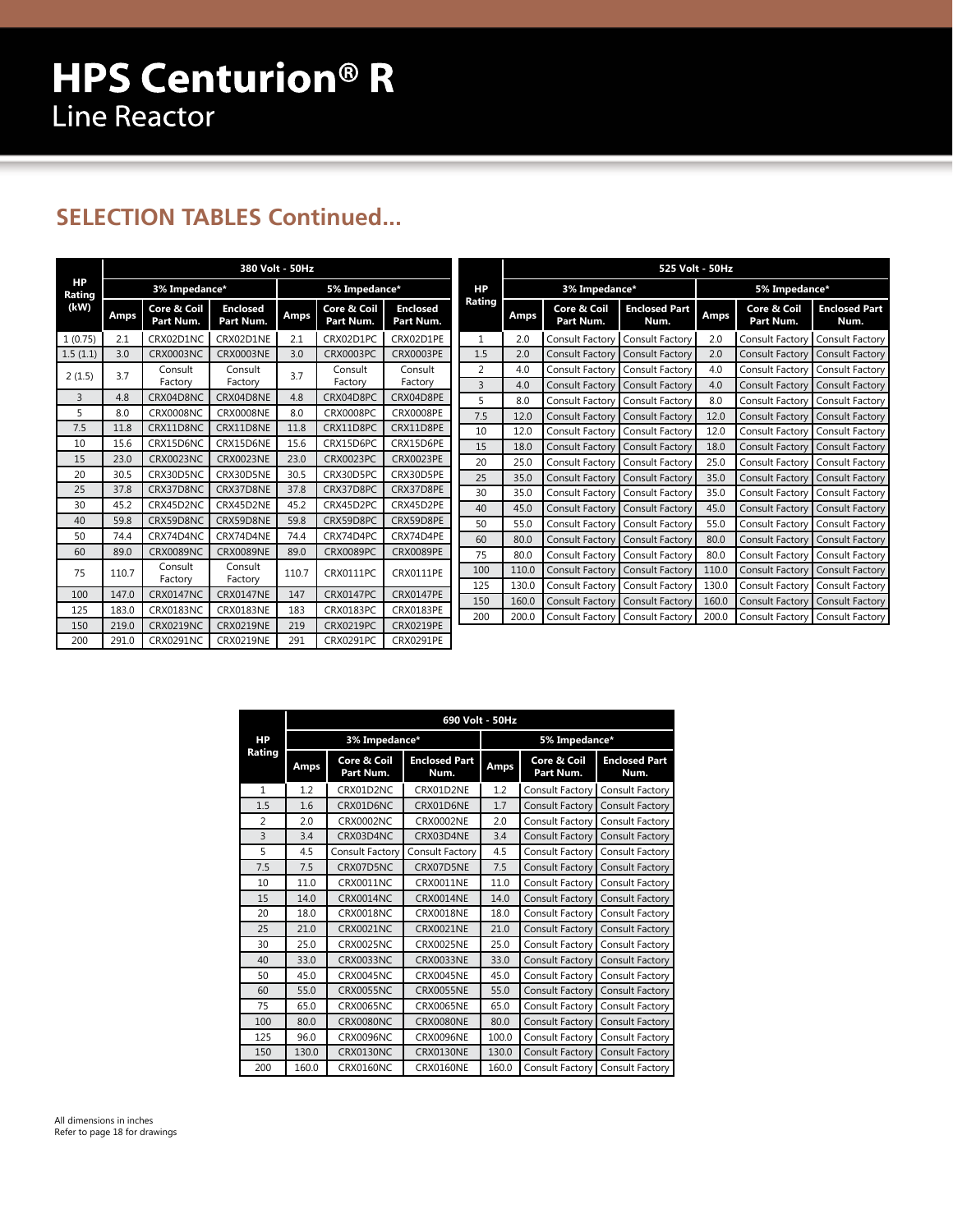## **SELECTION TABLES Continued...**

|              | 380 Volt - 50Hz |                          |                              |       |                          |                              |  |  |  |  |  |  |  |
|--------------|-----------------|--------------------------|------------------------------|-------|--------------------------|------------------------------|--|--|--|--|--|--|--|
| HP<br>Rating |                 | 3% Impedance*            |                              |       | 5% Impedance*            |                              |  |  |  |  |  |  |  |
| (kW)         | <b>Amps</b>     | Core & Coil<br>Part Num. | <b>Enclosed</b><br>Part Num. | Amps  | Core & Coil<br>Part Num. | <b>Enclosed</b><br>Part Num. |  |  |  |  |  |  |  |
| 1(0.75)      | 2.1             | CRX02D1NC                | CRX02D1NE                    | 2.1   | CRX02D1PC                | CRX02D1PE                    |  |  |  |  |  |  |  |
| 1.5(1.1)     | 3.0             | CRX0003NC                | <b>CRX0003NE</b>             | 3.0   | CRX0003PC                | CRX0003PE                    |  |  |  |  |  |  |  |
| 2(1.5)       | 3.7             | Consult<br>Factory       | Consult<br>Factory           | 3.7   | Consult<br>Factory       | Consult<br>Factory           |  |  |  |  |  |  |  |
| 3            | 4.8             | CRX04D8NC                | CRX04D8NE                    | 4.8   | CRX04D8PC                | CRX04D8PE                    |  |  |  |  |  |  |  |
| 5            | 8.0             | CRX0008NC                | <b>CRX0008NE</b>             | 8.0   | <b>CRX0008PC</b>         | <b>CRX0008PE</b>             |  |  |  |  |  |  |  |
| 7.5          | 11.8            | CRX11D8NC                | CRX11D8NE                    | 11.8  | CRX11D8PC                | CRX11D8PE                    |  |  |  |  |  |  |  |
| 10           | 15.6            | CRX15D6NC                | CRX15D6NE                    | 15.6  | CRX15D6PC                | CRX15D6PE                    |  |  |  |  |  |  |  |
| 15           | 23.0            | CRX0023NC                | <b>CRX0023NE</b>             | 23.0  | <b>CRX0023PC</b>         | <b>CRX0023PE</b>             |  |  |  |  |  |  |  |
| 20           | 30.5            | CRX30D5NC                | CRX30D5NE                    | 30.5  | CRX30D5PC                | CRX30D5PE                    |  |  |  |  |  |  |  |
| 25           | 37.8            | CRX37D8NC                | CRX37D8NE                    | 37.8  | CRX37D8PC                | CRX37D8PE                    |  |  |  |  |  |  |  |
| 30           | 45.2            | CRX45D2NC                | CRX45D2NE                    | 45.2  | CRX45D2PC                | CRX45D2PE                    |  |  |  |  |  |  |  |
| 40           | 59.8            | CRX59D8NC                | CRX59D8NE                    | 59.8  | CRX59D8PC                | CRX59D8PE                    |  |  |  |  |  |  |  |
| 50           | 74.4            | CRX74D4NC                | CRX74D4NE                    | 74.4  | CRX74D4PC                | CRX74D4PE                    |  |  |  |  |  |  |  |
| 60           | 89.0            | CRX0089NC                | <b>CRX0089NE</b>             | 89.0  | <b>CRX0089PC</b>         | <b>CRX0089PE</b>             |  |  |  |  |  |  |  |
| 75           | 110.7           | Consult<br>Factory       | Consult<br>Factory           | 110.7 | CRX0111PC                | <b>CRX0111PE</b>             |  |  |  |  |  |  |  |
| 100          | 147.0           | CRX0147NC                | <b>CRX0147NE</b>             | 147   | CRX0147PC                | <b>CRX0147PE</b>             |  |  |  |  |  |  |  |
| 125          | 183.0           | CRX0183NC                | <b>CRX0183NE</b>             | 183   | CRX0183PC                | CRX0183PE                    |  |  |  |  |  |  |  |
| 150          | 219.0           | CRX0219NC                | <b>CRX0219NE</b>             | 219   | CRX0219PC                | <b>CRX0219PE</b>             |  |  |  |  |  |  |  |
| 200          | 291.0           | CRX0291NC                | <b>CRX0219NE</b>             | 291   | CRX0291PC                | <b>CRX0291PE</b>             |  |  |  |  |  |  |  |

|                | 525 Volt - 50Hz |                          |                              |             |                          |                              |  |  |  |  |  |  |  |
|----------------|-----------------|--------------------------|------------------------------|-------------|--------------------------|------------------------------|--|--|--|--|--|--|--|
| НP             |                 | 3% Impedance*            |                              |             | 5% Impedance*            |                              |  |  |  |  |  |  |  |
| Rating         | Amps            | Core & Coil<br>Part Num. | <b>Enclosed Part</b><br>Num. | <b>Amps</b> | Core & Coil<br>Part Num. | <b>Enclosed Part</b><br>Num. |  |  |  |  |  |  |  |
| $\mathbf{1}$   | 2.0             | Consult Factory          | Consult Factory              | 2.0         | Consult Factory          | Consult Factory              |  |  |  |  |  |  |  |
| 1.5            | 2.0             | Consult Factory          | <b>Consult Factory</b>       | 2.0         | Consult Factory          | <b>Consult Factory</b>       |  |  |  |  |  |  |  |
| $\overline{2}$ | 4.0             | Consult Factory          | Consult Factory              | 4.0         | Consult Factory          | Consult Factory              |  |  |  |  |  |  |  |
| $\overline{3}$ | 4.0             | <b>Consult Factory</b>   | <b>Consult Factory</b>       | 4.0         | Consult Factory          | <b>Consult Factory</b>       |  |  |  |  |  |  |  |
| 5              | 8.0             | Consult Factory          | Consult Factory              | 8.0         | Consult Factory          | Consult Factory              |  |  |  |  |  |  |  |
| 7.5            | 12.0            | Consult Factory          | <b>Consult Factory</b>       | 12.0        | Consult Factory          | <b>Consult Factory</b>       |  |  |  |  |  |  |  |
| 10             | 12.0            | Consult Factory          | Consult Factory              | 12.0        | Consult Factory          | Consult Factory              |  |  |  |  |  |  |  |
| 15             | 18.0            | Consult Factory          | Consult Factory              | 18.0        | Consult Factory          | <b>Consult Factory</b>       |  |  |  |  |  |  |  |
| 20             | 25.0            | Consult Factory          | Consult Factory              | 25.0        | Consult Factory          | Consult Factory              |  |  |  |  |  |  |  |
| 25             | 35.0            | Consult Factory          | Consult Factory              | 35.0        | Consult Factory          | <b>Consult Factory</b>       |  |  |  |  |  |  |  |
| 30             | 35.0            | Consult Factory          | Consult Factory              | 35.0        | Consult Factory          | Consult Factory              |  |  |  |  |  |  |  |
| 40             | 45.0            | Consult Factory          | Consult Factory              | 45.0        | <b>Consult Factory</b>   | <b>Consult Factory</b>       |  |  |  |  |  |  |  |
| 50             | 55.0            | Consult Factory          | Consult Factory              | 55.0        | Consult Factory          | Consult Factory              |  |  |  |  |  |  |  |
| 60             | 80.0            | Consult Factory          | Consult Factory              | 80.0        | Consult Factory          | Consult Factory              |  |  |  |  |  |  |  |
| 75             | 80.0            | Consult Factory          | Consult Factory              | 80.0        | Consult Factory          | Consult Factory              |  |  |  |  |  |  |  |
| 100            | 110.0           | Consult Factory          | <b>Consult Factory</b>       | 110.0       | Consult Factory          | Consult Factory              |  |  |  |  |  |  |  |
| 125            | 130.0           | Consult Factory          | Consult Factory              | 130.0       | Consult Factory          | Consult Factory              |  |  |  |  |  |  |  |
| 150            | 160.0           | <b>Consult Factory</b>   | <b>Consult Factory</b>       | 160.0       | <b>Consult Factory</b>   | Consult Factory              |  |  |  |  |  |  |  |
| 200            | 200.0           | Consult Factory          | Consult Factory              | 200.0       | Consult Factory          | Consult Factory              |  |  |  |  |  |  |  |

|                |       |                          | 690 Volt - 50Hz              |       |                          |                              |
|----------------|-------|--------------------------|------------------------------|-------|--------------------------|------------------------------|
| <b>HP</b>      |       | 3% Impedance*            |                              |       | 5% Impedance*            |                              |
| Rating         | Amps  | Core & Coil<br>Part Num. | <b>Enclosed Part</b><br>Num. | Amps  | Core & Coil<br>Part Num. | <b>Enclosed Part</b><br>Num. |
| $\mathbf{1}$   | 1.2   | CRX01D2NC                | CRX01D2NE                    | 1.2   | Consult Factory          | Consult Factory              |
| 1.5            | 1.6   | CRX01D6NC                | CRX01D6NE                    | 1.7   | <b>Consult Factory</b>   | <b>Consult Factory</b>       |
| $\overline{2}$ | 2.0   | <b>CRX0002NC</b>         | <b>CRX0002NE</b>             | 2.0   | Consult Factory          | Consult Factory              |
| $\overline{3}$ | 3.4   | CRX03D4NC                | CRX03D4NE                    | 3.4   | <b>Consult Factory</b>   | Consult Factory              |
| 5              | 4.5   | Consult Factory          | Consult Factory              | 4.5   | Consult Factory          | Consult Factory              |
| 7.5            | 7.5   | CRX07D5NC                | CRX07D5NE                    | 7.5   | Consult Factory          | Consult Factory              |
| 10             | 11.0  | CRX0011NC                | <b>CRX0011NE</b>             | 11.0  | Consult Factory          | Consult Factory              |
| 15             | 14.0  | CRX0014NC                | <b>CRX0014NE</b>             | 14.0  | Consult Factory          | Consult Factory              |
| 20             | 18.0  | CRX0018NC                | <b>CRX0018NE</b>             | 18.0  | Consult Factory          | Consult Factory              |
| 25             | 21.0  | CRX0021NC                | <b>CRX0021NE</b>             | 21.0  | Consult Factory          | Consult Factory              |
| 30             | 25.0  | <b>CRX0025NC</b>         | <b>CRX0025NE</b>             | 25.0  | Consult Factory          | Consult Factory              |
| 40             | 33.0  | CRX0033NC                | CRX0033NE                    | 33.0  | <b>Consult Factory</b>   | <b>Consult Factory</b>       |
| 50             | 45.0  | CRX0045NC                | <b>CRX0045NE</b>             | 45.0  | Consult Factory          | Consult Factory              |
| 60             | 55.0  | <b>CRX0055NC</b>         | <b>CRX0055NE</b>             | 55.0  | Consult Factory          | <b>Consult Factory</b>       |
| 75             | 65.0  | <b>CRX0065NC</b>         | <b>CRX0065NE</b>             | 65.0  | Consult Factory          | Consult Factory              |
| 100            | 80.0  | <b>CRX0080NC</b>         | <b>CRX0080NE</b>             | 80.0  | <b>Consult Factory</b>   | Consult Factory              |
| 125            | 96.0  | <b>CRX0096NC</b>         | <b>CRX0096NE</b>             | 100.0 | Consult Factory          | Consult Factory              |
| 150            | 130.0 | CRX0130NC                | CRX0130NE                    | 130.0 | Consult Factory          | Consult Factory              |
| 200            | 160.0 | CRX0160NC                | CRX0160NE                    | 160.0 | Consult Factory          | Consult Factory              |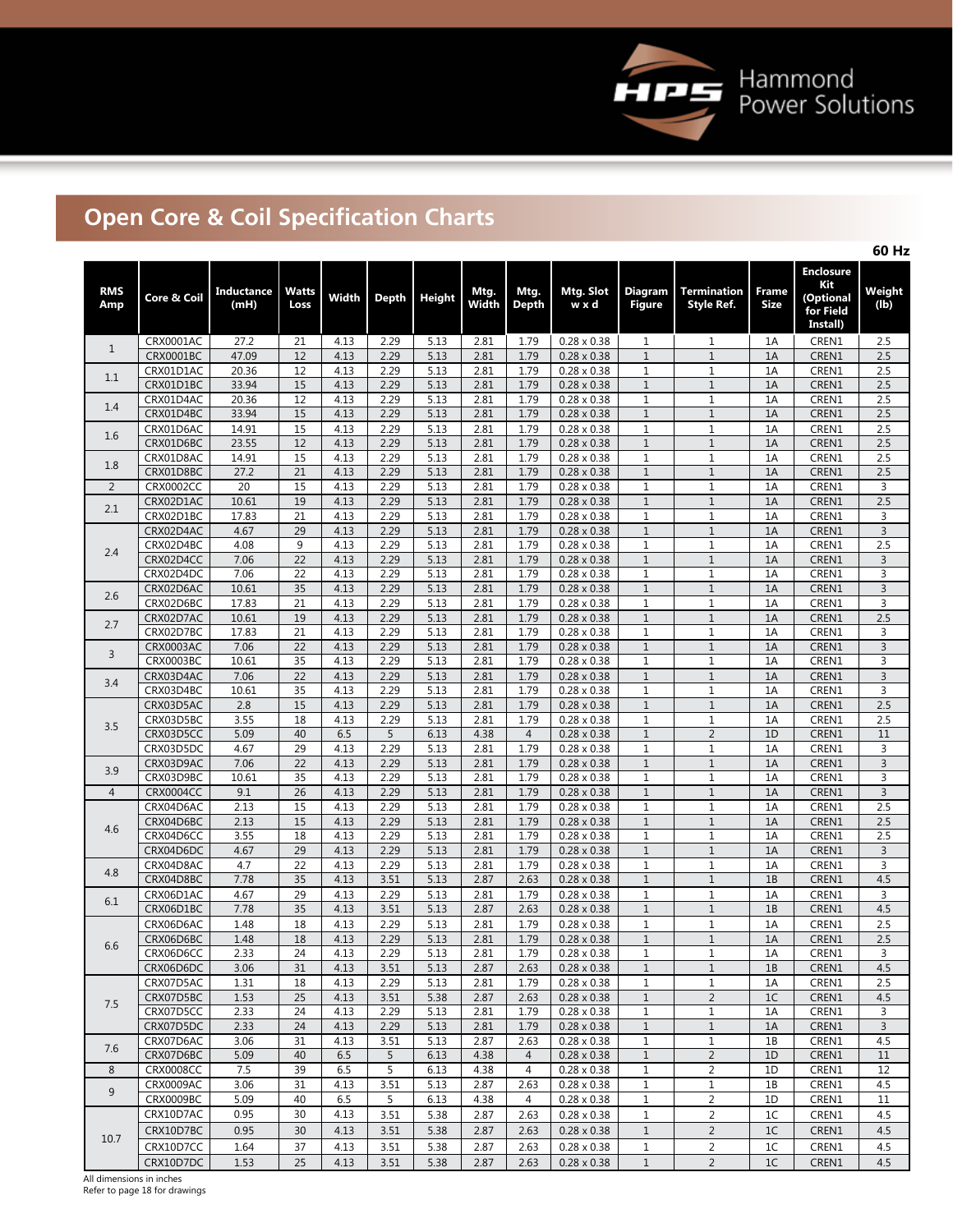

# **Open Core & Coil Specification Charts**

|                   |                        |                    |                                    |              |              |               |               |                |                                          |                                 |                                  |                      |                                                               | 60 Hz            |
|-------------------|------------------------|--------------------|------------------------------------|--------------|--------------|---------------|---------------|----------------|------------------------------------------|---------------------------------|----------------------------------|----------------------|---------------------------------------------------------------|------------------|
| <b>RMS</b><br>Amp | Core & Coil            | Inductance<br>(mH) | Watts<br>Loss                      | Width        | <b>Depth</b> | <b>Height</b> | Mtg.<br>Width | Mtg.<br>Depth  | Mtg. Slot<br>w x d                       | <b>Diagram</b><br><b>Figure</b> | <b>Termination</b><br>Style Ref. | Frame<br><b>Size</b> | <b>Enclosure</b><br>Kit<br>(Optional<br>for Field<br>Install) | Weight<br>(lb)   |
| $\mathbf{1}$      | CRX0001AC              | 27.2               | 21                                 | 4.13         | 2.29         | 5.13          | 2.81          | 1.79           | $0.28 \times 0.38$                       | $\mathbf{1}$                    | $\mathbf{1}$                     | 1A                   | CREN1                                                         | 2.5              |
|                   | CRX0001BC              | 47.09              | 12                                 | 4.13         | 2.29         | 5.13          | 2.81          | 1.79           | $0.28 \times 0.38$                       | $1\,$                           | $\mathbf{1}$                     | 1A                   | CREN1                                                         | 2.5              |
| 1.1               | CRX01D1AC              | 20.36              | 12                                 | 4.13         | 2.29         | 5.13          | 2.81          | 1.79           | $0.28 \times 0.38$                       | $\mathbf{1}$                    | $\mathbf{1}$                     | 1A                   | CREN1                                                         | 2.5              |
|                   | CRX01D1BC<br>CRX01D4AC | 33.94<br>20.36     | 15<br>12                           | 4.13<br>4.13 | 2.29<br>2.29 | 5.13<br>5.13  | 2.81<br>2.81  | 1.79<br>1.79   | $0.28 \times 0.38$<br>$0.28 \times 0.38$ | $1\,$<br>$\mathbf{1}$           | $\mathbf{1}$<br>$\mathbf 1$      | 1A<br>1A             | CREN1<br>CREN1                                                | 2.5<br>2.5       |
| 1.4               | CRX01D4BC              | 33.94              | 15                                 | 4.13         | 2.29         | 5.13          | 2.81          | 1.79           | $0.28 \times 0.38$                       | $1\,$                           | $\mathbf 1$                      | 1A                   | CREN1                                                         | 2.5              |
|                   | CRX01D6AC              | 14.91              | 15                                 | 4.13         | 2.29         | 5.13          | 2.81          | 1.79           | $0.28 \times 0.38$                       | $\mathbf{1}$                    | $\mathbf 1$                      | 1A                   | CREN1                                                         | 2.5              |
| 1.6               | CRX01D6BC              | 23.55              | 12                                 | 4.13         | 2.29         | 5.13          | 2.81          | 1.79           | $0.28 \times 0.38$                       | $1\,$                           | $\mathbf 1$                      | 1A                   | CREN1                                                         | 2.5              |
| 1.8               | CRX01D8AC              | 14.91              | 15                                 | 4.13         | 2.29         | 5.13          | 2.81          | 1.79           | $0.28 \times 0.38$                       | $\mathbf{1}$                    | $\mathbf 1$                      | 1A                   | CREN1                                                         | 2.5              |
|                   | CRX01D8BC              | 27.2               | 21                                 | 4.13         | 2.29         | 5.13          | 2.81          | 1.79           | $0.28 \times 0.38$                       | $\mathbf{1}$                    | $\mathbf 1$                      | 1A                   | CREN1                                                         | 2.5              |
| $\overline{2}$    | <b>CRX0002CC</b>       | 20                 | 15                                 | 4.13         | 2.29         | 5.13          | 2.81          | 1.79           | $0.28 \times 0.38$                       | $\mathbf{1}$                    | $\mathbf{1}$                     | 1A                   | CREN1                                                         | 3                |
| 2.1               | CRX02D1AC<br>CRX02D1BC | 10.61<br>17.83     | 19<br>21                           | 4.13<br>4.13 | 2.29<br>2.29 | 5.13<br>5.13  | 2.81<br>2.81  | 1.79<br>1.79   | $0.28 \times 0.38$<br>$0.28 \times 0.38$ | $\mathbf 1$<br>$\mathbf{1}$     | $\mathbf 1$<br>$\mathbf{1}$      | 1A<br>1A             | CREN1<br>CREN1                                                | 2.5<br>3         |
|                   | CRX02D4AC              | 4.67               | 29                                 | 4.13         | 2.29         | 5.13          | 2.81          | 1.79           | $0.28 \times 0.38$                       | $1\,$                           | $\mathbf 1$                      | 1A                   | CREN1                                                         | $\overline{3}$   |
|                   | CRX02D4BC              | 4.08               | 9                                  | 4.13         | 2.29         | 5.13          | 2.81          | 1.79           | $0.28 \times 0.38$                       | $\mathbf{1}$                    | $\mathbf 1$                      | 1A                   | CREN1                                                         | 2.5              |
| 2.4               | CRX02D4CC              | 7.06               | 22                                 | 4.13         | 2.29         | 5.13          | 2.81          | 1.79           | $0.28 \times 0.38$                       | $\mathbf{1}$                    | $\mathbf 1$                      | 1A                   | CREN1                                                         | 3                |
|                   | CRX02D4DC              | 7.06               | 22                                 | 4.13         | 2.29         | 5.13          | 2.81          | 1.79           | $0.28 \times 0.38$                       | $\mathbf{1}$                    | $\mathbf 1$                      | 1A                   | CREN1                                                         | 3                |
| 2.6               | CRX02D6AC              | 10.61              | 35                                 | 4.13         | 2.29         | 5.13          | 2.81          | 1.79           | $0.28 \times 0.38$                       | $\mathbf{1}$                    | $\mathbf 1$                      | 1A                   | CREN1                                                         | 3                |
|                   | CRX02D6BC              | 17.83              | 21                                 | 4.13         | 2.29         | 5.13          | 2.81          | 1.79           | $0.28 \times 0.38$                       | $1\,$                           | $\mathbf 1$                      | 1A                   | CREN1                                                         | 3                |
| 2.7               | CRX02D7AC<br>CRX02D7BC | 10.61<br>17.83     | 19<br>21                           | 4.13<br>4.13 | 2.29<br>2.29 | 5.13<br>5.13  | 2.81<br>2.81  | 1.79<br>1.79   | $0.28 \times 0.38$<br>$0.28 \times 0.38$ | $\mathbf{1}$<br>$\mathbf{1}$    | $\mathbf{1}$<br>$\mathbf 1$      | 1A<br>1A             | CREN1<br>CREN1                                                | 2.5<br>3         |
|                   | <b>CRX0003AC</b>       | 7.06               | 22                                 | 4.13         | 2.29         | 5.13          | 2.81          | 1.79           | $0.28 \times 0.38$                       | $1\,$                           | $\mathbf{1}$                     | 1A                   | CREN1                                                         | 3                |
| 3                 | CRX0003BC              | 10.61              | 35                                 | 4.13         | 2.29         | 5.13          | 2.81          | 1.79           | $0.28 \times 0.38$                       | $\mathbf{1}$                    | $\mathbf 1$                      | 1A                   | CREN1                                                         | 3                |
|                   | CRX03D4AC              | 7.06               | $\overline{22}$                    | 4.13         | 2.29         | 5.13          | 2.81          | 1.79           | $0.28 \times 0.38$                       | $1\,$                           | $\mathbf 1$                      | 1A                   | CREN1                                                         | $\overline{3}$   |
| 3.4               | CRX03D4BC              | 10.61              | $\overline{35}$                    | 4.13         | 2.29         | 5.13          | 2.81          | 1.79           | $0.28 \times 0.38$                       | $\mathbf{1}$                    | $\mathbf 1$                      | 1A                   | CREN1                                                         | 3                |
|                   | CRX03D5AC              | 2.8                | 15                                 | 4.13         | 2.29         | 5.13          | 2.81          | 1.79           | $0.28 \times 0.38$                       | $\,1\,$                         | $\,1\,$                          | 1A                   | CREN1                                                         | 2.5              |
| 3.5               | CRX03D5BC              | 3.55               | 18                                 | 4.13         | 2.29         | 5.13          | 2.81          | 1.79           | $0.28 \times 0.38$                       | $\mathbf{1}$                    | $\mathbf 1$                      | 1A                   | CREN1                                                         | 2.5              |
|                   | CRX03D5CC              | 5.09               | 40                                 | 6.5          | 5            | 6.13          | 4.38          | $\overline{4}$ | $0.28 \times 0.38$                       | $\mathbf{1}$                    | $\overline{2}$                   | 1D                   | CREN1                                                         | 11               |
|                   | CRX03D5DC              | 4.67               | $\overline{29}$<br>$\overline{22}$ | 4.13         | 2.29         | 5.13          | 2.81          | 1.79           | $0.28 \times 0.38$                       | $\mathbf 1$<br>$\,1\,$          | $1\,$                            | 1A<br>1A             | CREN1                                                         | 3                |
| 3.9               | CRX03D9AC<br>CRX03D9BC | 7.06<br>10.61      | 35                                 | 4.13<br>4.13 | 2.29<br>2.29 | 5.13<br>5.13  | 2.81<br>2.81  | 1.79<br>1.79   | $0.28 \times 0.38$<br>$0.28 \times 0.38$ | $\mathbf{1}$                    | $\,1\,$<br>$\mathbf 1$           | 1A                   | CREN1<br>CREN1                                                | $\mathsf 3$<br>3 |
| $\overline{4}$    | <b>CRX0004CC</b>       | 9.1                | 26                                 | 4.13         | 2.29         | 5.13          | 2.81          | 1.79           | $0.28 \times 0.38$                       | $\,1\,$                         | $\,1\,$                          | 1A                   | CREN1                                                         | $\overline{3}$   |
|                   | CRX04D6AC              | 2.13               | 15                                 | 4.13         | 2.29         | 5.13          | 2.81          | 1.79           | $0.28 \times 0.38$                       | $\mathbf{1}$                    | $\mathbf{1}$                     | 1A                   | CREN1                                                         | 2.5              |
|                   | CRX04D6BC              | 2.13               | 15                                 | 4.13         | 2.29         | 5.13          | 2.81          | 1.79           | $0.28 \times 0.38$                       | $\mathbf{1}$                    | $1\,$                            | 1A                   | CREN1                                                         | 2.5              |
| 4.6               | CRX04D6CC              | 3.55               | 18                                 | 4.13         | 2.29         | 5.13          | 2.81          | 1.79           | $0.28 \times 0.38$                       | $\mathbf{1}$                    | $\mathbf 1$                      | 1A                   | CREN1                                                         | 2.5              |
|                   | CRX04D6DC              | 4.67               | 29                                 | 4.13         | 2.29         | 5.13          | 2.81          | 1.79           | $0.28 \times 0.38$                       | $\mathbf{1}$                    | $\mathbf{1}$                     | 1A                   | CREN1                                                         | 3                |
| 4.8               | CRX04D8AC              | 4.7                | 22                                 | 4.13         | 2.29         | 5.13          | 2.81          | 1.79           | $0.28 \times 0.38$                       | $\mathbf{1}$                    | $\mathbf 1$                      | 1A                   | CREN1                                                         | 3                |
|                   | CRX04D8BC<br>CRX06D1AC | 7.78<br>4.67       | 35<br>29                           | 4.13<br>4.13 | 3.51<br>2.29 | 5.13<br>5.13  | 2.87<br>2.81  | 2.63<br>1.79   | $0.28 \times 0.38$<br>$0.28 \times 0.38$ | $\mathbf{1}$<br>$\mathbf{1}$    | $\mathbf{1}$<br>$\mathbf 1$      | 1B<br>1A             | CREN1<br>CREN1                                                | 4.5<br>3         |
| 6.1               | CRX06D1BC              | 7.78               | 35                                 | 4.13         | 3.51         | 5.13          | 2.87          | 2.63           | $0.28 \times 0.38$                       | $1\,$                           | $\mathbf{1}$                     | 1B                   | CREN1                                                         | 4.5              |
|                   | CRX06D6AC              | 1.48               | 18                                 | 4.13         | 2.29         | 5.13          | 2.81          | 1.79           | $0.28 \times 0.38$                       | $\mathbf{1}$                    | $\mathbf 1$                      | 1A                   | CREN1                                                         | 2.5              |
|                   | CRX06D6BC              | 1.48               | $18$                               | 4.13         | 2.29         | 5.13          | 2.81          | 1.79           | $0.28 \times 0.38$                       | $\mathbf{1}$                    | $\overline{1}$                   | $1A$                 | CREN1                                                         | $\overline{2.5}$ |
| 6.6               | CRX06D6CC              | 2.33               | 24                                 | 4.13         | 2.29         | 5.13          | 2.81          | 1.79           | $0.28 \times 0.38$                       | 1                               | 1                                | 1A                   | CREN1                                                         | 3                |
|                   | CRX06D6DC              | 3.06               | 31                                 | 4.13         | 3.51         | 5.13          | 2.87          | 2.63           | $0.28 \times 0.38$                       | $\mathbf{1}$                    | $1\,$                            | 1B                   | CREN1                                                         | 4.5              |
|                   | CRX07D5AC              | 1.31               | 18                                 | 4.13         | 2.29         | 5.13          | 2.81          | 1.79           | $0.28 \times 0.38$                       | $\mathbf{1}$                    | $\mathbf 1$                      | 1A                   | CREN1                                                         | 2.5              |
| 7.5               | CRX07D5BC              | 1.53               | 25                                 | 4.13         | 3.51         | 5.38          | 2.87          | 2.63           | $0.28 \times 0.38$                       | $\mathbf{1}$                    | $\overline{2}$                   | 1C                   | CREN1                                                         | 4.5              |
|                   | CRX07D5CC              | 2.33               | 24                                 | 4.13         | 2.29         | 5.13          | 2.81          | 1.79           | $0.28 \times 0.38$                       | $\mathbf{1}$                    | $\mathbf 1$                      | 1A                   | CREN1                                                         | 3                |
|                   | CRX07D5DC<br>CRX07D6AC | 2.33<br>3.06       | 24<br>31                           | 4.13<br>4.13 | 2.29<br>3.51 | 5.13<br>5.13  | 2.81<br>2.87  | 1.79<br>2.63   | $0.28 \times 0.38$<br>$0.28 \times 0.38$ | $\mathbf{1}$<br>$\mathbf{1}$    | $\mathbf 1$<br>$\mathbf{1}$      | 1A<br>1B             | CREN1<br>CREN1                                                | 3<br>4.5         |
| 7.6               | CRX07D6BC              | 5.09               | 40                                 | 6.5          | 5            | 6.13          | 4.38          | 4              | $0.28 \times 0.38$                       | $\mathbf{1}$                    | $\overline{2}$                   | 1D                   | CREN1                                                         | 11               |
| 8                 | <b>CRX0008CC</b>       | 7.5                | 39                                 | 6.5          | 5            | 6.13          | 4.38          | 4              | $0.28 \times 0.38$                       | $\mathbf{1}$                    | $\overline{2}$                   | 1D                   | CREN1                                                         | 12               |
| 9                 | CRX0009AC              | 3.06               | 31                                 | 4.13         | 3.51         | 5.13          | 2.87          | 2.63           | $0.28 \times 0.38$                       | $\mathbf{1}$                    | $\mathbf 1$                      | 1B                   | CREN1                                                         | 4.5              |
|                   | CRX0009BC              | 5.09               | 40                                 | 6.5          | 5            | 6.13          | 4.38          | 4              | $0.28 \times 0.38$                       | $\mathbf{1}$                    | $\overline{2}$                   | 1D                   | CREN1                                                         | 11               |
|                   | CRX10D7AC              | 0.95               | 30                                 | 4.13         | 3.51         | 5.38          | 2.87          | 2.63           | $0.28 \times 0.38$                       | $\mathbf{1}$                    | $\overline{2}$                   | 1C                   | CREN1                                                         | 4.5              |
| 10.7              | CRX10D7BC              | 0.95               | 30                                 | 4.13         | 3.51         | 5.38          | 2.87          | 2.63           | $0.28 \times 0.38$                       | $\mathbf{1}$                    | $\overline{2}$                   | 1C                   | CREN1                                                         | 4.5              |
|                   | CRX10D7CC              | 1.64               | 37                                 | 4.13         | 3.51         | 5.38          | 2.87          | 2.63           | $0.28 \times 0.38$                       | $\mathbf{1}$                    | $\overline{2}$                   | 1C                   | CREN1                                                         | 4.5              |
|                   | CRX10D7DC              | 1.53               | 25                                 | 4.13         | 3.51         | 5.38          | 2.87          | 2.63           | $0.28 \times 0.38$                       | $\mathbf{1}$                    | $\overline{2}$                   | 1C                   | CREN1                                                         | 4.5              |

All dimensions in inches Refer to page 18 for drawings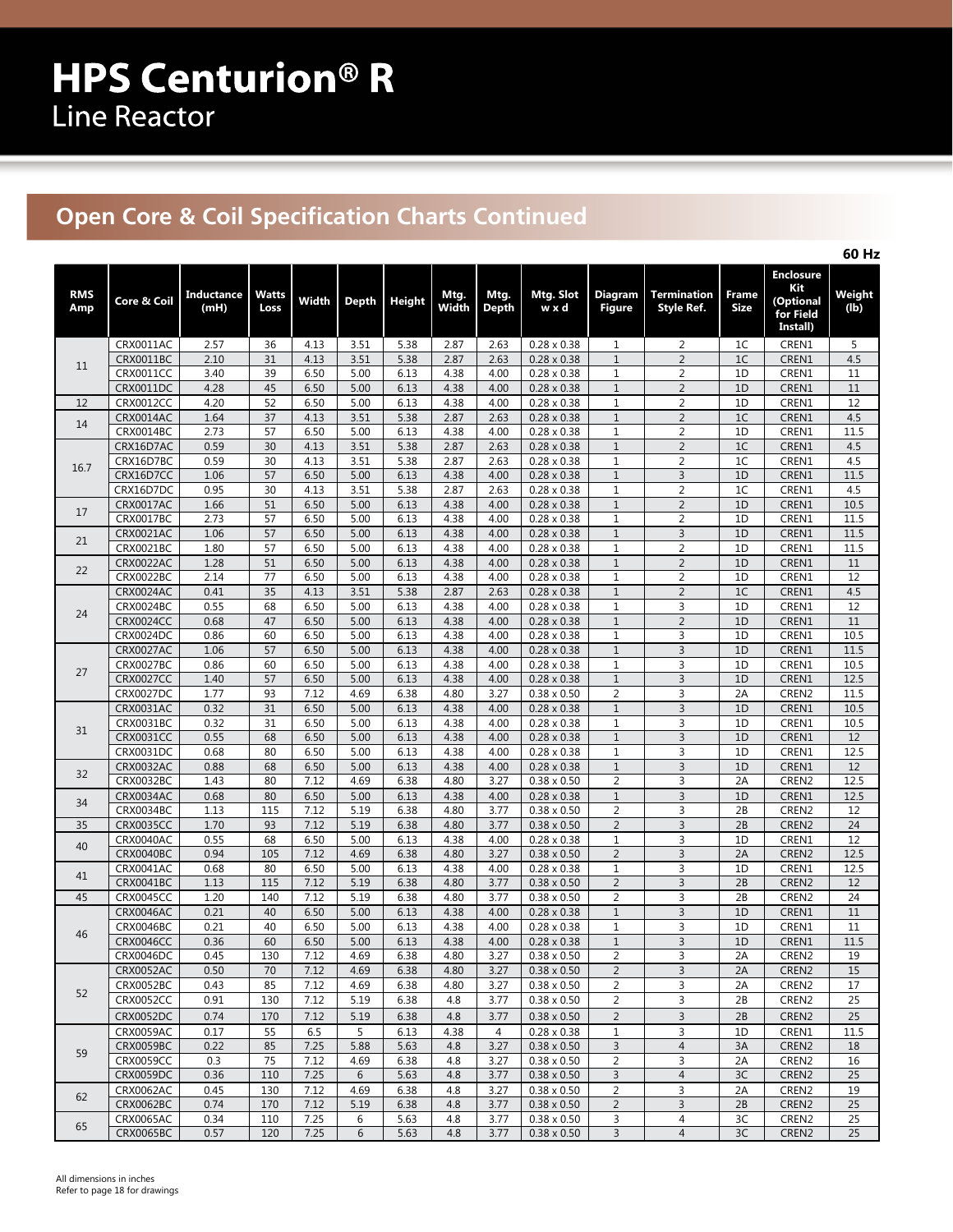## **Open Core & Coil Specification Charts Continued**

|                   |                               |                           |                 |              |              |               |               |                      |                                          |                                |                                         |                      |                                                               | 60 Hz           |
|-------------------|-------------------------------|---------------------------|-----------------|--------------|--------------|---------------|---------------|----------------------|------------------------------------------|--------------------------------|-----------------------------------------|----------------------|---------------------------------------------------------------|-----------------|
| <b>RMS</b><br>Amp | Core & Coil                   | <b>Inductance</b><br>(mH) | Watts<br>Loss   | Width        | <b>Depth</b> | <b>Height</b> | Mtg.<br>Width | Mtg.<br><b>Depth</b> | Mtg. Slot<br>w x d                       | Diagram<br><b>Figure</b>       | <b>Termination</b><br><b>Style Ref.</b> | Frame<br><b>Size</b> | <b>Enclosure</b><br>Kit<br>(Optional<br>for Field<br>Install) | Weight<br>(lb)  |
|                   | CRX0011AC                     | 2.57                      | 36              | 4.13         | 3.51         | 5.38          | 2.87          | 2.63                 | $0.28 \times 0.38$                       | $\mathbf{1}$                   | 2                                       | 1 <sup>C</sup>       | CREN1                                                         | 5               |
| 11                | CRX0011BC                     | 2.10                      | 31              | 4.13         | 3.51         | 5.38          | 2.87          | 2.63                 | $0.28 \times 0.38$                       | $\mathbf{1}$                   | $\overline{2}$                          | 1 <sup>C</sup>       | CREN1                                                         | 4.5             |
|                   | <b>CRX0011CC</b>              | 3.40                      | 39              | 6.50         | 5.00         | 6.13          | 4.38          | 4.00                 | $0.28 \times 0.38$                       | $\mathbf{1}$                   | $\overline{2}$                          | 1D                   | CREN1                                                         | 11              |
|                   | CRX0011DC                     | 4.28                      | 45              | 6.50         | 5.00         | 6.13          | 4.38          | 4.00                 | $0.28 \times 0.38$                       | $1\,$                          | $\overline{2}$                          | 1D                   | CREN1                                                         | 11              |
| 12                | <b>CRX0012CC</b>              | 4.20                      | 52              | 6.50         | 5.00         | 6.13          | 4.38          | 4.00                 | $0.28 \times 0.38$                       | $\mathbf{1}$                   | $\overline{2}$                          | 1D                   | CREN1                                                         | 12              |
| 14                | CRX0014AC                     | 1.64                      | 37              | 4.13         | 3.51         | 5.38          | 2.87          | 2.63                 | $0.28 \times 0.38$                       | $\mathbf{1}$                   | $\overline{2}$                          | 1 <sup>C</sup>       | CREN1                                                         | 4.5             |
|                   | CRX0014BC<br>CRX16D7AC        | 2.73<br>0.59              | 57<br>30        | 6.50<br>4.13 | 5.00<br>3.51 | 6.13<br>5.38  | 4.38<br>2.87  | 4.00<br>2.63         | $0.28 \times 0.38$<br>$0.28 \times 0.38$ | 1<br>$1\,$                     | $\overline{2}$<br>$\overline{2}$        | 1D<br>1C             | CREN1<br>CREN1                                                | 11.5<br>4.5     |
|                   | CRX16D7BC                     | 0.59                      | 30              | 4.13         | 3.51         | 5.38          | 2.87          | 2.63                 | $0.28 \times 0.38$                       | $\mathbf{1}$                   | $\overline{2}$                          | 1 <sup>C</sup>       | CREN1                                                         | 4.5             |
| 16.7              | CRX16D7CC                     | 1.06                      | 57              | 6.50         | 5.00         | 6.13          | 4.38          | 4.00                 | $0.28 \times 0.38$                       | $\mathbf{1}$                   | $\overline{\mathbf{3}}$                 | 1D                   | CREN1                                                         | 11.5            |
|                   | CRX16D7DC                     | 0.95                      | 30              | 4.13         | 3.51         | 5.38          | 2.87          | 2.63                 | $0.28 \times 0.38$                       | $\mathbf{1}$                   | $\overline{2}$                          | 1C                   | CREN1                                                         | 4.5             |
|                   | CRX0017AC                     | 1.66                      | 51              | 6.50         | 5.00         | 6.13          | 4.38          | 4.00                 | $0.28 \times 0.38$                       | $\mathbf{1}$                   | $\overline{2}$                          | 1D                   | CREN1                                                         | 10.5            |
| 17                | CRX0017BC                     | 2.73                      | 57              | 6.50         | 5.00         | 6.13          | 4.38          | 4.00                 | $0.28 \times 0.38$                       | $\mathbf{1}$                   | $\overline{2}$                          | 1D                   | CREN1                                                         | 11.5            |
|                   | CRX0021AC                     | 1.06                      | 57              | 6.50         | 5.00         | 6.13          | 4.38          | 4.00                 | $0.28 \times 0.38$                       | $\mathbf{1}$                   | $\mathsf{3}$                            | 1D                   | CREN1                                                         | 11.5            |
| 21                | CRX0021BC                     | 1.80                      | 57              | 6.50         | 5.00         | 6.13          | 4.38          | 4.00                 | $0.28 \times 0.38$                       | $\mathbf{1}$                   | $\overline{2}$                          | 1D                   | CREN1                                                         | 11.5            |
| 22                | <b>CRX0022AC</b>              | 1.28                      | 51              | 6.50         | 5.00         | 6.13          | 4.38          | 4.00                 | $0.28 \times 0.38$                       | $\mathbf{1}$                   | $\overline{2}$                          | 1D                   | CREN1                                                         | $11\,$          |
|                   | CRX0022BC                     | 2.14                      | $\overline{77}$ | 6.50         | 5.00         | 6.13          | 4.38          | 4.00                 | $0.28 \times 0.38$                       | $\mathbf{1}$                   | $\overline{2}$                          | 1D                   | CREN1                                                         | 12              |
|                   | <b>CRX0024AC</b>              | 0.41                      | $\overline{35}$ | 4.13         | 3.51         | 5.38          | 2.87          | 2.63                 | $0.28 \times 0.38$                       | $\mathbf{1}$                   | $\overline{2}$                          | 1 <sup>C</sup>       | CREN1                                                         | 4.5             |
| 24                | CRX0024BC                     | 0.55                      | 68              | 6.50         | 5.00         | 6.13          | 4.38          | 4.00                 | $0.28 \times 0.38$                       | $1\,$                          | 3                                       | 1D                   | CREN1                                                         | 12              |
|                   | <b>CRX0024CC</b>              | 0.68                      | 47              | 6.50         | 5.00         | 6.13          | 4.38          | 4.00                 | $0.28 \times 0.38$                       | $1\,$                          | $\overline{2}$                          | 1D                   | CREN1                                                         | 11              |
|                   | CRX0024DC<br><b>CRX0027AC</b> | 0.86                      | 60              | 6.50         | 5.00         | 6.13          | 4.38<br>4.38  | 4.00                 | $0.28 \times 0.38$                       | $\mathbf{1}$                   | 3                                       | 1D                   | CREN1<br>CREN1                                                | 10.5            |
|                   | <b>CRX0027BC</b>              | 1.06<br>0.86              | 57<br>60        | 6.50<br>6.50 | 5.00<br>5.00 | 6.13<br>6.13  | 4.38          | 4.00<br>4.00         | $0.28 \times 0.38$<br>$0.28 \times 0.38$ | $\mathbf{1}$<br>$\mathbf{1}$   | $\overline{3}$<br>3                     | 1D<br>1D             | CREN1                                                         | 11.5<br>10.5    |
| 27                | <b>CRX0027CC</b>              | 1.40                      | 57              | 6.50         | 5.00         | 6.13          | 4.38          | 4.00                 | $0.28 \times 0.38$                       | $\mathbf{1}$                   | $\overline{3}$                          | 1D                   | CREN1                                                         | 12.5            |
|                   | CRX0027DC                     | 1.77                      | 93              | 7.12         | 4.69         | 6.38          | 4.80          | 3.27                 | $0.38 \times 0.50$                       | $\overline{2}$                 | 3                                       | 2A                   | CREN2                                                         | 11.5            |
|                   | CRX0031AC                     | 0.32                      | 31              | 6.50         | 5.00         | 6.13          | 4.38          | 4.00                 | $0.28 \times 0.38$                       | $\mathbf{1}$                   | $\overline{3}$                          | 1D                   | CREN1                                                         | 10.5            |
|                   | CRX0031BC                     | 0.32                      | 31              | 6.50         | 5.00         | 6.13          | 4.38          | 4.00                 | $0.28 \times 0.38$                       | $\mathbf{1}$                   | 3                                       | 1D                   | CREN1                                                         | 10.5            |
| 31                | CRX0031CC                     | 0.55                      | 68              | 6.50         | 5.00         | 6.13          | 4.38          | 4.00                 | $0.28 \times 0.38$                       | $\mathbf{1}$                   | $\overline{3}$                          | 1D                   | CREN1                                                         | 12              |
|                   | CRX0031DC                     | 0.68                      | 80              | 6.50         | 5.00         | 6.13          | 4.38          | 4.00                 | $0.28 \times 0.38$                       | $1\,$                          | 3                                       | 1D                   | CREN1                                                         | 12.5            |
| 32                | CRX0032AC                     | 0.88                      | 68              | 6.50         | 5.00         | 6.13          | 4.38          | 4.00                 | $0.28 \times 0.38$                       | $\mathbf{1}$                   | $\overline{3}$                          | 1D                   | CREN1                                                         | 12              |
|                   | CRX0032BC                     | 1.43                      | 80              | 7.12         | 4.69         | 6.38          | 4.80          | 3.27                 | $0.38 \times 0.50$                       | $\overline{2}$                 | 3                                       | 2A                   | CREN2                                                         | 12.5            |
| 34                | CRX0034AC                     | 0.68                      | 80              | 6.50         | 5.00         | 6.13          | 4.38          | 4.00                 | $0.28 \times 0.38$                       | $\mathbf{1}$                   | $\overline{3}$                          | 1D                   | CREN1                                                         | 12.5            |
|                   | CRX0034BC                     | 1.13                      | 115             | 7.12         | 5.19         | 6.38          | 4.80          | 3.77                 | $0.38 \times 0.50$                       | $\overline{2}$                 | 3                                       | 2B                   | CREN2                                                         | 12              |
| 35                | <b>CRX0035CC</b>              | 1.70                      | 93              | 7.12         | 5.19         | 6.38          | 4.80          | 3.77                 | $0.38 \times 0.50$                       | $\overline{2}$                 | $\overline{3}$                          | 2B                   | CREN2                                                         | $\overline{24}$ |
| 40                | CRX0040AC                     | 0.55                      | 68              | 6.50         | 5.00         | 6.13          | 4.38          | 4.00                 | $0.28 \times 0.38$                       | $\mathbf{1}$                   | 3                                       | 1D                   | CREN1                                                         | 12              |
|                   | CRX0040BC                     | 0.94                      | 105             | 7.12         | 4.69         | 6.38          | 4.80          | 3.27                 | $0.38 \times 0.50$                       | $\overline{2}$                 | 3                                       | 2A                   | CREN2                                                         | 12.5            |
| 41                | CRX0041AC<br>CRX0041BC        | 0.68<br>1.13              | 80<br>115       | 6.50<br>7.12 | 5.00<br>5.19 | 6.13<br>6.38  | 4.38<br>4.80  | 4.00<br>3.77         | $0.28 \times 0.38$<br>$0.38 \times 0.50$ | $\mathbf{1}$<br>$\overline{2}$ | 3<br>$\overline{3}$                     | 1D<br>2B             | CREN1<br>CREN2                                                | 12.5<br>12      |
| 45                | <b>CRX0045CC</b>              | 1.20                      | 140             | 7.12         | 5.19         | 6.38          | 4.80          | 3.77                 | $0.38 \times 0.50$                       | $\overline{2}$                 | 3                                       | 2B                   | CREN2                                                         | 24              |
|                   | CRX0046AC                     | 0.21                      | 40              | 6.50         | 5.00         | 6.13          | 4.38          | 4.00                 | $0.28 \times 0.38$                       | $\mathbf{1}$                   | $\overline{3}$                          | 1D                   | CREN1                                                         | 11              |
|                   | CRX0046BC                     | 0.21                      | 40              | 6.50         | 5.00         | 6.13          | 4.38          | 4.00                 | $0.28 \times 0.38$                       | $\mathbf{1}$                   | 3                                       | 1D                   | CREN1                                                         | 11              |
| 46                | <b>CRX0046CC</b>              | 0.36                      | 60              | 6.50         | $5.00$       | 6.13          | 4.38          | 4.00                 | $0.28 \times 0.38$                       | $\mathbf{1}$                   | $\overline{\mathbf{3}}$                 | $1\textsf{D}$        | CREN1                                                         | $11.5$          |
|                   | CRX0046DC                     | 0.45                      | 130             | 7.12         | 4.69         | 6.38          | 4.80          | 3.27                 | $0.38 \times 0.50$                       | 2                              | 3                                       | 2A                   | CREN <sub>2</sub>                                             | 19              |
|                   | <b>CRX0052AC</b>              | 0.50                      | 70              | 7.12         | 4.69         | 6.38          | 4.80          | 3.27                 | $0.38 \times 0.50$                       | $\overline{2}$                 | $\overline{3}$                          | 2A                   | CREN2                                                         | 15              |
|                   | CRX0052BC                     | 0.43                      | 85              | 7.12         | 4.69         | 6.38          | 4.80          | 3.27                 | $0.38 \times 0.50$                       | 2                              | 3                                       | 2A                   | CREN <sub>2</sub>                                             | 17              |
| 52                | CRX0052CC                     | 0.91                      | 130             | 7.12         | 5.19         | 6.38          | 4.8           | 3.77                 | $0.38 \times 0.50$                       | $\overline{2}$                 | 3                                       | 2B                   | CREN2                                                         | 25              |
|                   | <b>CRX0052DC</b>              | 0.74                      | 170             | 7.12         | 5.19         | 6.38          | 4.8           | 3.77                 | $0.38 \times 0.50$                       | $\overline{2}$                 | $\overline{3}$                          | 2B                   | CREN <sub>2</sub>                                             | 25              |
|                   | CRX0059AC                     | 0.17                      | 55              | 6.5          | 5            | 6.13          | 4.38          | 4                    | $0.28 \times 0.38$                       | 1                              | 3                                       | 1D                   | CREN1                                                         | 11.5            |
| 59                | <b>CRX0059BC</b>              | 0.22                      | 85              | 7.25         | 5.88         | 5.63          | 4.8           | 3.27                 | $0.38 \times 0.50$                       | 3                              | $\overline{4}$                          | 3A                   | CREN <sub>2</sub>                                             | 18              |
|                   | <b>CRX0059CC</b>              | 0.3                       | 75              | 7.12         | 4.69         | 6.38          | 4.8           | 3.27                 | $0.38 \times 0.50$                       | 2                              | 3                                       | 2A                   | CREN <sub>2</sub>                                             | 16              |
|                   | <b>CRX0059DC</b>              | 0.36                      | 110             | 7.25         | 6            | 5.63          | 4.8           | 3.77                 | $0.38 \times 0.50$                       | 3                              | 4                                       | 3C                   | CREN2                                                         | 25              |
| 62                | CRX0062AC                     | 0.45                      | 130             | 7.12         | 4.69         | 6.38          | 4.8           | 3.27                 | $0.38 \times 0.50$                       | $\overline{2}$                 | 3                                       | 2A                   | CREN <sub>2</sub>                                             | 19              |
|                   | <b>CRX0062BC</b>              | 0.74                      | 170             | 7.12         | 5.19         | 6.38          | 4.8           | 3.77                 | $0.38 \times 0.50$                       | $\overline{2}$                 | 3                                       | 2B                   | CREN <sub>2</sub>                                             | 25              |
| 65                | CRX0065AC                     | 0.34                      | 110             | 7.25         | 6            | 5.63          | 4.8           | 3.77                 | $0.38 \times 0.50$                       | 3                              | 4                                       | 3C                   | CREN2                                                         | 25              |
|                   | CRX0065BC                     | 0.57                      | 120             | 7.25         | 6            | 5.63          | 4.8           | 3.77                 | $0.38 \times 0.50$                       | 3                              | $\overline{4}$                          | 3C                   | CREN2                                                         | 25              |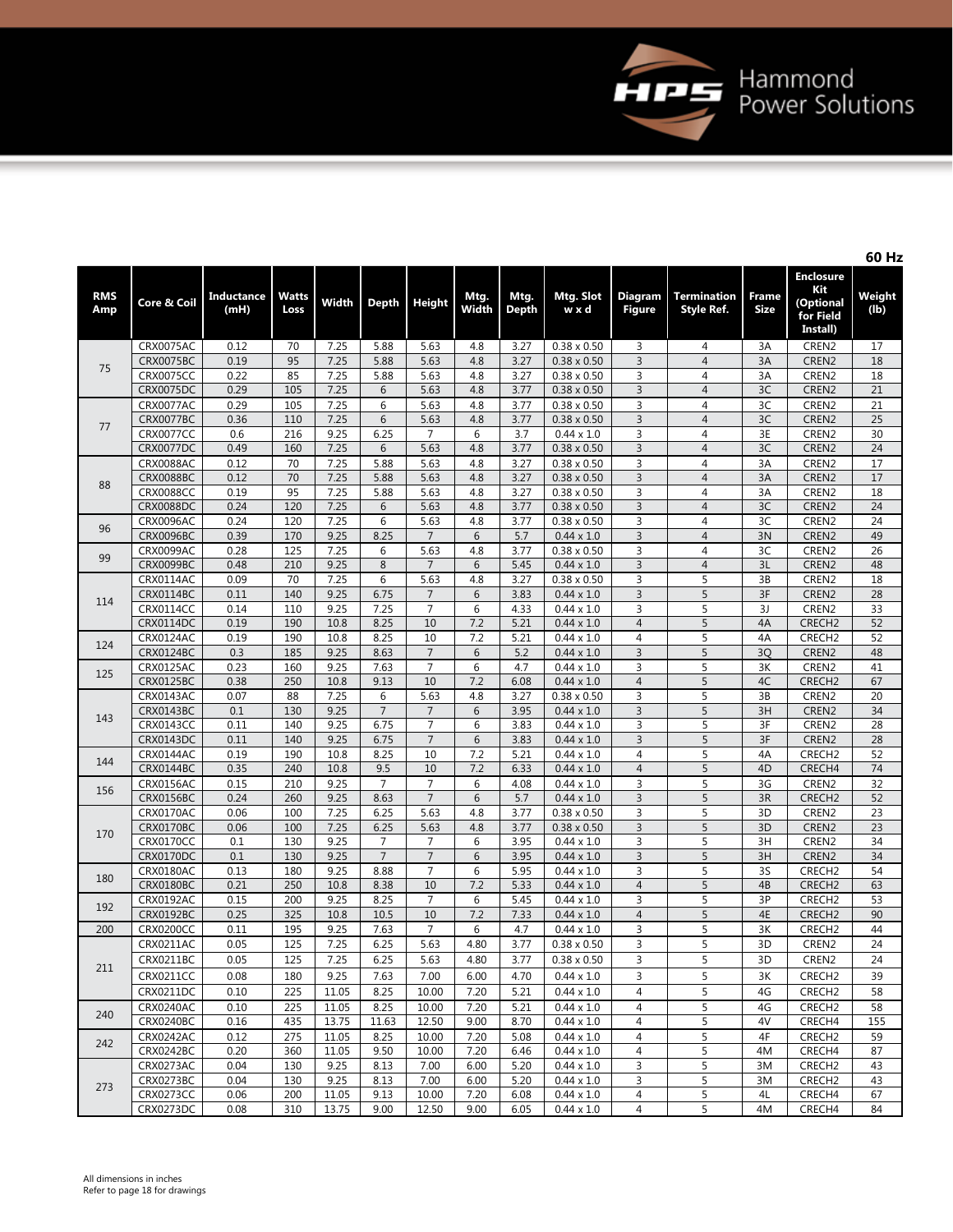

**60 Hz**

| <b>Height</b>  | Mtg.<br>Width | Mtg.<br><b>Depth</b> | Mtg. Slot<br>wxd   | <b>Diagram</b><br><b>Figure</b> | <b>Termination</b><br><b>Style Ref.</b> | <b>Frame</b><br>Size | <b>Enclosure</b><br>Kit<br>(Optional<br>for Field<br>Install) | Weight<br>(1b) |
|----------------|---------------|----------------------|--------------------|---------------------------------|-----------------------------------------|----------------------|---------------------------------------------------------------|----------------|
| 5.63           | 4.8           | 3.27                 | $0.38 \times 0.50$ | 3                               | $\overline{4}$                          | 3A                   | CREN2                                                         | 17             |
| 5.63           | 4.8           | 3.27                 | $0.38 \times 0.50$ | 3                               | $\overline{4}$                          | 3A                   | CREN2                                                         | 18             |
| 5.63           | 4.8           | 3.27                 | $0.38 \times 0.50$ | 3                               | 4                                       | 3A                   | CREN2                                                         | 18             |
| 5.63           | 4.8           | 3.77                 | $0.38 \times 0.50$ | $\overline{3}$                  | $\overline{4}$                          | 3C                   | CREN2                                                         | 21             |
| 5.63           | 4.8           | 3.77                 | $0.38 \times 0.50$ | 3                               | 4                                       | 3C                   | CREN <sub>2</sub>                                             | 21             |
| 5.63           | 4.8           | 3.77                 | $0.38 \times 0.50$ | 3                               | $\overline{4}$                          | 3C                   | CREN2                                                         | 25             |
| 7              | 6             | 3.7                  | $0.44 \times 1.0$  | 3                               | 4                                       | 3E                   | CREN2                                                         | 30             |
| 5.63           | 4.8           | 3.77                 | $0.38 \times 0.50$ | $\overline{3}$                  | $\overline{4}$                          | 3C                   | CREN <sub>2</sub>                                             | 24             |
| 5.63           | 4.8           | 3.27                 | $0.38 \times 0.50$ | 3                               | 4                                       | 3A                   | CREN <sub>2</sub>                                             | 17             |
| 5.63           | 4.8           | 3.27                 | $0.38 \times 0.50$ | $\overline{3}$                  | 4                                       | 3A                   | CREN2                                                         | 17             |
| 5.63           | 4.8           | 3.27                 | $0.38 \times 0.50$ | 3                               | 4                                       | 3A                   | CREN2                                                         | 18             |
| 5.63           | 4.8           | 3.77                 | $0.38 \times 0.50$ | $\overline{3}$                  | 4                                       | 3C                   | CREN <sub>2</sub>                                             | 24             |
| 5.63           | 4.8           | 3.77                 | $0.38 \times 0.50$ | $\overline{3}$                  | $\overline{4}$                          | 3C                   | CREN2                                                         | 24             |
| 7              | 6             | 5.7                  | $0.44 \times 1.0$  | $\overline{3}$                  | $\overline{4}$                          | 3N                   | CREN2                                                         | 49             |
| 5.63           | 4.8           | 3.77                 | $0.38 \times 0.50$ | 3                               | 4                                       | 3C                   | CREN2                                                         | 26             |
| 7              | 6             | 5.45                 | $0.44 \times 1.0$  | $\overline{3}$                  | $\overline{4}$                          | 3L                   | CREN <sub>2</sub>                                             | 48             |
| 5.63           | 4.8           | 3.27                 | $0.38 \times 0.50$ | 3                               | 5                                       | 3B                   | CREN2                                                         | 18             |
| $\overline{7}$ | 6             | 3.83                 | $0.44 \times 1.0$  | $\overline{3}$                  | 5                                       | 3F                   | CREN2                                                         | 28             |
| $\overline{7}$ | 6             | 4.33                 | $0.44 \times 1.0$  | $\overline{3}$                  | 5                                       | 3J                   | CREN2                                                         | 33             |
| 10             | 7.2           | 5.21                 | $0.44 \times 1.0$  | $\overline{4}$                  | 5                                       | 4A                   | CRECH <sub>2</sub>                                            | 52             |
| 10             | 7.2           | 5.21                 | $0.44 \times 1.0$  | 4                               | 5                                       | 4A                   | CRECH <sub>2</sub>                                            | 52             |
| $\overline{7}$ | 6             | 5.2                  | $0.44 \times 1.0$  | $\overline{3}$                  | $\overline{5}$                          | 3Q                   | CREN2                                                         | 48             |
| $\overline{7}$ | 6             | 4.7                  | $0.44 \times 1.0$  | $\overline{3}$                  | 5                                       | 3K                   | CREN <sub>2</sub>                                             | 41             |
| 10             | 7.2           | 6.08                 | $0.44 \times 1.0$  | $\overline{4}$                  | $\overline{5}$                          | 4C                   | CRECH <sub>2</sub>                                            | 67             |
| 5.63           | 4.8           | 3.27                 | $0.38 \times 0.50$ | 3                               | 5                                       | 3B                   | CREN2                                                         | 20             |
| $\overline{7}$ | 6             | 3.95                 | $0.44 \times 1.0$  | $\overline{3}$                  | 5                                       | 3H                   | CREN <sub>2</sub>                                             | 34             |
| $\overline{7}$ | 6             | 3.83                 | $0.44 \times 1.0$  | $\overline{3}$                  | 5                                       | 3F                   | CREN2                                                         | 28             |
| $\overline{7}$ | 6             | 3.83                 | $0.44 \times 1.0$  | $\overline{3}$                  | 5                                       | 3F                   | CREN2                                                         | 28             |
| 10             | 7.2           | 5.21                 | $0.44 \times 1.0$  | $\overline{4}$                  | 5                                       | 4A                   | CRECH <sub>2</sub>                                            | 52             |
| 10             | 7.2           | 6.33                 | $0.44 \times 1.0$  | $\overline{4}$                  | 5                                       | 4D                   | CRECH4                                                        | 74             |
|                |               |                      |                    |                                 |                                         |                      |                                                               |                |

|     |                  |      |     |              |                |                                  |      |              |                    |                |                |                | Install)           |                 |
|-----|------------------|------|-----|--------------|----------------|----------------------------------|------|--------------|--------------------|----------------|----------------|----------------|--------------------|-----------------|
|     | CRX0075AC        | 0.12 | 70  | 7.25         | 5.88           | 5.63                             | 4.8  | 3.27         | $0.38 \times 0.50$ | 3              | $\overline{4}$ | 3A             | CREN2              | 17              |
|     | <b>CRX0075BC</b> | 0.19 | 95  | 7.25         | 5.88           | 5.63                             | 4.8  | 3.27         | $0.38 \times 0.50$ | $\overline{3}$ | $\overline{4}$ | 3A             | CREN2              | 18              |
| 75  | <b>CRX0075CC</b> | 0.22 | 85  | 7.25         | 5.88           | 5.63                             | 4.8  | 3.27         | $0.38 \times 0.50$ | $\overline{3}$ | $\overline{4}$ | 3A             | CREN2              | 18              |
|     | <b>CRX0075DC</b> | 0.29 | 105 | 7.25         | 6              | 5.63                             | 4.8  | 3.77         | $0.38 \times 0.50$ | 3              | $\overline{4}$ | 3C             | CREN2              | 21              |
|     | CRX0077AC        | 0.29 | 105 | 7.25         | 6              | 5.63                             | 4.8  | 3.77         | $0.38 \times 0.50$ | $\overline{3}$ | $\overline{4}$ | 3C             | CREN <sub>2</sub>  | $\overline{21}$ |
|     | CRX0077BC        | 0.36 | 110 | 7.25         | 6              | 5.63                             | 4.8  | 3.77         | $0.38 \times 0.50$ | $\overline{3}$ | $\overline{4}$ | 3C             | CREN2              | 25              |
| 77  | <b>CRX0077CC</b> | 0.6  | 216 | 9.25         | 6.25           | $\overline{7}$                   | 6    | 3.7          | $0.44 \times 1.0$  | 3              | $\overline{4}$ | 3E             | CREN2              | 30              |
|     | CRX0077DC        | 0.49 | 160 | 7.25         | 6              | 5.63                             | 4.8  | 3.77         | $0.38 \times 0.50$ | 3              | $\overline{4}$ | 3C             | CREN2              | 24              |
|     | <b>CRX0088AC</b> | 0.12 | 70  | 7.25         | 5.88           | 5.63                             | 4.8  | 3.27         | $0.38 \times 0.50$ | 3              | $\overline{4}$ | 3A             | CREN2              | 17              |
|     | <b>CRX0088BC</b> | 0.12 | 70  | 7.25         | 5.88           | 5.63                             | 4.8  | 3.27         | $0.38 \times 0.50$ | $\overline{3}$ | $\overline{4}$ | 3A             | CREN2              | 17              |
| 88  | <b>CRX0088CC</b> | 0.19 | 95  | 7.25         | 5.88           | 5.63                             | 4.8  | 3.27         | $0.38 \times 0.50$ | 3              | $\overline{4}$ | 3A             | CREN2              | 18              |
|     | <b>CRX0088DC</b> | 0.24 | 120 | 7.25         | 6              | 5.63                             | 4.8  | 3.77         | $0.38 \times 0.50$ | $\mathsf 3$    | $\overline{4}$ | 3C             | CREN2              | 24              |
|     | CRX0096AC        | 0.24 | 120 | 7.25         | 6              | 5.63                             | 4.8  | 3.77         | $0.38 \times 0.50$ | 3              | $\overline{4}$ | 3C             | CREN2              | 24              |
| 96  | <b>CRX0096BC</b> | 0.39 | 170 | 9.25         | 8.25           | $\overline{7}$                   | 6    | 5.7          | $0.44 \times 1.0$  | $\overline{3}$ | $\overline{4}$ | 3N             | CREN2              | 49              |
|     | CRX0099AC        | 0.28 | 125 | 7.25         | 6              | 5.63                             | 4.8  | 3.77         | $0.38 \times 0.50$ | 3              | $\overline{4}$ | 3C             | CREN2              | 26              |
| 99  | <b>CRX0099BC</b> | 0.48 | 210 | 9.25         | 8              | $\overline{7}$                   | 6    | 5.45         | $0.44 \times 1.0$  | $\overline{3}$ | $\overline{4}$ | 3L             | CREN2              | 48              |
|     |                  | 0.09 | 70  | 7.25         | 6              | 5.63                             | 4.8  | 3.27         | $0.38 \times 0.50$ | $\overline{3}$ | 5              | 3B             | CREN <sub>2</sub>  | 18              |
|     | CRX0114AC        |      |     |              |                |                                  |      |              |                    |                |                |                |                    |                 |
| 114 | CRX0114BC        | 0.11 | 140 | 9.25<br>9.25 | 6.75<br>7.25   | $\overline{7}$<br>$\overline{7}$ | 6    | 3.83         | $0.44 \times 1.0$  | $\overline{3}$ | 5              | 3F<br>3J       | CREN2              | 28              |
|     | CRX0114CC        | 0.14 | 110 |              |                |                                  | 6    | 4.33         | $0.44 \times 1.0$  | 3              | 5              | 4A             | CREN2              | 33              |
|     | CRX0114DC        | 0.19 | 190 | 10.8         | 8.25           | 10                               | 7.2  | 5.21         | $0.44 \times 1.0$  | $\overline{4}$ | $\overline{5}$ |                | CRECH <sub>2</sub> | 52              |
| 124 | CRX0124AC        | 0.19 | 190 | 10.8         | 8.25           | 10                               | 7.2  | 5.21         | $0.44 \times 1.0$  | $\overline{4}$ | 5              | 4A             | CRECH <sub>2</sub> | 52              |
|     | CRX0124BC        | 0.3  | 185 | 9.25         | 8.63           | $\overline{7}$                   | 6    | 5.2          | $0.44 \times 1.0$  | $\overline{3}$ | 5              | 3 <sub>O</sub> | CREN2              | 48              |
| 125 | CRX0125AC        | 0.23 | 160 | 9.25         | 7.63           | $\overline{7}$                   | 6    | 4.7          | $0.44 \times 1.0$  | 3              | 5              | 3K             | CREN2              | 41              |
|     | <b>CRX0125BC</b> | 0.38 | 250 | 10.8         | 9.13           | 10                               | 7.2  | 6.08         | $0.44 \times 1.0$  | $\overline{4}$ | 5              | 4C             | CRECH <sub>2</sub> | 67              |
|     | CRX0143AC        | 0.07 | 88  | 7.25         | 6              | 5.63                             | 4.8  | 3.27         | $0.38 \times 0.50$ | 3              | 5              | 3B             | CREN2              | 20              |
| 143 | CRX0143BC        | 0.1  | 130 | 9.25         | $\overline{7}$ | 7                                | 6    | 3.95         | $0.44 \times 1.0$  | $\overline{3}$ | 5              | 3H             | CREN2              | 34              |
|     | CRX0143CC        | 0.11 | 140 | 9.25         | 6.75           | $\overline{7}$                   | 6    | 3.83         | $0.44 \times 1.0$  | 3              | 5              | 3F             | CREN2              | 28              |
|     | CRX0143DC        | 0.11 | 140 | 9.25         | 6.75           | $\overline{7}$                   | 6    | 3.83         | $0.44 \times 1.0$  | $\overline{3}$ | 5              | 3F             | CREN <sub>2</sub>  | 28              |
| 144 | CRX0144AC        | 0.19 | 190 | 10.8         | 8.25           | 10                               | 7.2  | 5.21         | $0.44 \times 1.0$  | $\overline{4}$ | 5              | 4A             | CRECH <sub>2</sub> | 52              |
|     | <b>CRX0144BC</b> | 0.35 | 240 | 10.8         | 9.5            | 10                               | 7.2  | 6.33         | $0.44 \times 1.0$  | $\overline{4}$ | 5              | 4D             | CRECH4             | 74              |
| 156 | CRX0156AC        | 0.15 | 210 | 9.25         | $\overline{7}$ | 7                                | 6    | 4.08         | $0.44 \times 1.0$  | 3              | 5              | 3G             | CREN2              | 32              |
|     | <b>CRX0156BC</b> | 0.24 | 260 | 9.25         | 8.63           | $\overline{7}$                   | 6    | 5.7          | $0.44 \times 1.0$  | 3              | 5              | 3R             | CRECH <sub>2</sub> | 52              |
|     | CRX0170AC        | 0.06 | 100 | 7.25         | 6.25           | 5.63                             | 4.8  | 3.77         | $0.38 \times 0.50$ | $\overline{3}$ | 5              | 3D             | CREN2              | 23              |
| 170 | CRX0170BC        | 0.06 | 100 | 7.25         | 6.25           | 5.63                             | 4.8  | 3.77         | $0.38 \times 0.50$ | 3              | 5              | 3D             | CREN2              | 23              |
|     | CRX0170CC        | 0.1  | 130 | 9.25         | $\overline{7}$ | $\overline{7}$                   | 6    | 3.95         | $0.44 \times 1.0$  | 3              | 5              | 3H             | CREN2              | 34              |
|     | CRX0170DC        | 0.1  | 130 | 9.25         | $\overline{7}$ | $\overline{7}$                   | 6    | 3.95         | $0.44 \times 1.0$  | 3              | 5              | 3H             | CREN2              | 34              |
| 180 | CRX0180AC        | 0.13 | 180 | 9.25         | 8.88           | $\overline{7}$                   | 6    | 5.95         | $0.44 \times 1.0$  | 3              | 5              | 3S             | CRECH <sub>2</sub> | 54              |
|     | CRX0180BC        | 0.21 | 250 | 10.8         | 8.38           | 10                               | 7.2  | 5.33         | $0.44 \times 1.0$  | $\overline{4}$ | 5              | 4B             | CRECH <sub>2</sub> | 63              |
| 192 | CRX0192AC        | 0.15 | 200 | 9.25         | 8.25           | $\overline{7}$                   | 6    | 5.45         | $0.44 \times 1.0$  | 3              | 5              | 3P             | CRECH <sub>2</sub> | 53              |
|     | <b>CRX0192BC</b> | 0.25 | 325 | 10.8         | 10.5           | 10                               | 7.2  | 7.33         | $0.44 \times 1.0$  | $\overline{4}$ | 5              | 4E             | CRECH <sub>2</sub> | 90              |
| 200 | <b>CRX0200CC</b> | 0.11 | 195 | 9.25         | 7.63           | $\overline{7}$                   | 6    | 4.7          | $0.44 \times 1.0$  | $\overline{3}$ | 5              | 3K             | CRECH <sub>2</sub> | 44              |
|     | CRX0211AC        | 0.05 | 125 | 7.25         | 6.25           | 5.63                             | 4.80 | 3.77         | $0.38 \times 0.50$ | 3              | 5              | 3D             | CREN2              | 24              |
|     | CRX0211BC        | 0.05 | 125 | 7.25         | 6.25           | 5.63                             | 4.80 | 3.77         | $0.38 \times 0.50$ | 3              | 5              | 3D             | CREN2              | 24              |
| 211 | CRX0211CC        | 0.08 | 180 | 9.25         | 7.63           | 7.00                             | 6.00 | 4.70         | $0.44 \times 1.0$  | 3              | 5              | 3K             | CRECH <sub>2</sub> | 39              |
|     | CRX0211DC        | 0.10 | 225 | 11.05        | 8.25           | 10.00                            | 7.20 | 5.21         | $0.44 \times 1.0$  | $\overline{4}$ | 5              | 4G             | CRECH <sub>2</sub> | 58              |
|     | CRX0240AC        | 0.10 | 225 | 11.05        | 8.25           | 10.00                            | 7.20 | 5.21         | $0.44 \times 1.0$  | $\overline{4}$ | 5              | 4G             | CRECH <sub>2</sub> | 58              |
| 240 | <b>CRX0240BC</b> | 0.16 | 435 | 13.75        | 11.63          | 12.50                            | 9.00 | 8.70         | $0.44 \times 1.0$  | 4              | 5              | 4V             | CRECH4             | 155             |
|     | CRX0242AC        | 0.12 | 275 | 11.05        | 8.25           | 10.00                            | 7.20 | 5.08         | $0.44 \times 1.0$  | $\overline{4}$ | 5              | 4F             | CRECH <sub>2</sub> | 59              |
| 242 | <b>CRX0242BC</b> | 0.20 | 360 | 11.05        | 9.50           | 10.00                            | 7.20 | 6.46         | $0.44 \times 1.0$  | $\overline{4}$ | 5              | 4M             | CRECH4             | 87              |
|     | CRX0273AC        | 0.04 | 130 | 9.25         | 8.13           | 7.00                             | 6.00 | 5.20         | $0.44 \times 1.0$  | 3              | 5              | 3M             | CRECH <sub>2</sub> | 43              |
|     | CRX0273BC        | 0.04 | 130 | 9.25         | 8.13           | 7.00                             | 6.00 | 5.20         | $0.44 \times 1.0$  | 3              | 5              | 3M             | CRECH <sub>2</sub> | 43              |
| 273 | <b>CRX0273CC</b> | 0.06 | 200 | 11.05        | 9.13           | 10.00                            | 7.20 |              | $0.44 \times 1.0$  | 4              | 5              | 4L             | CRECH4             | 67              |
|     | CRX0273DC        | 0.08 | 310 | 13.75        | 9.00           | 12.50                            | 9.00 | 6.08<br>6.05 |                    | 4              | 5              | 4M             | CRECH4             | 84              |
|     |                  |      |     |              |                |                                  |      |              | $0.44 \times 1.0$  |                |                |                |                    |                 |

**RMS** 

**Amp Core & Coil Inductance (mH)**

**Watts** 

**Loss Width Depth**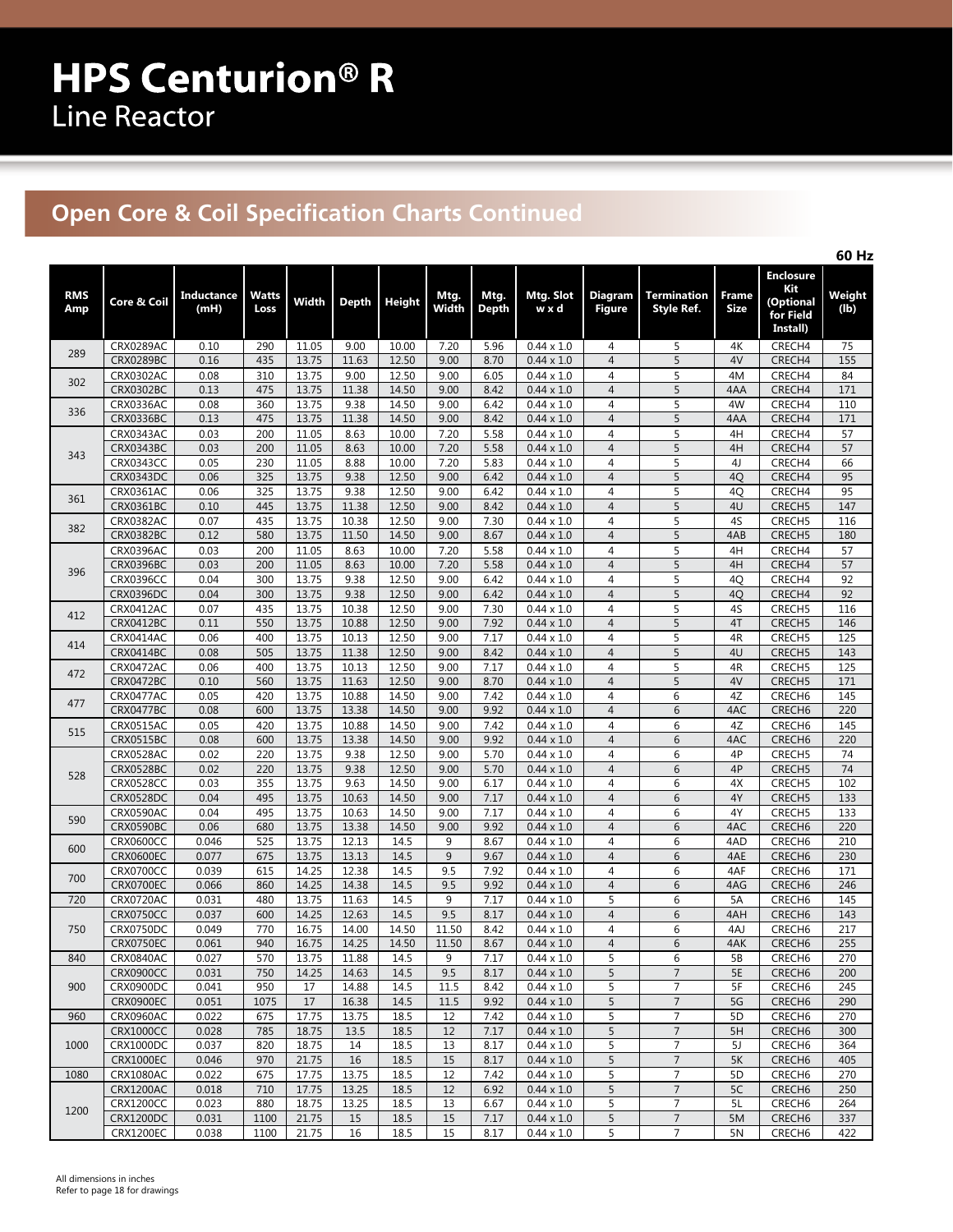# **Open Core & Coil Specification Charts Continued**

|                   |                                      |                    |                      |                |                |                |                |               |                                        |                                  |                                  |                             |                                                               | 60 Hz          |
|-------------------|--------------------------------------|--------------------|----------------------|----------------|----------------|----------------|----------------|---------------|----------------------------------------|----------------------------------|----------------------------------|-----------------------------|---------------------------------------------------------------|----------------|
| <b>RMS</b><br>Amp | Core & Coil                          | Inductance<br>(mH) | <b>Watts</b><br>Loss | Width          | <b>Depth</b>   | <b>Height</b>  | Mtg.<br>Width  | Mtg.<br>Depth | Mtg. Slot<br>w x d                     | <b>Diagram</b><br><b>Figure</b>  | <b>Termination</b><br>Style Ref. | <b>Frame</b><br><b>Size</b> | <b>Enclosure</b><br>Kit<br>(Optional<br>for Field<br>Install) | Weight<br>(1b) |
| 289               | CRX0289AC                            | 0.10               | 290                  | 11.05          | 9.00           | 10.00          | 7.20           | 5.96          | $0.44 \times 1.0$                      | $\overline{4}$                   | 5                                | 4K                          | CRECH4                                                        | 75             |
|                   | <b>CRX0289BC</b>                     | 0.16               | 435                  | 13.75          | 11.63          | 12.50          | 9.00           | 8.70          | $0.44 \times 1.0$                      | $\overline{4}$                   | 5                                | 4V                          | CRECH4                                                        | 155            |
| 302               | CRX0302AC                            | 0.08               | 310                  | 13.75          | 9.00           | 12.50          | 9.00           | 6.05          | $0.44 \times 1.0$                      | $\overline{4}$                   | 5                                | 4M                          | CRECH4                                                        | 84             |
|                   | <b>CRX0302BC</b>                     | 0.13               | 475                  | 13.75          | 11.38          | 14.50          | 9.00           | 8.42          | $0.44 \times 1.0$                      | $\overline{4}$                   | 5                                | 4AA                         | CRECH4                                                        | 171            |
| 336               | CRX0336AC<br><b>CRX0336BC</b>        | 0.08<br>0.13       | 360<br>475           | 13.75<br>13.75 | 9.38<br>11.38  | 14.50<br>14.50 | 9.00<br>9.00   | 6.42<br>8.42  | $0.44 \times 1.0$<br>$0.44 \times 1.0$ | $\overline{4}$<br>$\overline{4}$ | 5<br>5                           | 4W<br>4AA                   | CRECH4<br>CRECH4                                              | 110<br>171     |
|                   | <b>CRX0343AC</b>                     | 0.03               | 200                  | 11.05          | 8.63           | 10.00          | 7.20           | 5.58          | $0.44 \times 1.0$                      | 4                                | 5                                | 4H                          | CRECH4                                                        | 57             |
|                   | CRX0343BC                            | 0.03               | 200                  | 11.05          | 8.63           | 10.00          | 7.20           | 5.58          | $0.44 \times 1.0$                      | $\overline{4}$                   | 5                                | 4H                          | CRECH4                                                        | 57             |
| 343               | CRX0343CC                            | 0.05               | 230                  | 11.05          | 8.88           | 10.00          | 7.20           | 5.83          | $0.44 \times 1.0$                      | 4                                | 5                                | 4J                          | CRECH4                                                        | 66             |
|                   | CRX0343DC                            | 0.06               | 325                  | 13.75          | 9.38           | 12.50          | 9.00           | 6.42          | $0.44 \times 1.0$                      | $\overline{4}$                   | 5                                | 4Q                          | CRECH4                                                        | 95             |
| 361               | CRX0361AC                            | 0.06               | 325                  | 13.75          | 9.38           | 12.50          | 9.00           | 6.42          | $0.44 \times 1.0$                      | $\overline{4}$                   | 5                                | 4Q                          | CRECH4                                                        | 95             |
|                   | CRX0361BC                            | 0.10               | 445                  | 13.75          | 11.38          | 12.50          | 9.00           | 8.42          | $0.44 \times 1.0$                      | $\overline{4}$                   | 5                                | 4U                          | CRECH5                                                        | 147            |
| 382               | CRX0382AC                            | 0.07               | 435                  | 13.75          | 10.38          | 12.50          | 9.00           | 7.30          | $0.44 \times 1.0$                      | 4                                | 5                                | 4S                          | CRECH5                                                        | 116            |
|                   | <b>CRX0382BC</b>                     | 0.12               | 580                  | 13.75          | 11.50          | 14.50          | 9.00           | 8.67          | $0.44 \times 1.0$                      | $\overline{4}$                   | 5                                | 4AB                         | CRECH <sub>5</sub>                                            | 180            |
|                   | CRX0396AC                            | 0.03               | 200                  | 11.05          | 8.63           | 10.00          | 7.20           | 5.58          | $0.44 \times 1.0$                      | $\overline{4}$                   | 5                                | 4H                          | CRECH4                                                        | 57             |
| 396               | <b>CRX0396BC</b>                     | 0.03               | 200                  | 11.05          | 8.63           | 10.00          | 7.20           | 5.58          | $0.44 \times 1.0$                      | $\overline{4}$                   | 5                                | 4H                          | CRECH4                                                        | 57             |
|                   | <b>CRX0396CC</b><br><b>CRX0396DC</b> | 0.04<br>0.04       | 300<br>300           | 13.75<br>13.75 | 9.38<br>9.38   | 12.50<br>12.50 | 9.00<br>9.00   | 6.42<br>6.42  | $0.44 \times 1.0$<br>$0.44 \times 1.0$ | $\overline{4}$<br>$\overline{4}$ | 5<br>5                           | 4Q<br>4Q                    | CRECH4<br>CRECH4                                              | 92<br>92       |
|                   | CRX0412AC                            | 0.07               | 435                  | 13.75          | 10.38          | 12.50          | 9.00           | 7.30          | $0.44 \times 1.0$                      | $\overline{4}$                   | 5                                | 4S                          | CRECH5                                                        | 116            |
| 412               | <b>CRX0412BC</b>                     | 0.11               | 550                  | 13.75          | 10.88          | 12.50          | 9.00           | 7.92          | $0.44 \times 1.0$                      | $\overline{4}$                   | 5                                | 4T                          | CRECH <sub>5</sub>                                            | 146            |
|                   | CRX0414AC                            | 0.06               | 400                  | 13.75          | 10.13          | 12.50          | 9.00           | 7.17          | $0.44 \times 1.0$                      | $\overline{4}$                   | 5                                | 4R                          | CRECH <sub>5</sub>                                            | 125            |
| 414               | CRX0414BC                            | 0.08               | 505                  | 13.75          | 11.38          | 12.50          | 9.00           | 8.42          | $0.44 \times 1.0$                      | $\overline{4}$                   | 5                                | 4U                          | CRECH <sub>5</sub>                                            | 143            |
|                   | CRX0472AC                            | 0.06               | 400                  | 13.75          | 10.13          | 12.50          | 9.00           | 7.17          | $0.44 \times 1.0$                      | $\overline{4}$                   | 5                                | 4R                          | CRECH5                                                        | 125            |
| 472               | <b>CRX0472BC</b>                     | 0.10               | 560                  | 13.75          | 11.63          | 12.50          | 9.00           | 8.70          | $0.44 \times 1.0$                      | $\overline{4}$                   | 5                                | 4V                          | CRECH <sub>5</sub>                                            | 171            |
| 477               | CRX0477AC                            | 0.05               | 420                  | 13.75          | 10.88          | 14.50          | 9.00           | 7.42          | $0.44 \times 1.0$                      | $\overline{4}$                   | $\sqrt{6}$                       | 4Z                          | CRECH <sub>6</sub>                                            | 145            |
|                   | <b>CRX0477BC</b>                     | 0.08               | 600                  | 13.75          | 13.38          | 14.50          | 9.00           | 9.92          | $0.44 \times 1.0$                      | $\overline{4}$                   | 6                                | 4AC                         | CRECH <sub>6</sub>                                            | 220            |
| 515               | CRX0515AC                            | 0.05               | 420                  | 13.75          | 10.88          | 14.50          | 9.00           | 7.42          | $0.44 \times 1.0$                      | $\overline{4}$                   | 6                                | 4Z                          | CRECH <sub>6</sub>                                            | 145            |
|                   | CRX0515BC                            | 0.08               | 600                  | 13.75          | 13.38          | 14.50          | 9.00           | 9.92          | $0.44 \times 1.0$                      | $\overline{4}$                   | 6                                | 4AC                         | CRECH <sub>6</sub>                                            | 220            |
|                   | CRX0528AC<br><b>CRX0528BC</b>        | 0.02<br>0.02       | 220<br>220           | 13.75<br>13.75 | 9.38<br>9.38   | 12.50<br>12.50 | 9.00<br>9.00   | 5.70<br>5.70  | $0.44 \times 1.0$<br>$0.44 \times 1.0$ | 4<br>$\overline{4}$              | 6<br>6                           | 4P<br>4P                    | CRECH <sub>5</sub><br>CRECH5                                  | 74<br>74       |
| 528               | <b>CRX0528CC</b>                     | 0.03               | 355                  | 13.75          | 9.63           | 14.50          | 9.00           | 6.17          | $0.44 \times 1.0$                      | $\overline{4}$                   | 6                                | 4X                          | CRECH5                                                        | 102            |
|                   | <b>CRX0528DC</b>                     | 0.04               | 495                  | 13.75          | 10.63          | 14.50          | 9.00           | 7.17          | $0.44 \times 1.0$                      | $\overline{4}$                   | 6                                | 4Y                          | CRECH5                                                        | 133            |
|                   | CRX0590AC                            | 0.04               | 495                  | 13.75          | 10.63          | 14.50          | 9.00           | 7.17          | $0.44 \times 1.0$                      | 4                                | 6                                | 4Y                          | CRECH5                                                        | 133            |
| 590               | <b>CRX0590BC</b>                     | 0.06               | 680                  | 13.75          | 13.38          | 14.50          | 9.00           | 9.92          | $0.44 \times 1.0$                      | $\overline{4}$                   | $6\phantom{1}6$                  | 4AC                         | CRECH <sub>6</sub>                                            | 220            |
| 600               | <b>CRX0600CC</b>                     | 0.046              | 525                  | 13.75          | 12.13          | 14.5           | 9              | 8.67          | $0.44 \times 1.0$                      | $\overline{4}$                   | 6                                | 4AD                         | CRECH <sub>6</sub>                                            | 210            |
|                   | <b>CRX0600EC</b>                     | 0.077              | 675                  | 13.75          | 13.13          | 14.5           | 9              | 9.67          | $0.44 \times 1.0$                      | $\overline{4}$                   | 6                                | 4AE                         | CRECH <sub>6</sub>                                            | 230            |
| 700               | CRX0700CC                            | 0.039              | 615                  | 14.25          | 12.38          | 14.5           | 9.5            | 7.92          | $0.44 \times 1.0$                      | 4                                | 6                                | 4AF                         | CRECH <sub>6</sub>                                            | 171            |
|                   | <b>CRX0700EC</b>                     | 0.066              | 860                  | 14.25          | 14.38          | 14.5           | 9.5            | 9.92          | $0.44 \times 1.0$                      | $\overline{4}$                   | 6                                | 4AG                         | CRECH <sub>6</sub>                                            | 246            |
| 720               | CRX0720AC                            | 0.031              | 480                  | 13.75          | 11.63          | 14.5           | 9              | 7.17          | $0.44 \times 1.0$                      | 5                                | 6                                | 5A                          | CRECH <sub>6</sub>                                            | 145            |
|                   | <b>CRX0750CC</b>                     | 0.037              | 600                  | 14.25          | 12.63          | 14.5           | 9.5            | 8.17          | $0.44 \times 1.0$                      | $\overline{4}$                   | 6                                | 4AH                         | CRECH <sub>6</sub>                                            | 143            |
| 750               | CRX0750DC<br><b>CRX0750EC</b>        | 0.049<br>0.061     | 770<br>940           | 16.75<br>16.75 | 14.00<br>14.25 | 14.50<br>14.50 | 11.50<br>11.50 | 8.42<br>8.67  | $0.44 \times 1.0$<br>$0.44 \times 1.0$ | $\overline{4}$<br>$\overline{4}$ | 6<br>$\,6\,$                     | 4AJ<br>4AK                  | CRECH <sub>6</sub><br>CRECH <sub>6</sub>                      | 217<br>255     |
| 840               | CRX0840AC                            | 0.027              | 570                  | 13.75          | 11.88          | 14.5           | 9              | 7.17          | $0.44 \times 1.0$                      | 5                                | 6                                | 5B                          | CRECH <sub>6</sub>                                            | 270            |
|                   | <b>CRX0900CC</b>                     | 0.031              | 750                  | 14.25          | 14.63          | 14.5           | 9.5            | 8.17          | $0.44 \times 1.0$                      | 5                                | $\overline{7}$                   | <b>5E</b>                   | CRECH <sub>6</sub>                                            | 200            |
| 900               | CRX0900DC                            | 0.041              | 950                  | 17             | 14.88          | 14.5           | 11.5           | 8.42          | $0.44 \times 1.0$                      | 5                                | $\overline{7}$                   | 5F                          | CRECH <sub>6</sub>                                            | 245            |
|                   | <b>CRX0900EC</b>                     | 0.051              | 1075                 | 17             | 16.38          | 14.5           | 11.5           | 9.92          | $0.44 \times 1.0$                      | 5                                | $\overline{7}$                   | 5G                          | CRECH <sub>6</sub>                                            | 290            |
| 960               | CRX0960AC                            | 0.022              | 675                  | 17.75          | 13.75          | 18.5           | 12             | 7.42          | $0.44 \times 1.0$                      | 5                                | $\overline{7}$                   | 5D                          | CRECH <sub>6</sub>                                            | 270            |
|                   | <b>CRX1000CC</b>                     | 0.028              | 785                  | 18.75          | 13.5           | 18.5           | 12             | 7.17          | $0.44 \times 1.0$                      | 5                                | $\overline{7}$                   | 5H                          | CRECH <sub>6</sub>                                            | 300            |
| 1000              | CRX1000DC                            | 0.037              | 820                  | 18.75          | 14             | 18.5           | 13             | 8.17          | $0.44 \times 1.0$                      | 5                                | 7                                | 5J                          | CRECH <sub>6</sub>                                            | 364            |
|                   | <b>CRX1000EC</b>                     | 0.046              | 970                  | 21.75          | 16             | 18.5           | 15             | 8.17          | $0.44 \times 1.0$                      | 5                                | $\overline{7}$                   | 5K                          | CRECH <sub>6</sub>                                            | 405            |
| 1080              | CRX1080AC                            | 0.022              | 675                  | 17.75          | 13.75          | 18.5           | 12             | 7.42          | $0.44 \times 1.0$                      | 5                                | 7                                | 5D                          | CRECH <sub>6</sub>                                            | 270            |
|                   | CRX1200AC                            | 0.018              | 710                  | 17.75          | 13.25          | 18.5           | 12             | 6.92          | $0.44 \times 1.0$                      | 5                                | $\overline{7}$                   | 5C                          | CRECH <sub>6</sub>                                            | 250            |
| 1200              | CRX1200CC<br><b>CRX1200DC</b>        | 0.023<br>0.031     | 880<br>1100          | 18.75<br>21.75 | 13.25<br>15    | 18.5<br>18.5   | 13<br>15       | 6.67<br>7.17  | $0.44 \times 1.0$<br>$0.44 \times 1.0$ | 5<br>5                           | 7<br>$\overline{7}$              | 5L<br>5M                    | CRECH <sub>6</sub><br>CRECH <sub>6</sub>                      | 264<br>337     |
|                   | <b>CRX1200EC</b>                     | 0.038              | 1100                 | 21.75          | 16             | 18.5           | 15             | 8.17          | $0.44 \times 1.0$                      | 5                                | $\overline{7}$                   | 5N                          | CRECH <sub>6</sub>                                            | 422            |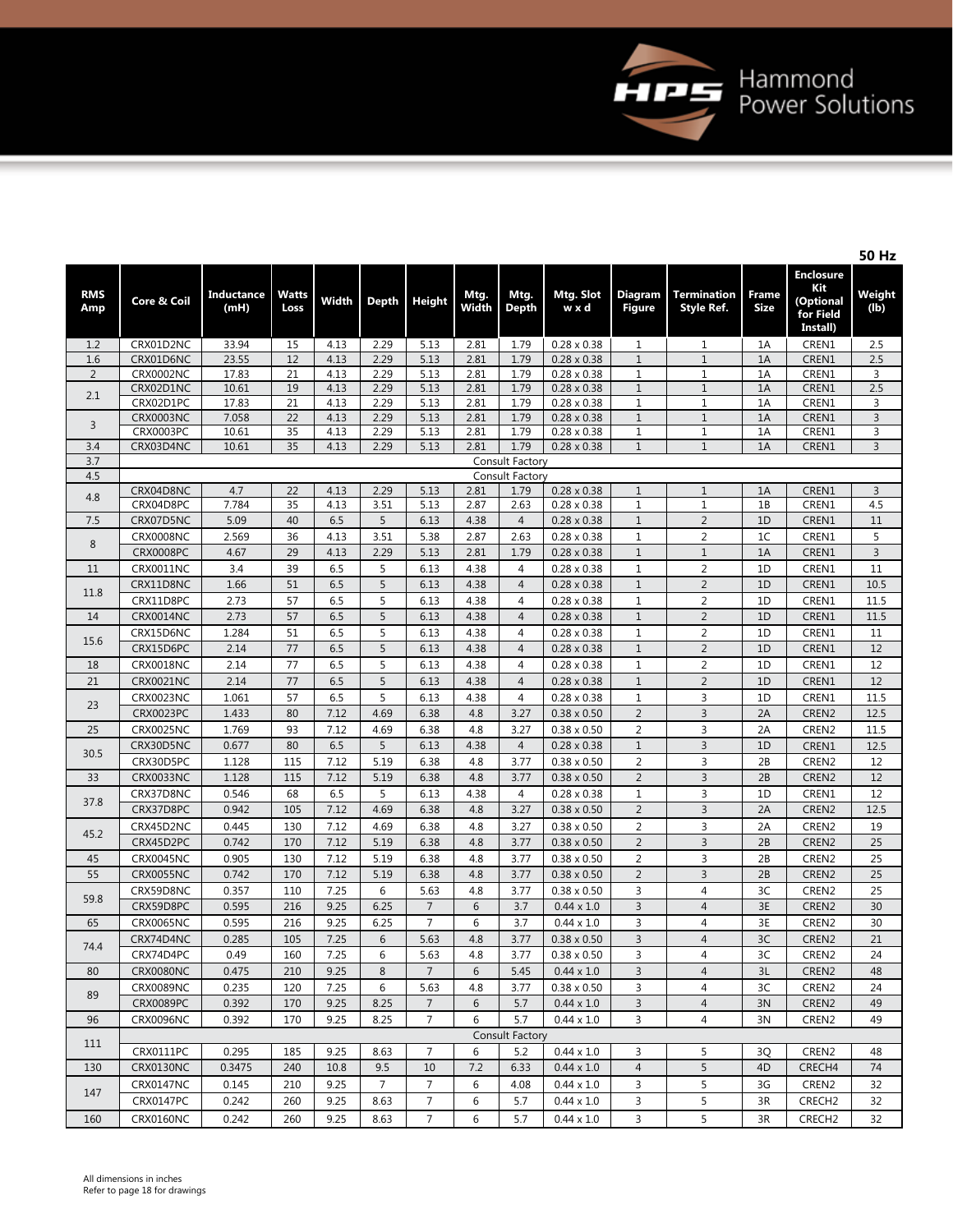

**50 Hz**

|                   |                  |                           |                      |              |                |                |               |                        |                                          |                              |                                         |                      |                                                               | אח טכ          |
|-------------------|------------------|---------------------------|----------------------|--------------|----------------|----------------|---------------|------------------------|------------------------------------------|------------------------------|-----------------------------------------|----------------------|---------------------------------------------------------------|----------------|
| <b>RMS</b><br>Amp | Core & Coil      | <b>Inductance</b><br>(mH) | <b>Watts</b><br>Loss | Width        | <b>Depth</b>   | <b>Height</b>  | Mtg.<br>Width | Mtg.<br><b>Depth</b>   | Mtg. Slot<br>w x d                       | Diagram<br><b>Figure</b>     | <b>Termination</b><br><b>Style Ref.</b> | Frame<br><b>Size</b> | <b>Enclosure</b><br>Kit<br>(Optional<br>for Field<br>Install) | Weight<br>(lb) |
| 1.2               | CRX01D2NC        | 33.94                     | 15                   | 4.13         | 2.29           | 5.13           | 2.81          | 1.79                   | $0.28 \times 0.38$                       | $\mathbf{1}$                 | $\mathbf{1}$                            | 1A                   | CREN1                                                         | 2.5            |
| 1.6               | CRX01D6NC        | 23.55                     | 12                   | 4.13         | 2.29           | 5.13           | 2.81          | 1.79                   | $0.28 \times 0.38$                       | $1\,$                        | $\mathbf 1$                             | 1A                   | CREN1                                                         | 2.5            |
| $\overline{2}$    | CRX0002NC        | 17.83                     | 21                   | 4.13         | 2.29           | 5.13           | 2.81          | 1.79                   | $0.28 \times 0.38$                       | $1\,$                        | $1\,$                                   | 1A                   | CREN1                                                         | 3              |
| 2.1               | CRX02D1NC        | 10.61                     | 19                   | 4.13         | 2.29           | 5.13           | 2.81          | 1.79                   | $0.28 \times 0.38$                       | $\mathbf{1}$                 | $1\,$                                   | 1A                   | CREN1                                                         | 2.5            |
|                   | CRX02D1PC        | 17.83                     | 21                   | 4.13         | 2.29           | 5.13           | 2.81          | 1.79                   | $0.28 \times 0.38$                       | $\mathbf{1}$                 | 1                                       | 1A                   | CREN1                                                         | 3              |
| 3                 | <b>CRX0003NC</b> | 7.058                     | 22                   | 4.13         | 2.29           | 5.13           | 2.81          | 1.79                   | $0.28 \times 0.38$                       | $\mathbf{1}$                 | $\mathbf{1}$                            | 1A                   | CREN1                                                         | $\mathsf{3}$   |
|                   | CRX0003PC        | 10.61                     | 35                   | 4.13         | 2.29           | 5.13           | 2.81          | 1.79                   | $0.28 \times 0.38$                       | $1\,$                        | $\mathbf 1$                             | 1A                   | CREN1                                                         | 3              |
| 3.4               | CRX03D4NC        | 10.61                     | 35                   | 4.13         | 2.29           | 5.13           | 2.81          | 1.79                   | $0.28 \times 0.38$                       | $\mathbf{1}$                 | $\mathbf{1}$                            | 1A                   | CREN1                                                         | $\mathsf 3$    |
| 3.7               |                  |                           |                      |              |                |                |               | <b>Consult Factory</b> |                                          |                              |                                         |                      |                                                               |                |
| 4.5               |                  |                           |                      |              |                |                |               | Consult Factory        |                                          |                              |                                         |                      |                                                               |                |
| 4.8               | CRX04D8NC        | 4.7<br>7.784              | 22<br>35             | 4.13<br>4.13 | 2.29<br>3.51   | 5.13           | 2.81<br>2.87  | 1.79<br>2.63           | $0.28 \times 0.38$<br>$0.28 \times 0.38$ | $\mathbf{1}$<br>$\mathbf{1}$ | $\mathbf{1}$<br>$1\,$                   | 1A<br>1B             | CREN1<br>CREN1                                                | 3              |
|                   | CRX04D8PC        | 5.09                      |                      | 6.5          | 5              | 5.13<br>6.13   | 4.38          | $\overline{4}$         |                                          |                              |                                         | 1D                   |                                                               | 4.5<br>$11\,$  |
| 7.5               | CRX07D5NC        |                           | 40                   |              |                |                |               |                        | $0.28 \times 0.38$                       | $\mathbf{1}$                 | $\overline{2}$                          |                      | CREN1                                                         |                |
| 8                 | <b>CRX0008NC</b> | 2.569                     | 36                   | 4.13         | 3.51           | 5.38           | 2.87          | 2.63                   | $0.28 \times 0.38$                       | $1\,$<br>$\mathbf{1}$        | $\overline{c}$                          | 1 <sup>C</sup>       | CREN1                                                         | 5              |
|                   | <b>CRX0008PC</b> | 4.67                      | 29                   | 4.13         | 2.29           | 5.13           | 2.81          | 1.79                   | $0.28 \times 0.38$                       |                              | $1\,$                                   | 1A                   | CREN1                                                         | 3              |
| 11                | CRX0011NC        | 3.4                       | 39                   | 6.5          | 5              | 6.13           | 4.38          | $\overline{4}$         | $0.28 \times 0.38$                       | $1\,$                        | $\overline{2}$                          | 1D                   | CREN1                                                         | 11             |
| 11.8              | CRX11D8NC        | 1.66                      | 51                   | 6.5          | 5              | 6.13           | 4.38          | $\overline{4}$         | $0.28 \times 0.38$                       | $\mathbf{1}$                 | $\overline{2}$                          | 1D                   | CREN1                                                         | 10.5           |
|                   | CRX11D8PC        | 2.73                      | 57                   | 6.5          | 5              | 6.13           | 4.38          | $\overline{4}$         | $0.28 \times 0.38$                       | $\mathbf{1}$                 | $\overline{2}$                          | 1D                   | CREN1                                                         | 11.5           |
| 14                | <b>CRX0014NC</b> | 2.73                      | 57                   | 6.5          | 5              | 6.13           | 4.38          | $\overline{4}$         | $0.28 \times 0.38$                       | $\mathbf{1}$                 | $\overline{2}$                          | 1D                   | CREN1                                                         | 11.5           |
| 15.6              | CRX15D6NC        | 1.284                     | 51                   | 6.5          | 5              | 6.13           | 4.38          | $\overline{4}$         | $0.28 \times 0.38$                       | $\mathbf{1}$                 | $\overline{2}$                          | 1D                   | CREN1                                                         | 11             |
|                   | CRX15D6PC        | 2.14                      | 77                   | 6.5          | 5              | 6.13           | 4.38          | $\overline{4}$         | $0.28 \times 0.38$                       | $1\,$                        | $\overline{2}$                          | 1D                   | CREN1                                                         | 12             |
| 18                | CRX0018NC        | 2.14                      | 77                   | 6.5          | 5              | 6.13           | 4.38          | $\overline{4}$         | $0.28 \times 0.38$                       | $1\,$                        | $\overline{2}$                          | 1D                   | CREN1                                                         | 12             |
| 21                | <b>CRX0021NC</b> | 2.14                      | 77                   | 6.5          | 5              | 6.13           | 4.38          | $\overline{4}$         | $0.28 \times 0.38$                       | $1\,$                        | $\overline{2}$                          | 1D                   | CREN1                                                         | 12             |
| 23                | CRX0023NC        | 1.061                     | 57                   | 6.5          | 5              | 6.13           | 4.38          | $\overline{4}$         | $0.28 \times 0.38$                       | $\mathbf 1$                  | 3                                       | 1D                   | CREN1                                                         | 11.5           |
|                   | CRX0023PC        | 1.433                     | 80                   | 7.12         | 4.69           | 6.38           | 4.8           | 3.27                   | $0.38 \times 0.50$                       | $\overline{2}$               | $\overline{3}$                          | 2A                   | CREN2                                                         | 12.5           |
| 25                | <b>CRX0025NC</b> | 1.769                     | 93                   | 7.12         | 4.69           | 6.38           | 4.8           | 3.27                   | $0.38 \times 0.50$                       | $\overline{2}$               | 3                                       | 2A                   | CREN2                                                         | 11.5           |
|                   | CRX30D5NC        | 0.677                     | 80                   | 6.5          | 5              | 6.13           | 4.38          | $\overline{4}$         | $0.28 \times 0.38$                       | $1\,$                        | $\overline{3}$                          | 1D                   | CREN1                                                         | 12.5           |
| 30.5              | CRX30D5PC        | 1.128                     | 115                  | 7.12         | 5.19           | 6.38           | 4.8           | 3.77                   | $0.38 \times 0.50$                       | $\overline{2}$               | 3                                       | 2B                   | CREN2                                                         | 12             |
| 33                | <b>CRX0033NC</b> | 1.128                     | 115                  | 7.12         | 5.19           | 6.38           | 4.8           | 3.77                   | $0.38 \times 0.50$                       | $\overline{2}$               | 3                                       | 2B                   | CREN2                                                         | 12             |
|                   | CRX37D8NC        | 0.546                     | 68                   | 6.5          | 5              | 6.13           | 4.38          | $\overline{4}$         | $0.28 \times 0.38$                       | $\mathbf{1}$                 | 3                                       | 1D                   | CREN1                                                         | 12             |
| 37.8              | CRX37D8PC        | 0.942                     | 105                  | 7.12         | 4.69           | 6.38           | 4.8           | 3.27                   | $0.38 \times 0.50$                       | $\overline{2}$               | 3                                       | 2A                   | CREN2                                                         | 12.5           |
|                   | CRX45D2NC        | 0.445                     | 130                  | 7.12         | 4.69           | 6.38           | 4.8           | 3.27                   | $0.38 \times 0.50$                       | $\overline{2}$               | 3                                       | 2A                   | CREN2                                                         | 19             |
| 45.2              | CRX45D2PC        | 0.742                     | 170                  | 7.12         | 5.19           | 6.38           | 4.8           | 3.77                   | $0.38 \times 0.50$                       | $\overline{2}$               | $\overline{3}$                          | 2B                   | CREN2                                                         | 25             |
| 45                | CRX0045NC        | 0.905                     | 130                  | 7.12         | 5.19           | 6.38           | 4.8           | 3.77                   | $0.38 \times 0.50$                       | $\overline{2}$               | 3                                       | 2B                   | CREN2                                                         | 25             |
| 55                | <b>CRX0055NC</b> | 0.742                     | 170                  | 7.12         | 5.19           | 6.38           | 4.8           | 3.77                   | $0.38 \times 0.50$                       | $\overline{2}$               | $\overline{3}$                          | 2B                   | CREN2                                                         | 25             |
|                   | CRX59D8NC        | 0.357                     | 110                  | 7.25         | 6              | 5.63           | 4.8           | 3.77                   | $0.38 \times 0.50$                       | 3                            | $\overline{4}$                          | 3C                   | CREN2                                                         | 25             |
| 59.8              | CRX59D8PC        | 0.595                     | 216                  | 9.25         | 6.25           | $\overline{7}$ | 6             | 3.7                    | $0.44 \times 1.0$                        | $\overline{3}$               | $\overline{4}$                          | 3E                   | CREN2                                                         | 30             |
| 65                | <b>CRX0065NC</b> | 0.595                     | 216                  | 9.25         | 6.25           | $\overline{7}$ | 6             | 3.7                    | $0.44 \times 1.0$                        | 3                            | $\overline{4}$                          | 3E                   | CREN2                                                         | 30             |
|                   | CRX74D4NC        | 0.285                     | 105                  | 7.25         | 6              | 5.63           | 4.8           | 3.77                   | $0.38 \times 0.50$                       | $\overline{3}$               | $\overline{4}$                          | 3C                   | CREN2                                                         | 21             |
| 74.4              | CRX74D4PC        | 0.49                      | 160                  | 7.25         | 6              | 5.63           | $4.8\,$       | 3.77                   | $0.38 \times 0.50$                       | $\mathbf{3}$                 | $\overline{4}$                          | 3C                   | CREN2                                                         | 24             |
| 80                | <b>CRX0080NC</b> | 0.475                     | 210                  | 9.25         | 8              | $\overline{7}$ | 6             | 5.45                   | $0.44 \times 1.0$                        | 3                            | $\overline{4}$                          | 3L                   | CREN <sub>2</sub>                                             | 48             |
|                   | <b>CRX0089NC</b> | 0.235                     | 120                  | 7.25         | 6              | 5.63           | 4.8           | 3.77                   | $0.38 \times 0.50$                       | 3                            | 4                                       | 3C                   | CREN <sub>2</sub>                                             | 24             |
| 89                | <b>CRX0089PC</b> |                           |                      |              |                | $\overline{7}$ | 6             |                        |                                          |                              |                                         |                      |                                                               |                |
|                   |                  | 0.392<br>0.392            | 170                  | 9.25         | 8.25           | $\overline{7}$ |               | 5.7<br>5.7             | $0.44 \times 1.0$                        | $\overline{3}$<br>3          | $\overline{4}$<br>$\overline{4}$        | 3N                   | CREN2                                                         | 49             |
| 96                | <b>CRX0096NC</b> |                           | 170                  | 9.25         | 8.25           |                | 6             |                        | $0.44 \times 1.0$                        |                              |                                         | 3N                   | CREN2                                                         | 49             |
| 111               |                  |                           |                      |              |                |                |               | Consult Factory        |                                          |                              |                                         |                      |                                                               |                |
|                   | CRX0111PC        | 0.295                     | 185                  | 9.25         | 8.63           | 7              | 6             | 5.2                    | $0.44 \times 1.0$                        | 3                            | 5                                       | 3Q                   | CREN2                                                         | 48             |
| 130               | <b>CRX0130NC</b> | 0.3475                    | 240                  | 10.8         | 9.5            | 10             | 7.2           | 6.33                   | $0.44 \times 1.0$                        | $\overline{4}$               | 5                                       | 4D                   | CRECH4                                                        | 74             |
| 147               | <b>CRX0147NC</b> | 0.145                     | 210                  | 9.25         | $\overline{7}$ | $\overline{7}$ | 6             | 4.08                   | $0.44 \times 1.0$                        | 3                            | 5                                       | 3G                   | CREN <sub>2</sub>                                             | 32             |
|                   | CRX0147PC        | 0.242                     | 260                  | 9.25         | 8.63           | $\overline{7}$ | 6             | 5.7                    | $0.44 \times 1.0$                        | 3                            | 5                                       | 3R                   | CRECH <sub>2</sub>                                            | 32             |
| 160               | <b>CRX0160NC</b> | 0.242                     | 260                  | 9.25         | 8.63           | 7              | 6             | 5.7                    | $0.44 \times 1.0$                        | 3                            | 5                                       | 3R                   | CRECH <sub>2</sub>                                            | 32             |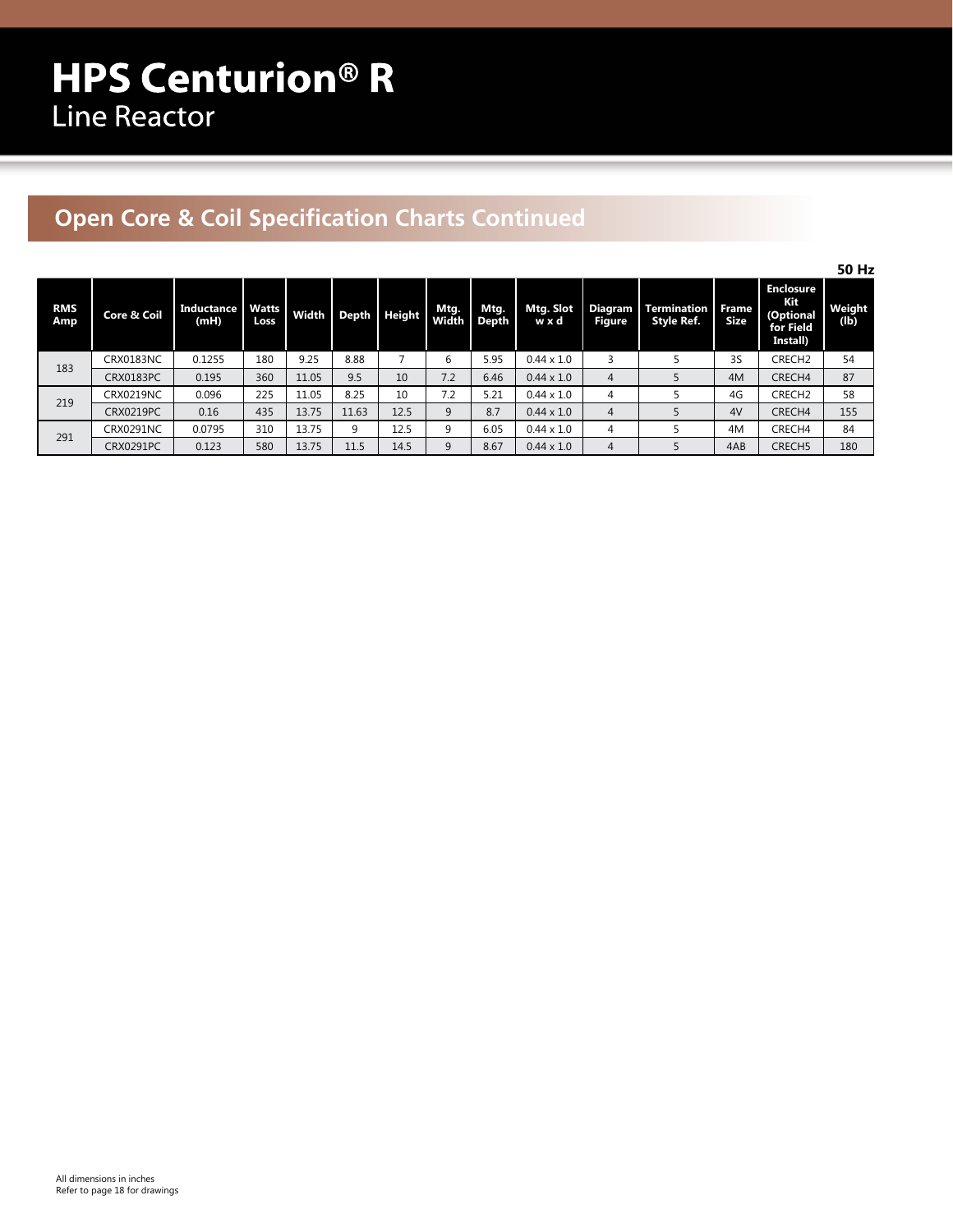## **Open Core & Coil Specification Charts Continued**

|                   |                        |                           |                      |       |       |        |               |               |                   |                          |                           |                             |                                                               | 50 Hz          |
|-------------------|------------------------|---------------------------|----------------------|-------|-------|--------|---------------|---------------|-------------------|--------------------------|---------------------------|-----------------------------|---------------------------------------------------------------|----------------|
| <b>RMS</b><br>Amp | <b>Core &amp; Coil</b> | <b>Inductance</b><br>(mH) | <b>Watts</b><br>Loss | Width | Depth | Height | Mtg.<br>Width | Mtg.<br>Depth | Mtg. Slot<br>wxd  | Diagram<br><b>Figure</b> | Termination<br>Style Ref. | <b>Frame</b><br><b>Size</b> | <b>Enclosure</b><br>Kit<br>(Optional<br>for Field<br>Install) | Weight<br>(lb) |
| 183               | CRX0183NC              | 0.1255                    | 180                  | 9.25  | 8.88  |        | 6             | 5.95          | $0.44 \times 1.0$ |                          |                           | 3S                          | CRECH <sub>2</sub>                                            | 54             |
|                   | <b>CRX0183PC</b>       | 0.195                     | 360                  | 11.05 | 9.5   | 10     | 7.2           | 6.46          | $0.44 \times 1.0$ | 4                        |                           | 4M                          | CRECH4                                                        | 87             |
| 219               | CRX0219NC              | 0.096                     | 225                  | 11.05 | 8.25  | 10     | 7.2           | 5.21          | $0.44 \times 1.0$ |                          |                           | 4G                          | CRECH <sub>2</sub>                                            | 58             |
|                   | <b>CRX0219PC</b>       | 0.16                      | 435                  | 13.75 | 11.63 | 12.5   | 9             | 8.7           | $0.44 \times 1.0$ | 4                        |                           | 4V                          | CRECH4                                                        | 155            |
| 291               | <b>CRX0291NC</b>       | 0.0795                    | 310                  | 13.75 | 9     | 12.5   | 9             | 6.05          | $0.44 \times 1.0$ |                          |                           | 4M                          | CRECH4                                                        | 84             |
|                   | <b>CRX0291PC</b>       | 0.123                     | 580                  | 13.75 | 11.5  | 14.5   | 9             | 8.67          | $0.44 \times 1.0$ |                          |                           | 4AB                         | CRECH <sub>5</sub>                                            | 180            |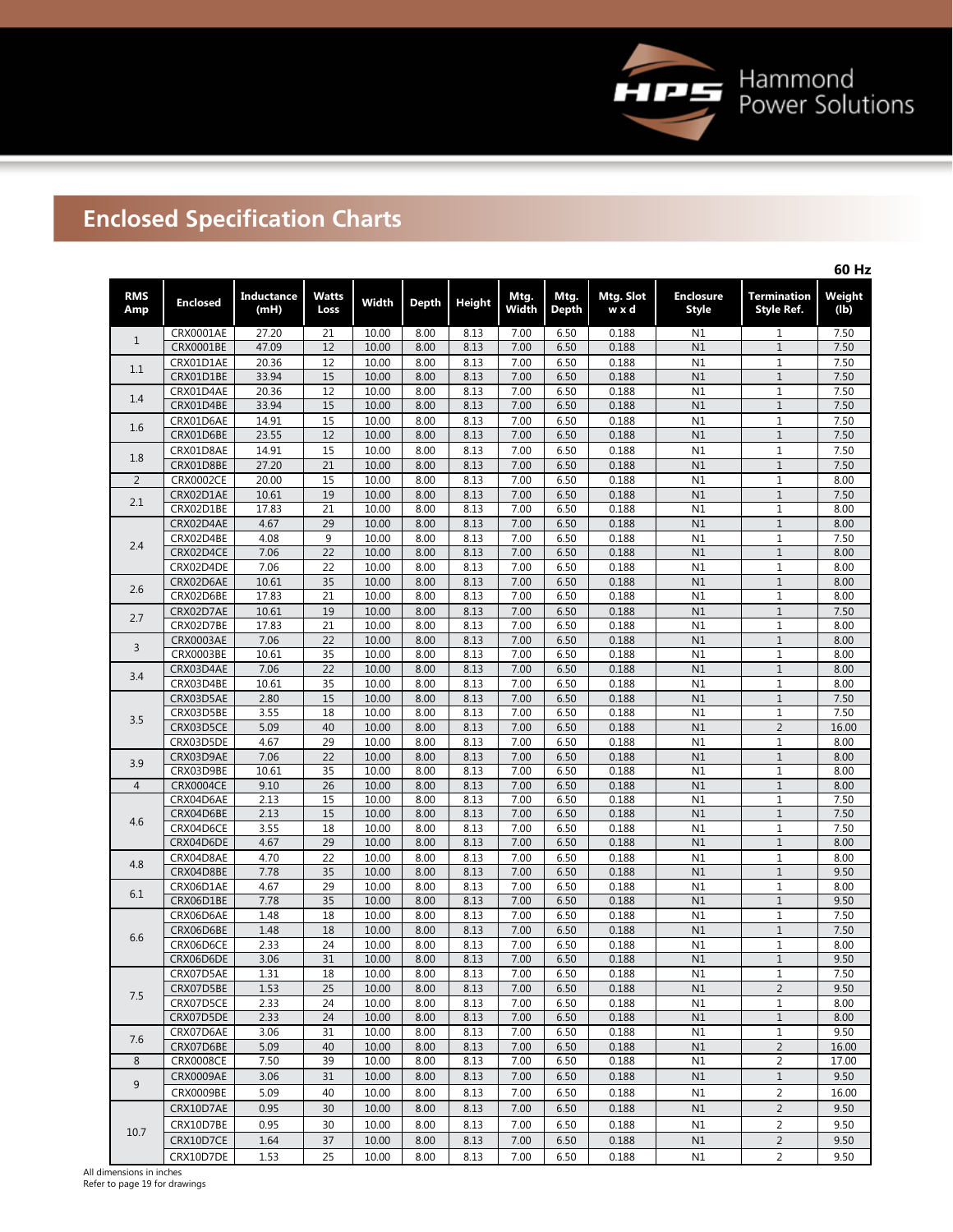

# **Enclosed Specification Charts**

|                   |                        |                           |                      |                |              |              |               |               |                    |                                  |                                         | 60 Hz          |
|-------------------|------------------------|---------------------------|----------------------|----------------|--------------|--------------|---------------|---------------|--------------------|----------------------------------|-----------------------------------------|----------------|
| <b>RMS</b><br>Amp | <b>Enclosed</b>        | <b>Inductance</b><br>(mH) | <b>Watts</b><br>Loss | Width          | <b>Depth</b> | Height       | Mtg.<br>Width | Mtg.<br>Depth | Mtg. Slot<br>w x d | <b>Enclosure</b><br><b>Style</b> | <b>Termination</b><br><b>Style Ref.</b> | Weight<br>(lb) |
| $\mathbf{1}$      | CRX0001AE              | 27.20                     | 21                   | 10.00          | 8.00         | 8.13         | 7.00          | 6.50          | 0.188              | N1                               | 1                                       | 7.50           |
|                   | CRX0001BE              | 47.09                     | 12                   | 10.00          | 8.00         | 8.13         | 7.00          | 6.50          | 0.188              | N1                               | $\mathbf 1$                             | 7.50           |
| 1.1               | CRX01D1AE              | 20.36                     | 12                   | 10.00          | 8.00         | 8.13         | 7.00          | 6.50          | 0.188              | N1                               | $\mathbf{1}$                            | 7.50           |
|                   | CRX01D1BE              | 33.94                     | 15                   | 10.00          | 8.00         | 8.13         | 7.00          | 6.50          | 0.188              | N1                               | $1\,$                                   | 7.50           |
| 1.4               | CRX01D4AE              | 20.36                     | 12                   | 10.00          | 8.00         | 8.13         | 7.00          | 6.50          | 0.188              | N1                               | $\mathbf{1}$                            | 7.50           |
|                   | CRX01D4BE              | 33.94                     | 15                   | 10.00          | 8.00         | 8.13         | 7.00          | 6.50          | 0.188              | N1                               | $\mathbf{1}$                            | 7.50           |
| 1.6               | CRX01D6AE              | 14.91                     | 15                   | 10.00          | 8.00         | 8.13         | 7.00          | 6.50          | 0.188              | N1                               | $\mathbf 1$                             | 7.50           |
|                   | CRX01D6BE              | 23.55                     | 12                   | 10.00          | 8.00         | 8.13         | 7.00          | 6.50          | 0.188              | N1                               | $\,1\,$                                 | 7.50           |
| 1.8               | CRX01D8AE              | 14.91                     | 15                   | 10.00          | 8.00         | 8.13         | 7.00          | 6.50          | 0.188              | N1                               | $\mathbf{1}$                            | 7.50           |
|                   | CRX01D8BE              | 27.20                     | 21                   | 10.00          | 8.00         | 8.13         | 7.00          | 6.50          | 0.188              | N1                               | $1\,$                                   | 7.50           |
| 2                 | <b>CRX0002CE</b>       | 20.00                     | 15                   | 10.00          | 8.00         | 8.13         | 7.00          | 6.50          | 0.188              | N1                               | $1\,$                                   | 8.00           |
| 2.1               | CRX02D1AE              | 10.61                     | 19                   | 10.00          | 8.00         | 8.13         | 7.00          | 6.50          | 0.188              | N1                               | $\,1\,$                                 | 7.50           |
|                   | CRX02D1BE              | 17.83                     | 21                   | 10.00          | 8.00         | 8.13         | 7.00          | 6.50          | 0.188              | N1                               | $\mathbf 1$                             | 8.00           |
|                   | CRX02D4AE              | 4.67                      | 29                   | 10.00          | 8.00         | 8.13         | 7.00          | 6.50          | 0.188              | N1                               | $1\,$                                   | 8.00           |
| 2.4               | CRX02D4BE              | 4.08                      | 9                    | 10.00          | 8.00         | 8.13         | 7.00          | 6.50          | 0.188              | N1                               | $\mathbf{1}$                            | 7.50           |
|                   | CRX02D4CE              | 7.06                      | 22                   | 10.00          | 8.00         | 8.13         | 7.00          | 6.50          | 0.188              | N1                               | $\,1\,$                                 | 8.00           |
|                   | CRX02D4DE              | 7.06                      | 22                   | 10.00          | 8.00         | 8.13         | 7.00          | 6.50          | 0.188              | N1                               | $\mathbf{1}$                            | 8.00           |
| 2.6               | CRX02D6AE<br>CRX02D6BE | 10.61<br>17.83            | 35<br>21             | 10.00<br>10.00 | 8.00<br>8.00 | 8.13<br>8.13 | 7.00<br>7.00  | 6.50<br>6.50  | 0.188              | N1<br>N1                         | $\,1\,$                                 | 8.00<br>8.00   |
|                   | CRX02D7AE              | 10.61                     | 19                   | 10.00          | 8.00         | 8.13         | 7.00          | 6.50          | 0.188<br>0.188     | N1                               | $\mathbf 1$<br>$1\,$                    | 7.50           |
| 2.7               | CRX02D7BE              | 17.83                     | 21                   | 10.00          | 8.00         | 8.13         | 7.00          | 6.50          | 0.188              | N1                               | $\mathbf 1$                             | 8.00           |
|                   | <b>CRX0003AE</b>       | 7.06                      | 22                   | 10.00          | 8.00         | 8.13         | 7.00          | 6.50          | 0.188              | N1                               | $\,1\,$                                 | 8.00           |
| 3                 | <b>CRX0003BE</b>       | 10.61                     | 35                   | 10.00          | 8.00         | 8.13         | 7.00          | 6.50          | 0.188              | N1                               | $1\,$                                   | 8.00           |
|                   | CRX03D4AE              | 7.06                      | 22                   | 10.00          | 8.00         | 8.13         | 7.00          | 6.50          | 0.188              | N1                               | $\,1\,$                                 | 8.00           |
| 3.4               | CRX03D4BE              | 10.61                     | 35                   | 10.00          | 8.00         | 8.13         | 7.00          | 6.50          | 0.188              | N1                               | $1\,$                                   | 8.00           |
|                   | CRX03D5AE              | 2.80                      | 15                   | 10.00          | 8.00         | 8.13         | 7.00          | 6.50          | 0.188              | N1                               | $\,1\,$                                 | 7.50           |
|                   | CRX03D5BE              | 3.55                      | 18                   | 10.00          | 8.00         | 8.13         | 7.00          | 6.50          | 0.188              | N1                               | $1\,$                                   | 7.50           |
| 3.5               | CRX03D5CE              | 5.09                      | 40                   | 10.00          | 8.00         | 8.13         | 7.00          | 6.50          | 0.188              | N1                               | $\overline{2}$                          | 16.00          |
|                   | CRX03D5DE              | 4.67                      | 29                   | 10.00          | 8.00         | 8.13         | 7.00          | 6.50          | 0.188              | N1                               | $\mathbf 1$                             | 8.00           |
|                   | CRX03D9AE              | 7.06                      | 22                   | 10.00          | 8.00         | 8.13         | 7.00          | 6.50          | 0.188              | N1                               | $1\,$                                   | 8.00           |
| 3.9               | CRX03D9BE              | 10.61                     | 35                   | 10.00          | 8.00         | 8.13         | 7.00          | 6.50          | 0.188              | N1                               | $\mathbf 1$                             | 8.00           |
| 4                 | <b>CRX0004CE</b>       | 9.10                      | 26                   | 10.00          | 8.00         | 8.13         | 7.00          | 6.50          | 0.188              | N1                               | $\,1\,$                                 | 8.00           |
|                   | CRX04D6AE              | 2.13                      | 15                   | 10.00          | 8.00         | 8.13         | 7.00          | 6.50          | 0.188              | N1                               | $\mathbf 1$                             | 7.50           |
| 4.6               | CRX04D6BE              | 2.13                      | 15                   | 10.00          | 8.00         | 8.13         | 7.00          | 6.50          | 0.188              | N1                               | $\mathbf 1$                             | 7.50           |
|                   | CRX04D6CE              | 3.55                      | 18                   | 10.00          | 8.00         | 8.13         | 7.00          | 6.50          | 0.188              | N1                               | $\,1\,$                                 | 7.50           |
|                   | CRX04D6DE              | 4.67                      | 29                   | 10.00          | 8.00         | 8.13         | 7.00          | 6.50          | 0.188              | N1                               | $\,1\,$                                 | 8.00           |
| 4.8               | CRX04D8AE              | 4.70                      | 22                   | 10.00          | 8.00         | 8.13         | 7.00          | 6.50          | 0.188              | N1                               | $1\,$                                   | 8.00           |
|                   | CRX04D8BE              | 7.78                      | 35                   | 10.00          | 8.00         | 8.13         | 7.00          | 6.50          | 0.188              | N1                               | $1\,$                                   | 9.50           |
| 6.1               | CRX06D1AE              | 4.67                      | 29                   | 10.00          | 8.00         | 8.13         | 7.00          | 6.50          | 0.188              | N1                               | $1\,$                                   | 8.00           |
|                   | CRX06D1BE              | 7.78                      | $\overline{35}$      | 10.00          | 8.00         | 8.13         | 7.00          | 6.50          | 0.188              | N1                               | $\,1\,$                                 | 9.50           |
|                   | CRX06D6AE              | 1.48                      | 18                   | 10.00          | 8.00         | 8.13         | 7.00          | 6.50          | 0.188              | N1                               | $\,1\,$                                 | 7.50           |
| 6.6               | CRX06D6BE              | 1.48                      | 18                   | 10.00          | 8.00         | 8.13         | 7.00          | 6.50          | 0.188              | N1                               | $\,1\,$                                 | 7.50           |
|                   | CRX06D6CE              | 2.33                      | 24                   | 10.00          | 8.00         | 8.13         | 7.00          | 6.50          | 0.188              | N1                               | $\mathbf{1}$                            | 8.00           |
|                   | CRX06D6DE              | 3.06                      | 31                   | 10.00          | 8.00         | 8.13         | 7.00          | 6.50          | 0.188              | N1                               | ı                                       | 9.50           |
|                   | CRX07D5AE              | 1.31                      | 18                   | 10.00          | 8.00         | 8.13         | 7.00          | 6.50          | 0.188              | N1                               | $\mathbf{1}$                            | 7.50           |
| 7.5               | CRX07D5BE              | 1.53                      | 25                   | 10.00          | 8.00         | 8.13         | 7.00          | 6.50          | 0.188              | N1                               | $\overline{2}$                          | 9.50           |
|                   | CRX07D5CE              | 2.33                      | 24                   | 10.00          | 8.00         | 8.13         | 7.00          | 6.50          | 0.188              | N1                               | $1\,$                                   | 8.00           |
|                   | CRX07D5DE              | 2.33                      | 24                   | 10.00          | 8.00         | 8.13         | 7.00          | 6.50          | 0.188              | N1                               | $1\,$                                   | 8.00           |
| 7.6               | CRX07D6AE<br>CRX07D6BE | 3.06<br>5.09              | 31<br>40             | 10.00<br>10.00 | 8.00<br>8.00 | 8.13<br>8.13 | 7.00<br>7.00  | 6.50<br>6.50  | 0.188<br>0.188     | N1<br>N1                         | $\,1$<br>$\overline{2}$                 | 9.50<br>16.00  |
| 8                 | <b>CRX0008CE</b>       | 7.50                      | 39                   | 10.00          | 8.00         | 8.13         | 7.00          | 6.50          | 0.188              | N1                               | 2                                       | 17.00          |
|                   | CRX0009AE              | 3.06                      | 31                   | 10.00          | 8.00         | 8.13         | 7.00          | 6.50          | 0.188              | N1                               | $1\,$                                   | 9.50           |
| 9                 |                        |                           | 40                   | 10.00          | 8.00         |              |               |               |                    | N1                               |                                         | 16.00          |
|                   | <b>CRX0009BE</b>       | 5.09                      |                      |                |              | 8.13         | 7.00          | 6.50          | 0.188              |                                  | 2                                       |                |
|                   | CRX10D7AE              | 0.95                      | 30                   | 10.00          | 8.00         | 8.13         | 7.00          | 6.50          | 0.188              | N1                               | $\overline{2}$                          | 9.50           |
| 10.7              | CRX10D7BE              | 0.95                      | 30                   | 10.00          | 8.00         | 8.13         | 7.00          | 6.50          | 0.188              | N1                               | 2                                       | 9.50           |
|                   | CRX10D7CE              | 1.64                      | 37                   | 10.00          | 8.00         | 8.13         | 7.00          | 6.50          | 0.188              | N1                               | $\overline{2}$                          | 9.50           |
|                   | CRX10D7DE              | 1.53                      | 25                   | 10.00          | 8.00         | 8.13         | 7.00          | 6.50          | 0.188              | N1                               | $\overline{2}$                          | 9.50           |

All dimensions in inches Refer to page 19 for drawings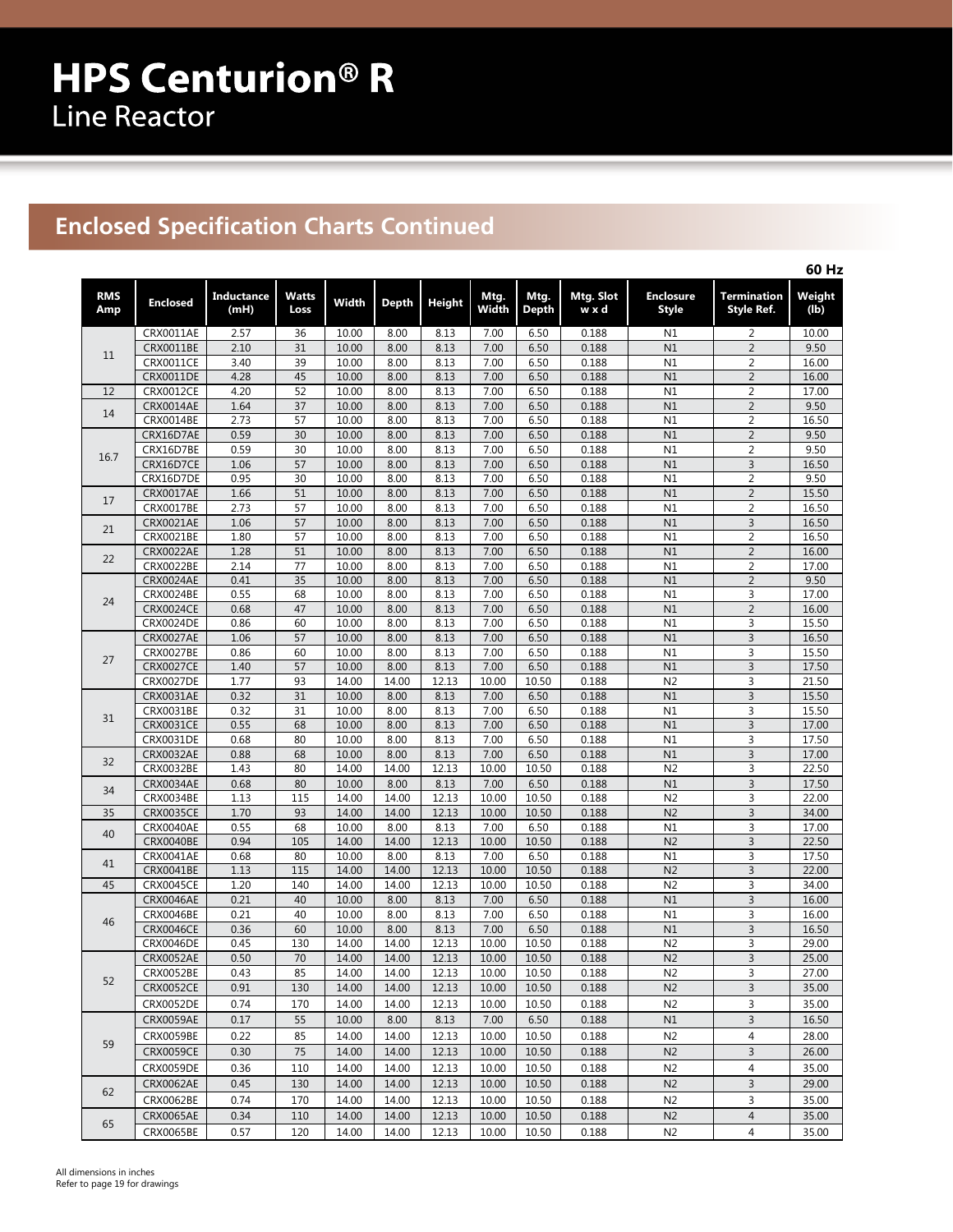## **Enclosed Specification Charts Continued**

|                   |                                      |                           |                 |                |              |               |               |               |                    |                                  |                                           | 60 Hz          |
|-------------------|--------------------------------------|---------------------------|-----------------|----------------|--------------|---------------|---------------|---------------|--------------------|----------------------------------|-------------------------------------------|----------------|
| <b>RMS</b><br>Amp | <b>Enclosed</b>                      | <b>Inductance</b><br>(mH) | Watts<br>Loss   | Width          | <b>Depth</b> | <b>Height</b> | Mtg.<br>Width | Mtg.<br>Depth | Mtg. Slot<br>w x d | <b>Enclosure</b><br><b>Style</b> | <b>Termination</b><br><b>Style Ref.</b>   | Weight<br>(lb) |
|                   | CRX0011AE                            | 2.57                      | 36              | 10.00          | 8.00         | 8.13          | 7.00          | 6.50          | 0.188              | N1                               | 2                                         | 10.00          |
|                   | CRX0011BE                            | 2.10                      | 31              | 10.00          | 8.00         | 8.13          | 7.00          | 6.50          | 0.188              | N1                               | $\overline{2}$                            | 9.50           |
| 11                | <b>CRX0011CE</b>                     | 3.40                      | 39              | 10.00          | 8.00         | 8.13          | 7.00          | 6.50          | 0.188              | N1                               | $\overline{2}$                            | 16.00          |
|                   | <b>CRX0011DE</b>                     | 4.28                      | 45              | 10.00          | 8.00         | 8.13          | 7.00          | 6.50          | 0.188              | N1                               | $\overline{2}$                            | 16.00          |
| 12                | <b>CRX0012CE</b>                     | 4.20                      | 52              | 10.00          | 8.00         | 8.13          | 7.00          | 6.50          | 0.188              | N1                               | $\overline{2}$                            | 17.00          |
| 14                | CRX0014AE                            | 1.64                      | 37              | 10.00          | 8.00         | 8.13          | 7.00          | 6.50          | 0.188              | N1                               | $\overline{2}$                            | 9.50           |
|                   | CRX0014BE                            | 2.73                      | 57              | 10.00          | 8.00         | 8.13          | 7.00          | 6.50          | 0.188              | N1                               | $\overline{2}$                            | 16.50          |
|                   | CRX16D7AE                            | 0.59                      | 30              | 10.00          | 8.00         | 8.13          | 7.00          | 6.50          | 0.188              | N1                               | $\overline{2}$                            | 9.50           |
| 16.7              | CRX16D7BE                            | 0.59                      | 30              | 10.00          | 8.00         | 8.13          | 7.00          | 6.50          | 0.188              | N1                               | 2                                         | 9.50           |
|                   | CRX16D7CE                            | 1.06                      | 57              | 10.00          | 8.00         | 8.13          | 7.00          | 6.50          | 0.188              | N1                               | 3                                         | 16.50          |
|                   | CRX16D7DE                            | 0.95                      | 30              | 10.00          | 8.00         | 8.13          | 7.00          | 6.50          | 0.188              | N1                               | $\overline{2}$                            | 9.50           |
| 17                | CRX0017AE<br>CRX0017BE               | 1.66<br>2.73              | 51<br>57        | 10.00<br>10.00 | 8.00<br>8.00 | 8.13<br>8.13  | 7.00<br>7.00  | 6.50<br>6.50  | 0.188<br>0.188     | N1<br>N1                         | $\overline{c}$<br>$\overline{\mathbf{c}}$ | 15.50<br>16.50 |
|                   | CRX0021AE                            | 1.06                      | 57              | 10.00          | 8.00         | 8.13          | 7.00          | 6.50          | 0.188              | N1                               | 3                                         | 16.50          |
| 21                | CRX0021BE                            | 1.80                      | 57              | 10.00          | 8.00         | 8.13          | 7.00          | 6.50          | 0.188              | N1                               | $\overline{2}$                            | 16.50          |
|                   | <b>CRX0022AE</b>                     | 1.28                      | 51              | 10.00          | 8.00         | 8.13          | 7.00          | 6.50          | 0.188              | N1                               | $\overline{2}$                            | 16.00          |
| 22                | CRX0022BE                            | 2.14                      | 77              | 10.00          | 8.00         | 8.13          | 7.00          | 6.50          | 0.188              | N1                               | $\overline{\mathbf{c}}$                   | 17.00          |
|                   | <b>CRX0024AE</b>                     | 0.41                      | $\overline{35}$ | 10.00          | 8.00         | 8.13          | 7.00          | 6.50          | 0.188              | N1                               | $\overline{2}$                            | 9.50           |
|                   | CRX0024BE                            | 0.55                      | 68              | 10.00          | 8.00         | 8.13          | 7.00          | 6.50          | 0.188              | N1                               | 3                                         | 17.00          |
| 24                | <b>CRX0024CE</b>                     | 0.68                      | 47              | 10.00          | 8.00         | 8.13          | 7.00          | 6.50          | 0.188              | N1                               | $\overline{2}$                            | 16.00          |
|                   | <b>CRX0024DE</b>                     | 0.86                      | 60              | 10.00          | 8.00         | 8.13          | 7.00          | 6.50          | 0.188              | N1                               | 3                                         | 15.50          |
|                   | <b>CRX0027AE</b>                     | 1.06                      | 57              | 10.00          | 8.00         | 8.13          | 7.00          | 6.50          | 0.188              | N1                               | 3                                         | 16.50          |
| 27                | <b>CRX0027BE</b>                     | 0.86                      | 60              | 10.00          | 8.00         | 8.13          | 7.00          | 6.50          | 0.188              | N1                               | 3                                         | 15.50          |
|                   | <b>CRX0027CE</b>                     | 1.40                      | 57              | 10.00          | 8.00         | 8.13          | 7.00          | 6.50          | 0.188              | N1                               | 3                                         | 17.50          |
|                   | <b>CRX0027DE</b>                     | 1.77                      | 93              | 14.00          | 14.00        | 12.13         | 10.00         | 10.50         | 0.188              | N <sub>2</sub>                   | 3                                         | 21.50          |
|                   | CRX0031AE                            | 0.32                      | 31              | 10.00          | 8.00         | 8.13          | 7.00          | 6.50          | 0.188              | N1                               | 3                                         | 15.50          |
| 31                | CRX0031BE                            | 0.32                      | 31              | 10.00          | 8.00         | 8.13          | 7.00          | 6.50          | 0.188              | N1                               | 3                                         | 15.50          |
|                   | <b>CRX0031CE</b>                     | 0.55                      | 68              | 10.00          | 8.00         | 8.13          | 7.00          | 6.50          | 0.188              | N1                               | 3                                         | 17.00          |
|                   | <b>CRX0031DE</b><br><b>CRX0032AE</b> | 0.68<br>0.88              | 80<br>68        | 10.00<br>10.00 | 8.00<br>8.00 | 8.13<br>8.13  | 7.00<br>7.00  | 6.50<br>6.50  | 0.188<br>0.188     | N1<br>N1                         | 3<br>3                                    | 17.50<br>17.00 |
| 32                | CRX0032BE                            | 1.43                      | 80              | 14.00          | 14.00        | 12.13         | 10.00         | 10.50         | 0.188              | N <sub>2</sub>                   | 3                                         | 22.50          |
|                   | <b>CRX0034AE</b>                     | 0.68                      | 80              | 10.00          | 8.00         | 8.13          | 7.00          | 6.50          | 0.188              | N1                               | 3                                         | 17.50          |
| 34                | CRX0034BE                            | 1.13                      | 115             | 14.00          | 14.00        | 12.13         | 10.00         | 10.50         | 0.188              | N <sub>2</sub>                   | 3                                         | 22.00          |
| 35                | <b>CRX0035CE</b>                     | 1.70                      | 93              | 14.00          | 14.00        | 12.13         | 10.00         | 10.50         | 0.188              | N <sub>2</sub>                   | 3                                         | 34.00          |
|                   | CRX0040AE                            | 0.55                      | 68              | 10.00          | 8.00         | 8.13          | 7.00          | 6.50          | 0.188              | N1                               | 3                                         | 17.00          |
| 40                | <b>CRX0040BE</b>                     | 0.94                      | 105             | 14.00          | 14.00        | 12.13         | 10.00         | 10.50         | 0.188              | N <sub>2</sub>                   | 3                                         | 22.50          |
|                   | <b>CRX0041AE</b>                     | 0.68                      | 80              | 10.00          | 8.00         | 8.13          | 7.00          | 6.50          | 0.188              | N1                               | 3                                         | 17.50          |
| 41                | CRX0041BE                            | 1.13                      | 115             | 14.00          | 14.00        | 12.13         | 10.00         | 10.50         | 0.188              | N <sub>2</sub>                   | 3                                         | 22.00          |
| 45                | <b>CRX0045CE</b>                     | 1.20                      | 140             | 14.00          | 14.00        | 12.13         | 10.00         | 10.50         | 0.188              | N <sub>2</sub>                   | 3                                         | 34.00          |
|                   | CRX0046AE                            | 0.21                      | 40              | 10.00          | 8.00         | 8.13          | 7.00          | 6.50          | 0.188              | N1                               | 3                                         | 16.00          |
| 46                | <b>CRX0046BE</b>                     | 0.21                      | 40              | 10.00          | 8.00         | 8.13          | 7.00          | 6.50          | 0.188              | N1                               | 3                                         | 16.00          |
|                   | <b>CRX0046CE</b>                     | 0.36                      | 60              | 10.00          | 8.00         | 8.13          | 7.00          | 6.50          | 0.188              | N1                               | 3                                         | 16.50          |
|                   | <b>CRX0046DE</b>                     | 0.45                      | 130             | 14.00          | 14.00        | 12.13         | 10.00         | 10.50         | 0.188              | N <sub>2</sub>                   | 3                                         | 29.00          |
|                   | <b>CRX0052AE</b>                     | 0.50                      | 70              | 14.00          | 14.00        | 12.13         | 10.00         | 10.50         | 0.188              | N <sub>2</sub>                   | $\overline{3}$                            | 25.00          |
| 52                | CRX0052BE                            | 0.43                      | 85              | 14.00          | 14.00        | 12.13         | 10.00         | 10.50         | 0.188              | N <sub>2</sub>                   | 3                                         | 27.00          |
|                   | <b>CRX0052CE</b>                     | 0.91                      | 130             | 14.00          | 14.00        | 12.13         | 10.00         | 10.50         | 0.188              | N <sub>2</sub>                   | 3                                         | 35.00          |
|                   | CRX0052DE                            | 0.74                      | 170             | 14.00          | 14.00        | 12.13         | 10.00         | 10.50         | 0.188              | N <sub>2</sub>                   | 3                                         | 35.00          |
|                   | <b>CRX0059AE</b>                     | 0.17                      | 55              | 10.00          | 8.00         | 8.13          | 7.00          | 6.50          | 0.188              | N1                               | 3                                         | 16.50          |
| 59                | <b>CRX0059BE</b>                     | 0.22                      | 85              | 14.00          | 14.00        | 12.13         | 10.00         | 10.50         | 0.188              | N <sub>2</sub>                   | 4                                         | 28.00          |
|                   | <b>CRX0059CE</b>                     | 0.30                      | 75              | 14.00          | 14.00        | 12.13         | 10.00         | 10.50         | 0.188              | N <sub>2</sub>                   | 3                                         | 26.00          |
|                   | <b>CRX0059DE</b>                     | 0.36                      | 110             | 14.00          | 14.00        | 12.13         | 10.00         | 10.50         | 0.188              | N <sub>2</sub>                   | 4                                         | 35.00          |
| 62                | <b>CRX0062AE</b>                     | 0.45                      | 130             | 14.00          | 14.00        | 12.13         | 10.00         | 10.50         | 0.188              | N <sub>2</sub>                   | 3                                         | 29.00          |
|                   | CRX0062BE                            | 0.74                      | 170             | 14.00          | 14.00        | 12.13         | 10.00         | 10.50         | 0.188              | N <sub>2</sub>                   | 3                                         | 35.00          |
|                   | <b>CRX0065AE</b>                     | 0.34                      | 110             | 14.00          | 14.00        | 12.13         | 10.00         | 10.50         | 0.188              | N <sub>2</sub>                   | $\overline{4}$                            | 35.00          |
| 65                | CRX0065BE                            | 0.57                      | 120             | 14.00          | 14.00        | 12.13         | 10.00         | 10.50         | 0.188              | N <sub>2</sub>                   | 4                                         | 35.00          |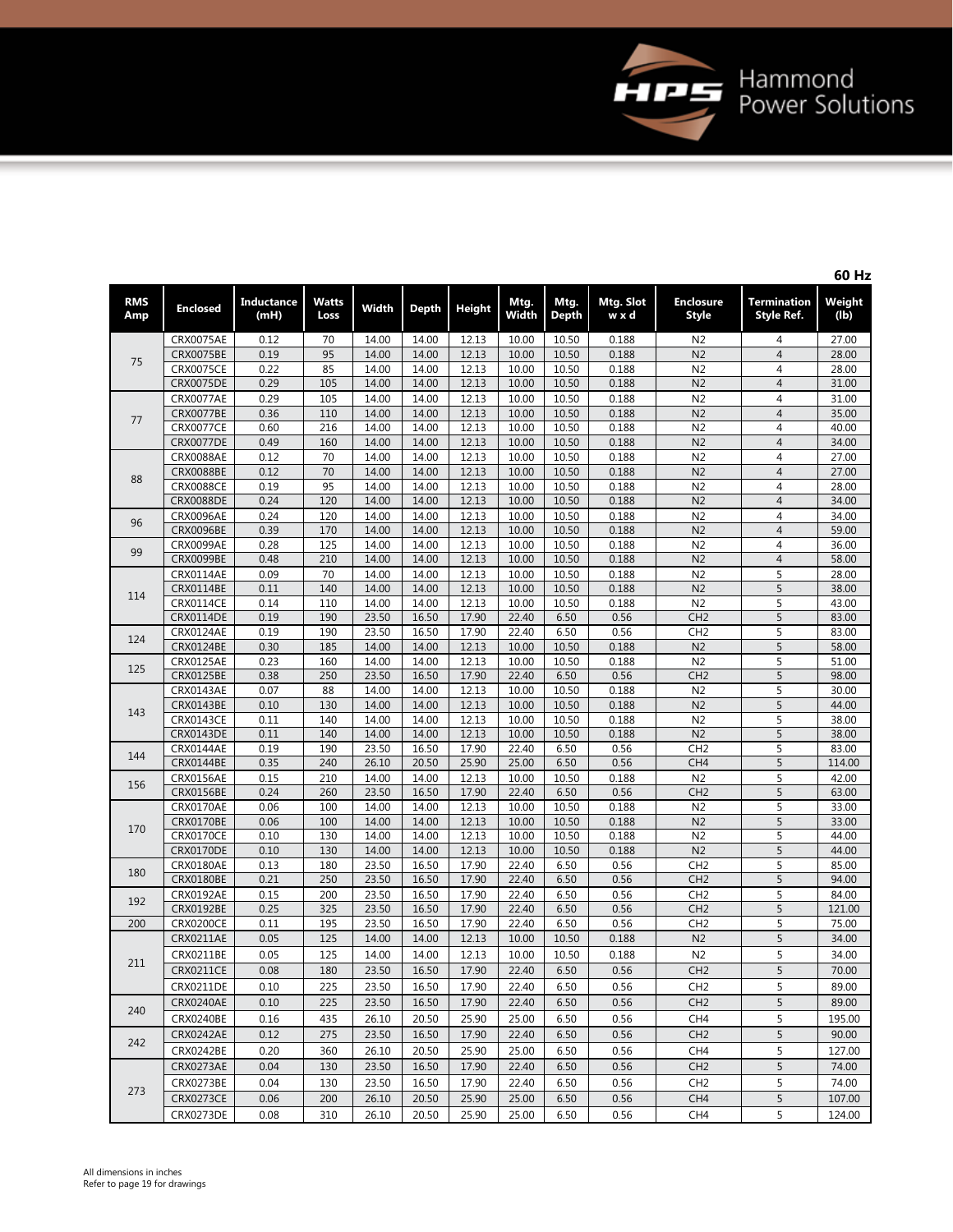

| ۰.<br>۰. |  |
|----------|--|
|----------|--|

|                   |                  |                    |               |       |       |               |               |               |                    |                           |                                  | -- - -         |
|-------------------|------------------|--------------------|---------------|-------|-------|---------------|---------------|---------------|--------------------|---------------------------|----------------------------------|----------------|
| <b>RMS</b><br>Amp | <b>Enclosed</b>  | Inductance<br>(mH) | Watts<br>Loss | Width | Depth | <b>Height</b> | Mtg.<br>Width | Mtg.<br>Depth | Mtg. Slot<br>w x d | <b>Enclosure</b><br>Style | <b>Termination</b><br>Style Ref. | Weight<br>(lb) |
|                   | CRX0075AE        | 0.12               | 70            | 14.00 | 14.00 | 12.13         | 10.00         | 10.50         | 0.188              | N <sub>2</sub>            | 4                                | 27.00          |
|                   | <b>CRX0075BE</b> | 0.19               | 95            | 14.00 | 14.00 | 12.13         | 10.00         | 10.50         | 0.188              | N <sub>2</sub>            | $\overline{4}$                   | 28.00          |
| 75                | <b>CRX0075CE</b> | 0.22               | 85            | 14.00 | 14.00 | 12.13         | 10.00         | 10.50         | 0.188              | N <sub>2</sub>            | 4                                | 28.00          |
|                   | <b>CRX0075DE</b> | 0.29               | 105           | 14.00 | 14.00 | 12.13         | 10.00         | 10.50         | 0.188              | N <sub>2</sub>            | $\overline{4}$                   | 31.00          |
|                   | CRX0077AE        | 0.29               | 105           | 14.00 | 14.00 | 12.13         | 10.00         | 10.50         | 0.188              | N <sub>2</sub>            | 4                                | 31.00          |
|                   | <b>CRX0077BE</b> | 0.36               | 110           | 14.00 | 14.00 | 12.13         | 10.00         | 10.50         | 0.188              | N <sub>2</sub>            | 4                                | 35.00          |
| 77                | <b>CRX0077CE</b> | 0.60               | 216           | 14.00 | 14.00 | 12.13         | 10.00         | 10.50         | 0.188              | N <sub>2</sub>            | 4                                | 40.00          |
|                   | <b>CRX0077DE</b> | 0.49               | 160           | 14.00 | 14.00 | 12.13         | 10.00         | 10.50         | 0.188              | N <sub>2</sub>            | $\overline{4}$                   | 34.00          |
|                   | <b>CRX0088AE</b> | 0.12               | 70            | 14.00 | 14.00 | 12.13         | 10.00         | 10.50         | 0.188              | N <sub>2</sub>            | $\overline{4}$                   | 27.00          |
|                   | <b>CRX0088BE</b> | 0.12               | 70            | 14.00 | 14.00 | 12.13         | 10.00         | 10.50         | 0.188              | N <sub>2</sub>            | $\overline{4}$                   | 27.00          |
| 88                | <b>CRX0088CE</b> | 0.19               | 95            | 14.00 | 14.00 | 12.13         | 10.00         | 10.50         | 0.188              | N <sub>2</sub>            | 4                                | 28.00          |
|                   | <b>CRX0088DE</b> | 0.24               | 120           | 14.00 | 14.00 | 12.13         | 10.00         | 10.50         | 0.188              | N <sub>2</sub>            | $\overline{4}$                   | 34.00          |
|                   | <b>CRX0096AE</b> | 0.24               | 120           | 14.00 | 14.00 | 12.13         | 10.00         | 10.50         | 0.188              | N <sub>2</sub>            | $\overline{4}$                   | 34.00          |
| 96                | <b>CRX0096BE</b> | 0.39               | 170           | 14.00 | 14.00 | 12.13         | 10.00         | 10.50         | 0.188              | N <sub>2</sub>            | $\overline{4}$                   | 59.00          |
|                   | CRX0099AE        | 0.28               | 125           | 14.00 | 14.00 | 12.13         | 10.00         | 10.50         | 0.188              | N <sub>2</sub>            | 4                                | 36.00          |
| 99                | <b>CRX0099BE</b> | 0.48               | 210           | 14.00 | 14.00 | 12.13         | 10.00         | 10.50         | 0.188              | N <sub>2</sub>            | $\overline{4}$                   | 58.00          |
|                   | CRX0114AE        | 0.09               | 70            | 14.00 | 14.00 | 12.13         | 10.00         | 10.50         | 0.188              | N <sub>2</sub>            | 5                                | 28.00          |
|                   | <b>CRX0114BE</b> | 0.11               | 140           | 14.00 | 14.00 | 12.13         | 10.00         | 10.50         | 0.188              | N <sub>2</sub>            | 5                                | 38.00          |
| 114               | <b>CRX0114CE</b> | 0.14               | 110           | 14.00 | 14.00 | 12.13         | 10.00         | 10.50         | 0.188              | N <sub>2</sub>            | 5                                | 43.00          |
|                   | CRX0114DE        | 0.19               | 190           | 23.50 | 16.50 | 17.90         | 22.40         | 6.50          | 0.56               | CH <sub>2</sub>           | 5                                | 83.00          |
|                   | CRX0124AE        | 0.19               | 190           | 23.50 | 16.50 | 17.90         | 22.40         | 6.50          | 0.56               | CH <sub>2</sub>           | 5                                | 83.00          |
| 124               | <b>CRX0124BE</b> | 0.30               | 185           | 14.00 | 14.00 | 12.13         | 10.00         | 10.50         | 0.188              | N <sub>2</sub>            | 5                                | 58.00          |
|                   | <b>CRX0125AE</b> | 0.23               | 160           | 14.00 | 14.00 | 12.13         | 10.00         | 10.50         | 0.188              | N <sub>2</sub>            | 5                                | 51.00          |
| 125               | <b>CRX0125BE</b> | 0.38               | 250           | 23.50 | 16.50 | 17.90         | 22.40         | 6.50          | 0.56               | CH <sub>2</sub>           | 5                                | 98.00          |
|                   | CRX0143AE        | 0.07               | 88            | 14.00 | 14.00 | 12.13         | 10.00         | 10.50         | 0.188              | N <sub>2</sub>            | 5                                | 30.00          |
|                   | CRX0143BE        | 0.10               | 130           | 14.00 | 14.00 | 12.13         | 10.00         | 10.50         | 0.188              | N <sub>2</sub>            | 5                                | 44.00          |
| 143               | CRX0143CE        | 0.11               | 140           | 14.00 | 14.00 | 12.13         | 10.00         | 10.50         | 0.188              | N <sub>2</sub>            | 5                                | 38.00          |
|                   | <b>CRX0143DE</b> | 0.11               | 140           | 14.00 | 14.00 | 12.13         | 10.00         | 10.50         | 0.188              | N <sub>2</sub>            | 5                                | 38.00          |
|                   | CRX0144AE        | 0.19               | 190           | 23.50 | 16.50 | 17.90         | 22.40         | 6.50          | 0.56               | CH <sub>2</sub>           | 5                                | 83.00          |
| 144               | CRX0144BE        | 0.35               | 240           | 26.10 | 20.50 | 25.90         | 25.00         | 6.50          | 0.56               | CH4                       | 5                                | 114.00         |
|                   | CRX0156AE        | 0.15               | 210           | 14.00 | 14.00 | 12.13         | 10.00         | 10.50         | 0.188              | N <sub>2</sub>            | 5                                | 42.00          |
| 156               | <b>CRX0156BE</b> | 0.24               | 260           | 23.50 | 16.50 | 17.90         | 22.40         | 6.50          | 0.56               | CH <sub>2</sub>           | 5                                | 63.00          |
|                   | CRX0170AE        | 0.06               | 100           | 14.00 | 14.00 | 12.13         | 10.00         | 10.50         | 0.188              | N <sub>2</sub>            | 5                                | 33.00          |
|                   | CRX0170BE        | 0.06               | 100           | 14.00 | 14.00 | 12.13         | 10.00         | 10.50         | 0.188              | N <sub>2</sub>            | 5                                | 33.00          |
| 170               | <b>CRX0170CE</b> | 0.10               | 130           | 14.00 | 14.00 | 12.13         | 10.00         | 10.50         | 0.188              | N <sub>2</sub>            | 5                                | 44.00          |
|                   | <b>CRX0170DE</b> | 0.10               | 130           | 14.00 | 14.00 | 12.13         | 10.00         | 10.50         | 0.188              | N <sub>2</sub>            | 5                                | 44.00          |
|                   | CRX0180AE        | 0.13               | 180           | 23.50 | 16.50 | 17.90         | 22.40         | 6.50          | 0.56               | CH <sub>2</sub>           | 5                                | 85.00          |
| 180               | <b>CRX0180BE</b> | 0.21               | 250           | 23.50 | 16.50 | 17.90         | 22.40         | 6.50          | 0.56               | CH <sub>2</sub>           | 5                                | 94.00          |
| 192               | <b>CRX0192AE</b> | 0.15               | 200           | 23.50 | 16.50 | 17.90         | 22.40         | 6.50          | 0.56               | CH <sub>2</sub>           | 5                                | 84.00          |
|                   | <b>CRX0192BE</b> | 0.25               | 325           | 23.50 | 16.50 | 17.90         | 22.40         | 6.50          | 0.56               | CH <sub>2</sub>           | 5                                | 121.00         |
| 200               | <b>CRX0200CE</b> | 0.11               | 195           | 23.50 | 16.50 | 17.90         | 22.40         | 6.50          | 0.56               | CH <sub>2</sub>           | 5                                | 75.00          |
|                   | <b>CRX0211AE</b> | 0.05               | 125           | 14.00 | 14.00 | 12.13         | 10.00         | 10.50         | 0.188              | N <sub>2</sub>            | 5                                | 34.00          |
|                   | CRX0211BE        | 0.05               | 125           | 14.00 | 14.00 | 12.13         | 10.00         | 10.50         | 0.188              | N <sub>2</sub>            | 5                                | 34.00          |
| 211               | <b>CRX0211CE</b> | 0.08               | 180           | 23.50 | 16.50 | 17.90         | 22.40         | 6.50          | 0.56               | CH <sub>2</sub>           | 5                                | 70.00          |
|                   | CRX0211DE        | 0.10               | 225           | 23.50 | 16.50 | 17.90         | 22.40         | 6.50          | 0.56               | CH <sub>2</sub>           | 5                                | 89.00          |
|                   | CRX0240AE        | 0.10               | 225           | 23.50 | 16.50 | 17.90         | 22.40         | 6.50          | 0.56               | CH <sub>2</sub>           | 5                                | 89.00          |
| 240               | CRX0240BE        |                    |               | 26.10 | 20.50 |               |               |               |                    |                           |                                  |                |
|                   |                  | 0.16               | 435           |       |       | 25.90         | 25.00         | 6.50          | 0.56               | CH <sub>4</sub>           | 5                                | 195.00         |
| 242               | CRX0242AE        | 0.12               | 275           | 23.50 | 16.50 | 17.90         | 22.40         | 6.50          | 0.56               | CH <sub>2</sub>           | 5                                | 90.00          |
|                   | CRX0242BE        | 0.20               | 360           | 26.10 | 20.50 | 25.90         | 25.00         | 6.50          | 0.56               | CH <sub>4</sub>           | 5                                | 127.00         |
|                   | CRX0273AE        | 0.04               | 130           | 23.50 | 16.50 | 17.90         | 22.40         | 6.50          | 0.56               | CH2                       | 5                                | 74.00          |
| 273               | CRX0273BE        | 0.04               | 130           | 23.50 | 16.50 | 17.90         | 22.40         | 6.50          | 0.56               | CH <sub>2</sub>           | 5                                | 74.00          |
|                   | <b>CRX0273CE</b> | 0.06               | 200           | 26.10 | 20.50 | 25.90         | 25.00         | 6.50          | 0.56               | CH <sub>4</sub>           | 5                                | 107.00         |
|                   | CRX0273DE        | 0.08               | 310           | 26.10 | 20.50 | 25.90         | 25.00         | 6.50          | 0.56               | CH <sub>4</sub>           | 5                                | 124.00         |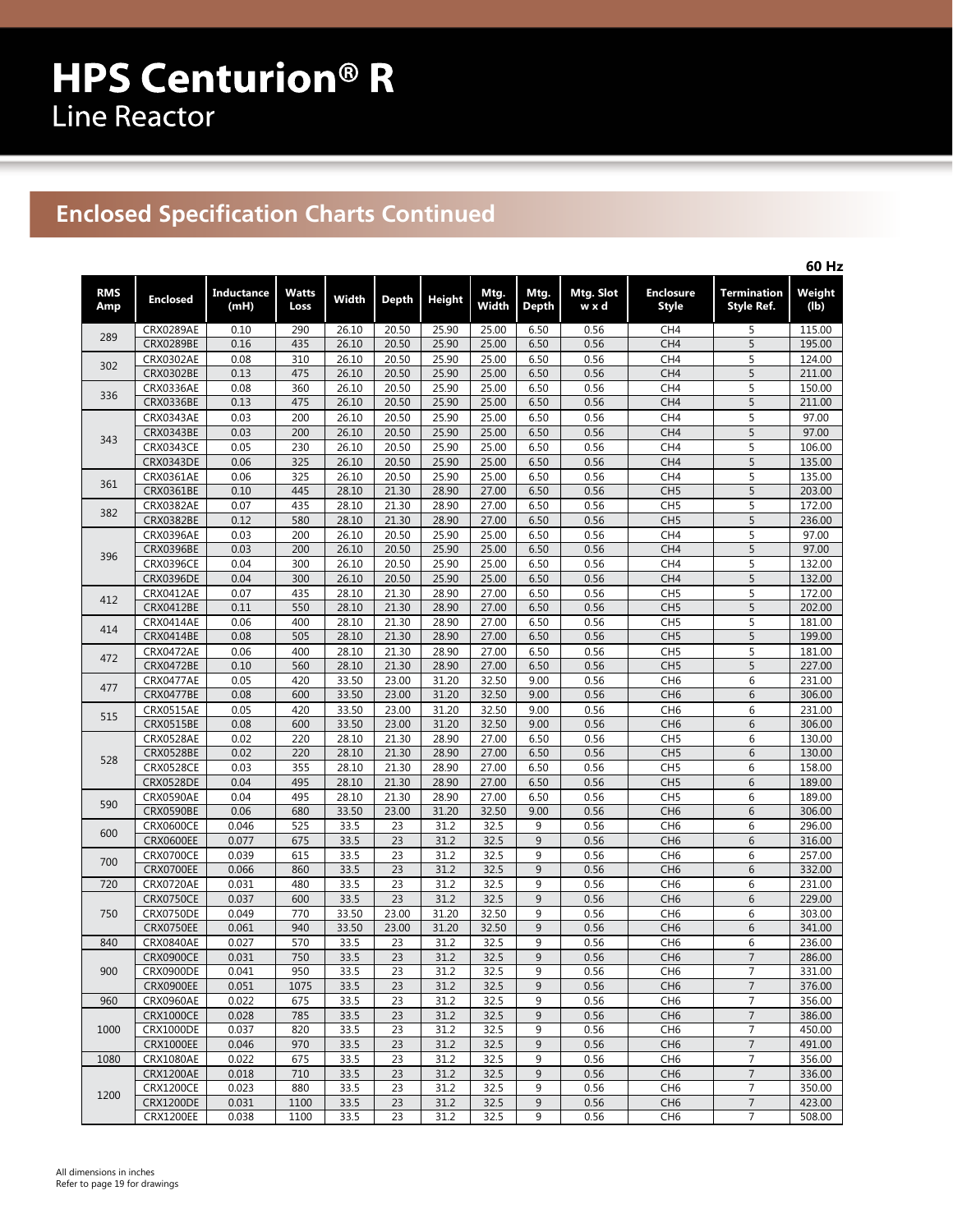# **Enclosed Specification Charts Continued**

|                   |                  |                           |               |       |                 |               |               |               |                    |                                  |                           | 60 Hz          |
|-------------------|------------------|---------------------------|---------------|-------|-----------------|---------------|---------------|---------------|--------------------|----------------------------------|---------------------------|----------------|
| <b>RMS</b><br>Amp | <b>Enclosed</b>  | <b>Inductance</b><br>(mH) | Watts<br>Loss | Width | Depth           | <b>Height</b> | Mtg.<br>Width | Mtg.<br>Depth | Mtg. Slot<br>w x d | <b>Enclosure</b><br><b>Style</b> | Termination<br>Style Ref. | Weight<br>(lb) |
|                   | CRX0289AE        | 0.10                      | 290           | 26.10 | 20.50           | 25.90         | 25.00         | 6.50          | 0.56               | CH <sub>4</sub>                  | 5                         | 115.00         |
| 289               | <b>CRX0289BE</b> | 0.16                      | 435           | 26.10 | 20.50           | 25.90         | 25.00         | 6.50          | 0.56               | CH4                              | 5                         | 195.00         |
|                   | <b>CRX0302AE</b> | 0.08                      | 310           | 26.10 | 20.50           | 25.90         | 25.00         | 6.50          | 0.56               | CH4                              | 5                         | 124.00         |
| 302               | CRX0302BE        | 0.13                      | 475           | 26.10 | 20.50           | 25.90         | 25.00         | 6.50          | 0.56               | CH <sub>4</sub>                  | 5                         | 211.00         |
|                   | <b>CRX0336AE</b> | 0.08                      | 360           | 26.10 | 20.50           | 25.90         | 25.00         | 6.50          | 0.56               | CH4                              | 5                         | 150.00         |
| 336               | CRX0336BE        | 0.13                      | 475           | 26.10 | 20.50           | 25.90         | 25.00         | 6.50          | 0.56               | CH4                              | 5                         | 211.00         |
|                   | <b>CRX0343AE</b> | 0.03                      | 200           | 26.10 | 20.50           | 25.90         | 25.00         | 6.50          | 0.56               | CH4                              | 5                         | 97.00          |
|                   | <b>CRX0343BE</b> | 0.03                      | 200           | 26.10 | 20.50           | 25.90         | 25.00         | 6.50          | 0.56               | CH4                              | 5                         | 97.00          |
| 343               | <b>CRX0343CE</b> | 0.05                      | 230           | 26.10 | 20.50           | 25.90         | 25.00         | 6.50          | 0.56               | CH <sub>4</sub>                  | 5                         | 106.00         |
|                   | <b>CRX0343DE</b> | 0.06                      | 325           | 26.10 | 20.50           | 25.90         | 25.00         | 6.50          | 0.56               | CH <sub>4</sub>                  | 5                         | 135.00         |
|                   | CRX0361AE        | 0.06                      | 325           | 26.10 | 20.50           | 25.90         | 25.00         | 6.50          | 0.56               | CH <sub>4</sub>                  | 5                         | 135.00         |
| 361               | CRX0361BE        | 0.10                      | 445           | 28.10 | 21.30           | 28.90         | 27.00         | 6.50          | 0.56               | CH <sub>5</sub>                  | 5                         | 203.00         |
|                   | <b>CRX0382AE</b> | 0.07                      | 435           | 28.10 | 21.30           | 28.90         | 27.00         | 6.50          | 0.56               | CH <sub>5</sub>                  | 5                         | 172.00         |
| 382               | CRX0382BE        | 0.12                      | 580           | 28.10 | 21.30           | 28.90         | 27.00         | 6.50          | 0.56               | CH <sub>5</sub>                  | 5                         | 236.00         |
|                   | <b>CRX0396AE</b> | 0.03                      | 200           | 26.10 | 20.50           | 25.90         | 25.00         | 6.50          | 0.56               | CH4                              | 5                         | 97.00          |
|                   | <b>CRX0396BE</b> | 0.03                      | 200           | 26.10 | 20.50           | 25.90         | 25.00         | 6.50          | 0.56               | CH <sub>4</sub>                  | 5                         | 97.00          |
| 396               | <b>CRX0396CE</b> | 0.04                      | 300           | 26.10 | 20.50           | 25.90         | 25.00         | 6.50          | 0.56               | CH4                              | 5                         | 132.00         |
|                   | <b>CRX0396DE</b> | 0.04                      | 300           | 26.10 | 20.50           | 25.90         | 25.00         | 6.50          | 0.56               | CH <sub>4</sub>                  | 5                         | 132.00         |
|                   | CRX0412AE        | 0.07                      | 435           | 28.10 | 21.30           | 28.90         | 27.00         | 6.50          | 0.56               | CH <sub>5</sub>                  | 5                         | 172.00         |
| 412               | CRX0412BE        | 0.11                      | 550           | 28.10 | 21.30           | 28.90         | 27.00         | 6.50          | 0.56               | CH <sub>5</sub>                  | 5                         | 202.00         |
|                   | <b>CRX0414AE</b> | 0.06                      | 400           | 28.10 | 21.30           | 28.90         | 27.00         | 6.50          | 0.56               | CH <sub>5</sub>                  | 5                         | 181.00         |
| 414               | CRX0414BE        | 0.08                      | 505           | 28.10 | 21.30           | 28.90         | 27.00         | 6.50          | 0.56               | CH <sub>5</sub>                  | 5                         | 199.00         |
|                   | CRX0472AE        | 0.06                      | 400           | 28.10 | 21.30           | 28.90         | 27.00         | 6.50          | 0.56               | CH <sub>5</sub>                  | 5                         | 181.00         |
| 472               | <b>CRX0472BE</b> | 0.10                      | 560           | 28.10 | 21.30           | 28.90         | 27.00         | 6.50          | 0.56               | CH <sub>5</sub>                  | 5                         | 227.00         |
|                   | <b>CRX0477AE</b> | 0.05                      | 420           | 33.50 | 23.00           | 31.20         | 32.50         | 9.00          | 0.56               | CH <sub>6</sub>                  | 6                         | 231.00         |
| 477               | <b>CRX0477BE</b> | 0.08                      | 600           | 33.50 | 23.00           | 31.20         | 32.50         | 9.00          | 0.56               | CH <sub>6</sub>                  | 6                         | 306.00         |
|                   | <b>CRX0515AE</b> | 0.05                      | 420           | 33.50 | 23.00           | 31.20         | 32.50         | 9.00          | 0.56               | CH <sub>6</sub>                  | 6                         | 231.00         |
| 515               | CRX0515BE        | 0.08                      | 600           | 33.50 | 23.00           | 31.20         | 32.50         | 9.00          | 0.56               | CH <sub>6</sub>                  | 6                         | 306.00         |
|                   | CRX0528AE        | 0.02                      | 220           | 28.10 | 21.30           | 28.90         | 27.00         | 6.50          | 0.56               | CH <sub>5</sub>                  | 6                         | 130.00         |
|                   | <b>CRX0528BE</b> | 0.02                      | 220           | 28.10 | 21.30           | 28.90         | 27.00         | 6.50          | 0.56               | CH <sub>5</sub>                  | 6                         | 130.00         |
| 528               | <b>CRX0528CE</b> | 0.03                      | 355           | 28.10 | 21.30           | 28.90         | 27.00         | 6.50          | 0.56               | CH <sub>5</sub>                  | 6                         | 158.00         |
|                   | <b>CRX0528DE</b> | 0.04                      | 495           | 28.10 | 21.30           | 28.90         | 27.00         | 6.50          | 0.56               | CH <sub>5</sub>                  | 6                         | 189.00         |
|                   | CRX0590AE        | 0.04                      | 495           | 28.10 | 21.30           | 28.90         | 27.00         | 6.50          | 0.56               | CH <sub>5</sub>                  | 6                         | 189.00         |
| 590               | <b>CRX0590BE</b> | 0.06                      | 680           | 33.50 | 23.00           | 31.20         | 32.50         | 9.00          | 0.56               | CH <sub>6</sub>                  | 6                         | 306.00         |
|                   | <b>CRX0600CE</b> | 0.046                     | 525           | 33.5  | 23              | 31.2          | 32.5          | 9             | 0.56               | CH <sub>6</sub>                  | 6                         | 296.00         |
| 600               | <b>CRX0600EE</b> | 0.077                     | 675           | 33.5  | 23              | 31.2          | 32.5          | 9             | 0.56               | CH <sub>6</sub>                  | 6                         | 316.00         |
|                   | <b>CRX0700CE</b> | 0.039                     | 615           | 33.5  | 23              | 31.2          | 32.5          | 9             | 0.56               | CH <sub>6</sub>                  | 6                         | 257.00         |
| 700               | <b>CRX0700EE</b> | 0.066                     | 860           | 33.5  | 23              | 31.2          | 32.5          | 9             | 0.56               | CH <sub>6</sub>                  | 6                         | 332.00         |
| 720               | <b>CRX0720AE</b> | 0.031                     | 480           | 33.5  | 23              | 31.2          | 32.5          | 9             | 0.56               | CH <sub>6</sub>                  | 6                         | 231.00         |
|                   | <b>CRX0750CE</b> | 0.037                     | 600           | 33.5  | 23              | 31.2          | 32.5          | 9             | 0.56               | CH <sub>6</sub>                  | 6                         | 229.00         |
| 750               | <b>CRX0750DE</b> | 0.049                     | 770           | 33.50 | 23.00           | 31.20         | 32.50         | 9             | 0.56               | CH <sub>6</sub>                  | 6                         | 303.00         |
|                   | <b>CRX0750EE</b> | 0.061                     | 940           | 33.50 | 23.00           | 31.20         | 32.50         | 9             | 0.56               | CH <sub>6</sub>                  | 6                         | 341.00         |
| 840               | <b>CRX0840AE</b> | 0.027                     | 570           | 33.5  | 23              | 31.2          | 32.5          | 9             | 0.56               | CH <sub>6</sub>                  | 6                         | 236.00         |
|                   | <b>CRX0900CE</b> | 0.031                     | 750           | 33.5  | $\overline{23}$ | 31.2          | 32.5          | $\mathsf{q}$  | 0.56               | CH <sub>6</sub>                  | 7                         | 286.00         |
| 900               | <b>CRX0900DE</b> | 0.041                     | 950           | 33.5  | 23              | 31.2          | 32.5          | 9             | 0.56               | CH <sub>6</sub>                  | 7                         | 331.00         |
|                   | <b>CRX0900EE</b> | 0.051                     | 1075          | 33.5  | 23              | 31.2          | 32.5          | 9             | 0.56               | CH <sub>6</sub>                  | $\overline{7}$            | 376.00         |
| 960               | <b>CRX0960AE</b> | 0.022                     | 675           | 33.5  | 23              | 31.2          | 32.5          | 9             | 0.56               | CH <sub>6</sub>                  | 7                         | 356.00         |
|                   | <b>CRX1000CE</b> | 0.028                     | 785           | 33.5  | 23              | 31.2          | 32.5          | 9             | 0.56               | CH <sub>6</sub>                  | $\overline{7}$            | 386.00         |
| 1000              | <b>CRX1000DE</b> | 0.037                     | 820           | 33.5  | 23              | 31.2          | 32.5          | 9             | 0.56               | CH <sub>6</sub>                  | 7                         | 450.00         |
|                   | <b>CRX1000EE</b> | 0.046                     | 970           | 33.5  | 23              | 31.2          | 32.5          | 9             | 0.56               | CH <sub>6</sub>                  | $\overline{7}$            | 491.00         |
| 1080              | <b>CRX1080AE</b> | 0.022                     | 675           | 33.5  | 23              | 31.2          | 32.5          | 9             | 0.56               | CH <sub>6</sub>                  | 7                         | 356.00         |
|                   | <b>CRX1200AE</b> | 0.018                     | 710           | 33.5  | 23              | 31.2          | 32.5          | 9             | 0.56               | CH <sub>6</sub>                  | $\overline{7}$            | 336.00         |
|                   | <b>CRX1200CE</b> | 0.023                     | 880           | 33.5  | 23              | 31.2          | 32.5          | 9             | 0.56               | CH <sub>6</sub>                  | 7                         | 350.00         |
| 1200              | <b>CRX1200DE</b> | 0.031                     | 1100          | 33.5  | 23              | 31.2          | 32.5          | 9             | 0.56               | CH <sub>6</sub>                  | $\overline{7}$            | 423.00         |
|                   | <b>CRX1200EE</b> | 0.038                     | 1100          | 33.5  | 23              | 31.2          | 32.5          | 9             | 0.56               | CH <sub>6</sub>                  | $\overline{7}$            | 508.00         |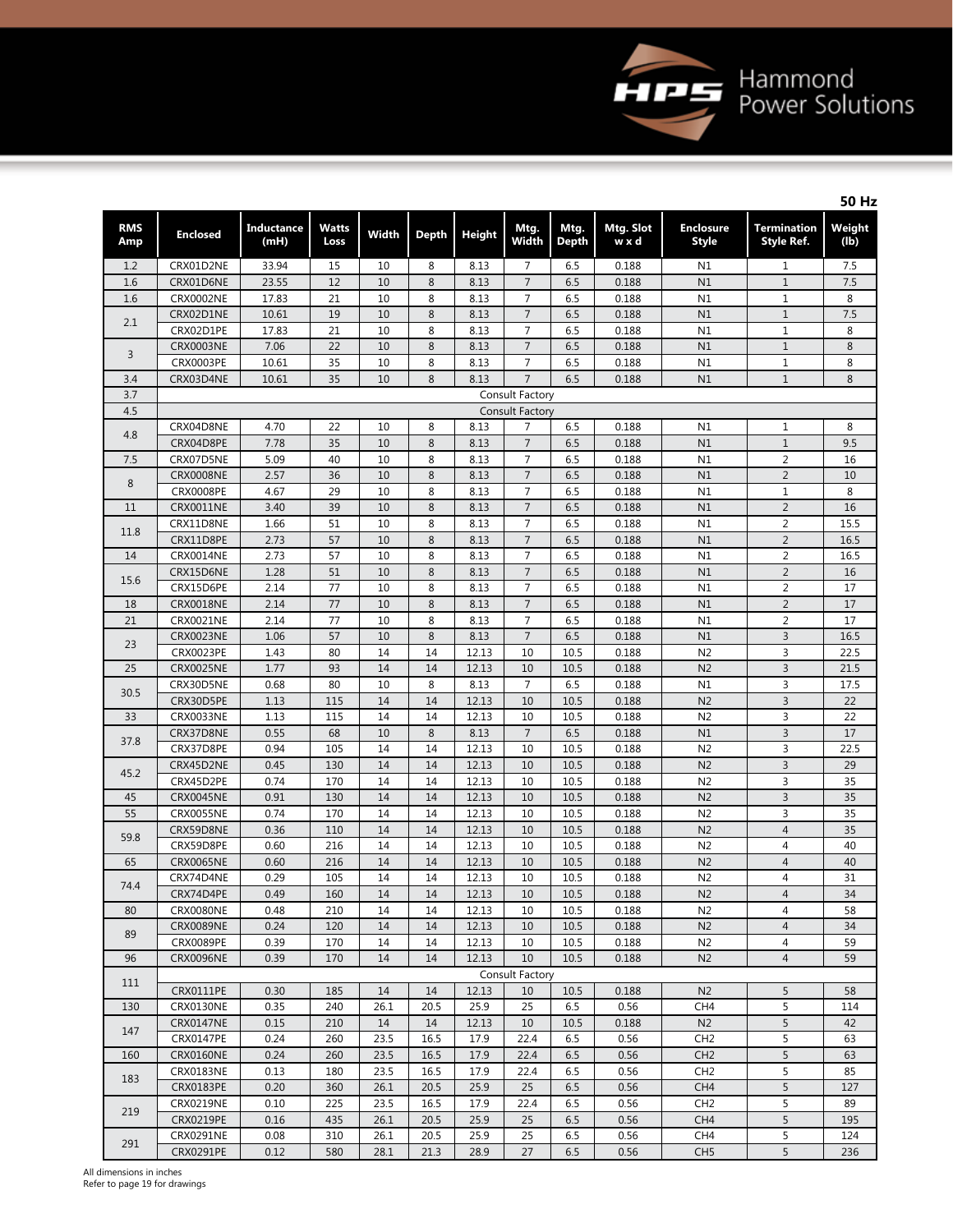

|                   |                                      |                           |                      |          |              |               |                                  |                      |                    |                                  |                                         | <b>50 Hz</b>   |
|-------------------|--------------------------------------|---------------------------|----------------------|----------|--------------|---------------|----------------------------------|----------------------|--------------------|----------------------------------|-----------------------------------------|----------------|
| <b>RMS</b><br>Amp | <b>Enclosed</b>                      | <b>Inductance</b><br>(mH) | <b>Watts</b><br>Loss | Width    | <b>Depth</b> | <b>Height</b> | Mtg.<br>Width                    | Mtg.<br><b>Depth</b> | Mtg. Slot<br>w x d | <b>Enclosure</b><br><b>Style</b> | <b>Termination</b><br><b>Style Ref.</b> | Weight<br>(lb) |
| 1.2               | CRX01D2NE                            | 33.94                     | 15                   | 10       | 8            | 8.13          | 7                                | 6.5                  | 0.188              | N1                               | $\mathbf{1}$                            | 7.5            |
| 1.6               | CRX01D6NE                            | 23.55                     | 12                   | 10       | 8            | 8.13          | $\overline{7}$                   | 6.5                  | 0.188              | N1                               | $\mathbf{1}$                            | 7.5            |
| 1.6               | <b>CRX0002NE</b>                     | 17.83                     | 21                   | 10       | 8            | 8.13          | $\overline{7}$                   | 6.5                  | 0.188              | N1                               | $\mathbf{1}$                            | 8              |
| 2.1               | CRX02D1NE                            | 10.61                     | 19                   | 10       | 8            | 8.13          | $\overline{7}$                   | 6.5                  | 0.188              | N1                               | $\mathbf 1$                             | 7.5            |
|                   | CRX02D1PE                            | 17.83                     | 21                   | 10       | 8            | 8.13          | 7                                | 6.5                  | 0.188              | N1                               | $\mathbf{1}$                            | 8              |
| $\overline{3}$    | <b>CRX0003NE</b>                     | 7.06                      | 22                   | 10       | 8            | 8.13          | $\overline{7}$                   | 6.5                  | 0.188              | N1                               | $\mathbf{1}$                            | 8              |
|                   | CRX0003PE                            | 10.61                     | 35                   | 10       | 8            | 8.13          | 7                                | 6.5                  | 0.188              | N1                               | $1\,$                                   | 8              |
| 3.4               | CRX03D4NE                            | 10.61                     | 35                   | 10       | 8            | 8.13          | $\overline{7}$                   | 6.5                  | 0.188              | N1                               | $1\,$                                   | 8              |
| 3.7               |                                      |                           |                      |          |              |               | Consult Factory                  |                      |                    |                                  |                                         |                |
| 4.5               |                                      |                           |                      |          |              |               | <b>Consult Factory</b>           |                      |                    |                                  |                                         |                |
| 4.8               | CRX04D8NE                            | 4.70                      | 22                   | 10       | 8            | 8.13          | 7                                | 6.5                  | 0.188              | N1                               | 1                                       | 8              |
|                   | CRX04D8PE                            | 7.78                      | 35                   | 10       | 8            | 8.13          | $\overline{7}$                   | 6.5                  | 0.188              | N1                               | $\mathbf{1}$                            | 9.5            |
| 7.5               | CRX07D5NE                            | 5.09                      | 40                   | 10       | 8            | 8.13          | $\overline{7}$                   | 6.5                  | 0.188              | N1                               | $\overline{2}$                          | 16             |
| 8                 | <b>CRX0008NE</b>                     | 2.57                      | 36                   | 10       | 8            | 8.13          | $\overline{7}$                   | 6.5                  | 0.188              | N1                               | $\overline{2}$                          | 10             |
|                   | <b>CRX0008PE</b>                     | 4.67                      | 29                   | 10       | 8            | 8.13          | 7                                | 6.5                  | 0.188              | N1                               | $\mathbf{1}$                            | 8              |
| 11                | <b>CRX0011NE</b>                     | 3.40                      | 39                   | 10       | 8            | 8.13          | $\overline{7}$                   | 6.5                  | 0.188              | N1                               | $\overline{2}$                          | 16             |
| 11.8              | CRX11D8NE                            | 1.66                      | 51                   | 10       | 8            | 8.13          | $\overline{7}$                   | 6.5                  | 0.188              | N1                               | $\overline{2}$                          | 15.5           |
|                   | CRX11D8PE                            | 2.73                      | 57                   | 10       | 8            | 8.13          | $\overline{7}$                   | 6.5                  | 0.188              | N1                               | $\overline{2}$                          | 16.5           |
| 14                | <b>CRX0014NE</b><br>CRX15D6NE        | 2.73                      | 57<br>51             | 10<br>10 | 8<br>8       | 8.13          | $\overline{7}$<br>$\overline{7}$ | 6.5                  | 0.188              | N1<br>N1                         | $\overline{2}$<br>$\overline{2}$        | 16.5<br>16     |
| 15.6              |                                      | 1.28                      | 77                   | 10       | 8            | 8.13          | $\overline{7}$                   | 6.5                  | 0.188              | N1                               | $\overline{2}$                          | 17             |
|                   | CRX15D6PE                            | 2.14                      |                      | 10       |              | 8.13<br>8.13  |                                  | 6.5                  | 0.188              | N1                               |                                         |                |
| 18<br>21          | <b>CRX0018NE</b><br><b>CRX0021NE</b> | 2.14<br>2.14              | 77<br>77             | 10       | 8<br>8       | 8.13          | $\overline{7}$<br>7              | 6.5<br>6.5           | 0.188<br>0.188     | N1                               | $\overline{2}$<br>$\overline{2}$        | 17<br>17       |
|                   | <b>CRX0023NE</b>                     | 1.06                      | 57                   | 10       | 8            | 8.13          | $\overline{7}$                   | 6.5                  | 0.188              | N1                               | $\overline{3}$                          | 16.5           |
| 23                | CRX0023PE                            | 1.43                      | 80                   | 14       | 14           | 12.13         | 10                               | 10.5                 | 0.188              | N <sub>2</sub>                   | 3                                       | 22.5           |
| 25                | <b>CRX0025NE</b>                     | 1.77                      | 93                   | 14       | 14           | 12.13         | 10                               | 10.5                 | 0.188              | N <sub>2</sub>                   | 3                                       | 21.5           |
|                   | CRX30D5NE                            | 0.68                      | 80                   | 10       | 8            | 8.13          | $\overline{7}$                   | 6.5                  | 0.188              | N1                               | 3                                       | 17.5           |
| 30.5              | CRX30D5PE                            | 1.13                      | 115                  | 14       | 14           | 12.13         | 10                               | 10.5                 | 0.188              | N <sub>2</sub>                   | $\overline{3}$                          | 22             |
| 33                | <b>CRX0033NE</b>                     | 1.13                      | 115                  | 14       | 14           | 12.13         | 10                               | 10.5                 | 0.188              | N <sub>2</sub>                   | 3                                       | 22             |
|                   | CRX37D8NE                            | 0.55                      | 68                   | 10       | 8            | 8.13          | $\overline{7}$                   | 6.5                  | 0.188              | N1                               | $\overline{3}$                          | 17             |
| 37.8              | CRX37D8PE                            | 0.94                      | 105                  | 14       | 14           | 12.13         | 10                               | 10.5                 | 0.188              | N <sub>2</sub>                   | 3                                       | 22.5           |
|                   | CRX45D2NE                            | 0.45                      | 130                  | 14       | 14           | 12.13         | 10                               | 10.5                 | 0.188              | N <sub>2</sub>                   | $\overline{3}$                          | 29             |
| 45.2              | CRX45D2PE                            | 0.74                      | 170                  | 14       | 14           | 12.13         | 10                               | 10.5                 | 0.188              | N <sub>2</sub>                   | 3                                       | 35             |
| 45                | <b>CRX0045NE</b>                     | 0.91                      | 130                  | 14       | 14           | 12.13         | 10                               | 10.5                 | 0.188              | N <sub>2</sub>                   | $\overline{3}$                          | 35             |
| 55                | <b>CRX0055NE</b>                     | 0.74                      | 170                  | 14       | 14           | 12.13         | 10                               | 10.5                 | 0.188              | N <sub>2</sub>                   | 3                                       | 35             |
|                   | CRX59D8NE                            | 0.36                      | 110                  | 14       | 14           | 12.13         | 10                               | 10.5                 | 0.188              | N <sub>2</sub>                   | $\overline{4}$                          | 35             |
| 59.8              | CRX59D8PE                            | 0.60                      | 216                  | 14       | 14           | 12.13         | 10                               | 10.5                 | 0.188              | N <sub>2</sub>                   | $\overline{4}$                          | 40             |
| 65                | <b>CRX0065NE</b>                     | 0.60                      | 216                  | 14       | 14           | 12.13         | 10                               | 10.5                 | 0.188              | N <sub>2</sub>                   | $\overline{4}$                          | 40             |
|                   | CRX74D4NE                            | 0.29                      | 105                  | 14       | 14           | 12.13         | 10                               | 10.5                 | 0.188              | N <sub>2</sub>                   | 4                                       | 31             |
| 74.4              | CRX74D4PE                            | 0.49                      | 160                  | 14       | 14           | 12.13         | 10                               | 10.5                 | 0.188              | N <sub>2</sub>                   | 4                                       | 34             |
| 80                | CRX0080NE                            | 0.48                      | 210                  | 14       | 14           | 12.13         | 10                               | 10.5                 | 0.188              | N <sub>2</sub>                   | $\overline{4}$                          | 58             |
|                   | <b>CRX0089NE</b>                     | 0.24                      | 120                  | 14       | 14           | 12.13         | 10                               | 10.5                 | 0.188              | N <sub>2</sub>                   | $\overline{4}$                          | 34             |
| 89                | <b>CRX0089PE</b>                     | 0.39                      | 170                  | 14       | 14           | 12.13         | 10                               | 10.5                 | 0.188              | N <sub>2</sub>                   | 4                                       | 59             |
| 96                | <b>CRX0096NE</b>                     | 0.39                      | 170                  | 14       | 14           | 12.13         | 10                               | 10.5                 | 0.188              | N <sub>2</sub>                   | $\overline{4}$                          | 59             |
|                   |                                      |                           |                      |          |              |               | Consult Factory                  |                      |                    |                                  |                                         |                |
| 111               | CRX0111PE                            | 0.30                      | 185                  | 14       | 14           | 12.13         | 10                               | 10.5                 | 0.188              | N <sub>2</sub>                   | 5                                       | 58             |
| 130               | CRX0130NE                            | 0.35                      | 240                  | 26.1     | 20.5         | 25.9          | 25                               | 6.5                  | 0.56               | CH <sub>4</sub>                  | 5                                       | 114            |
| 147               | CRX0147NE                            | 0.15                      | 210                  | 14       | 14           | 12.13         | 10                               | 10.5                 | 0.188              | N <sub>2</sub>                   | 5                                       | 42             |
|                   | CRX0147PE                            | 0.24                      | 260                  | 23.5     | 16.5         | 17.9          | 22.4                             | 6.5                  | 0.56               | CH2                              | 5                                       | 63             |
| 160               | <b>CRX0160NE</b>                     | 0.24                      | 260                  | 23.5     | 16.5         | 17.9          | 22.4                             | 6.5                  | 0.56               | CH2                              | 5                                       | 63             |
| 183               | CRX0183NE                            | 0.13                      | 180                  | 23.5     | 16.5         | 17.9          | 22.4                             | 6.5                  | 0.56               | CH <sub>2</sub>                  | 5                                       | 85             |
|                   | CRX0183PE                            | 0.20                      | 360                  | 26.1     | 20.5         | 25.9          | 25                               | 6.5                  | 0.56               | CH <sub>4</sub>                  | 5                                       | 127            |
| 219               | CRX0219NE                            | 0.10                      | 225                  | 23.5     | 16.5         | 17.9          | 22.4                             | 6.5                  | 0.56               | CH <sub>2</sub>                  | 5                                       | 89             |
|                   | <b>CRX0219PE</b>                     | 0.16                      | 435                  | 26.1     | 20.5         | 25.9          | 25                               | 6.5                  | 0.56               | CH <sub>4</sub>                  | 5                                       | 195            |
| 291               | CRX0291NE                            | 0.08                      | 310                  | 26.1     | 20.5         | 25.9          | 25                               | 6.5                  | 0.56               | CH4                              | 5                                       | 124            |
|                   | CRX0291PE                            | 0.12                      | 580                  | 28.1     | 21.3         | 28.9          | 27                               | 6.5                  | 0.56               | CH <sub>5</sub>                  | 5                                       | 236            |

All dimensions in inches Refer to page 19 for drawings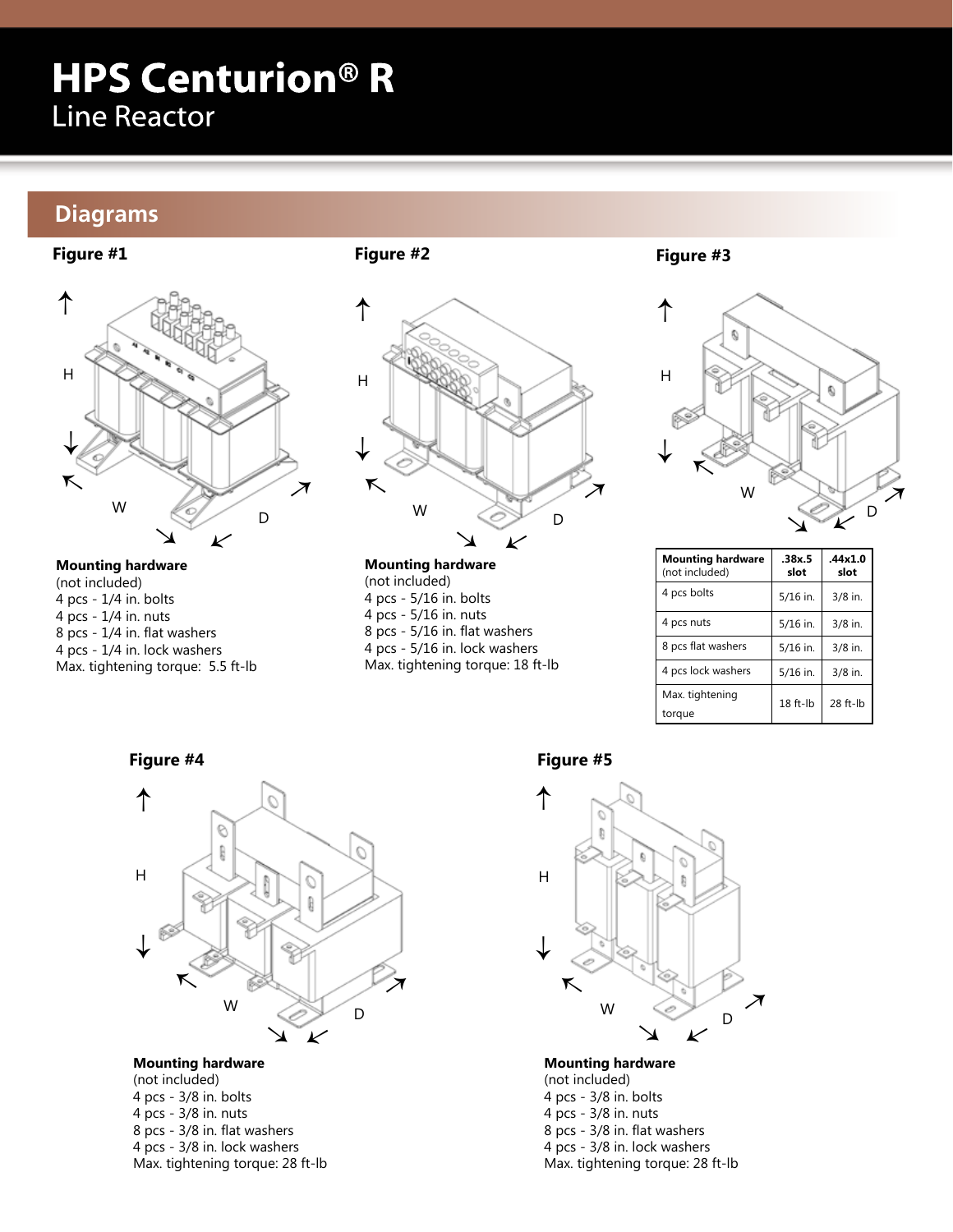# **HPS Centurion® R Line Reactor**

### **Diagrams**

### **Figure #1**



**Mounting hardware** (not included) 4 pcs - 1/4 in. bolts 4 pcs - 1/4 in. nuts 8 pcs - 1/4 in. flat washers 4 pcs - 1/4 in. lock washers Max. tightening torque: 5.5 ft-lb



**Figure #2**

**Mounting hardware**  (not included) 4 pcs - 5/16 in. bolts 4 pcs - 5/16 in. nuts 8 pcs - 5/16 in. flat washers 4 pcs - 5/16 in. lock washers Max. tightening torque: 18 ft-lb **Figure #3**



| <b>Mounting hardware</b><br>(not included) | .38x.5<br>slot | .44x1.0<br>slot |
|--------------------------------------------|----------------|-----------------|
| 4 pcs bolts                                | 5/16 in.       | 3/8 in.         |
| 4 pcs nuts                                 | 5/16 in.       | 3/8 in.         |
| 8 pcs flat washers                         | 5/16 in.       | 3/8 in.         |
| 4 pcs lock washers                         | 5/16 in.       | 3/8 in.         |
| Max. tightening<br>torque                  | $18$ ft- $lb$  | 28 ft-lb        |

**Figure #4**



### **Mounting hardware**

(not included) 4 pcs - 3/8 in. bolts 4 pcs - 3/8 in. nuts 8 pcs - 3/8 in. flat washers 4 pcs - 3/8 in. lock washers Max. tightening torque: 28 ft-lb

### **Figure #5**



**Mounting hardware** 

(not included) 4 pcs - 3/8 in. bolts 4 pcs - 3/8 in. nuts 8 pcs - 3/8 in. flat washers 4 pcs - 3/8 in. lock washers Max. tightening torque: 28 ft-lb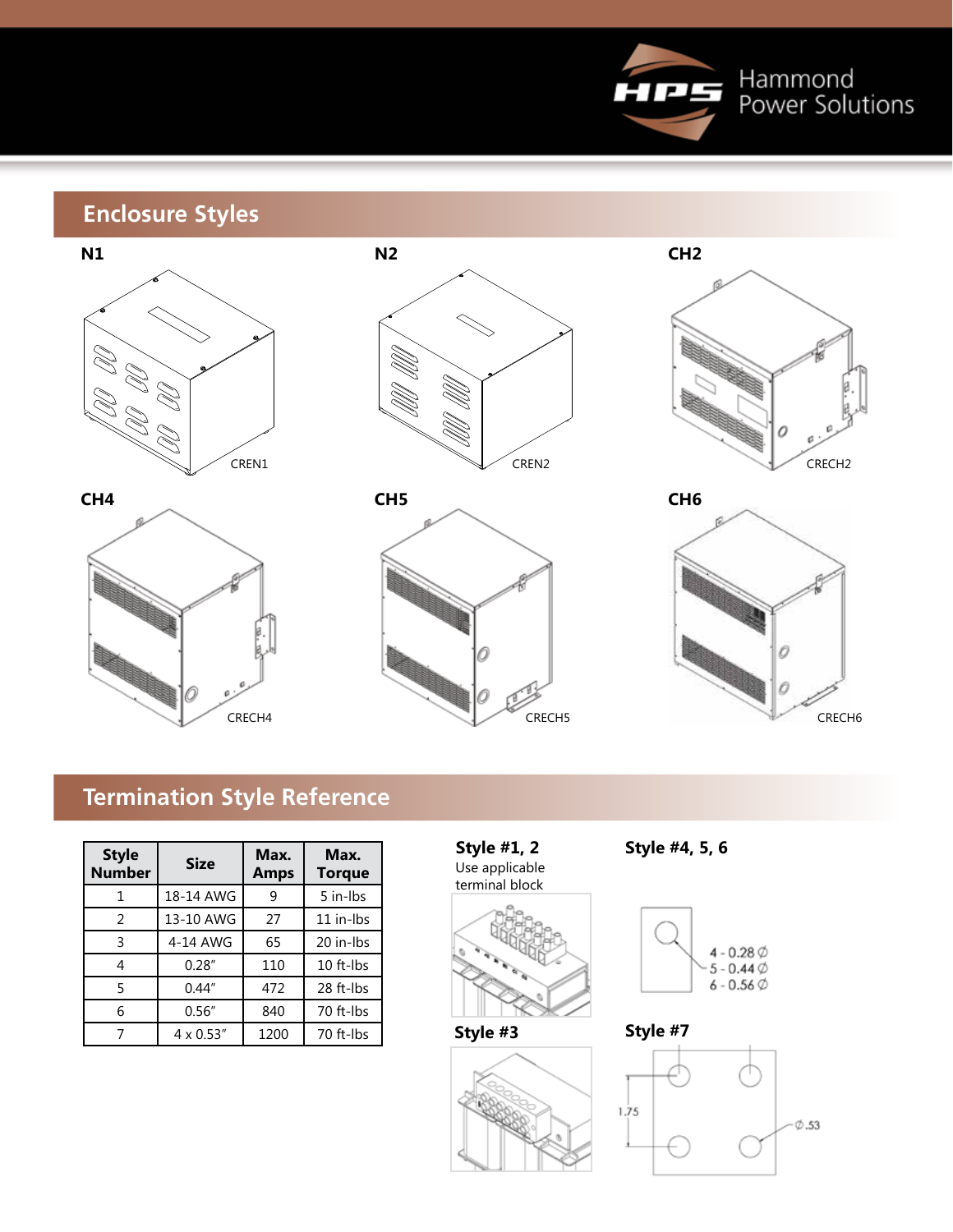

## **Enclosure Styles**













## **Termination Style Reference**

| <b>Style</b><br><b>Number</b> | <b>Size</b>       | Max.<br><b>Amps</b> | Max.<br><b>Torque</b> |
|-------------------------------|-------------------|---------------------|-----------------------|
| 1                             | 18-14 AWG         | 9                   | 5 in-Ibs              |
| 2                             | 13-10 AWG         | 27                  | 11 in-lbs             |
| 3                             | 4-14 AWG          | 65                  | 20 in-lbs             |
| 4                             | 0.28''            | 110                 | 10 ft-lbs             |
| 5                             | 0.44''            | 472                 | 28 ft-Ibs             |
| 6                             | 0.56''            | 840                 | 70 ft-Ibs             |
|                               | $4 \times 0.53''$ | 1200                | 70 ft-Ibs             |

**Style #1, 2** Use applicable terminal block





**Style #4, 5, 6**



**Style #7**